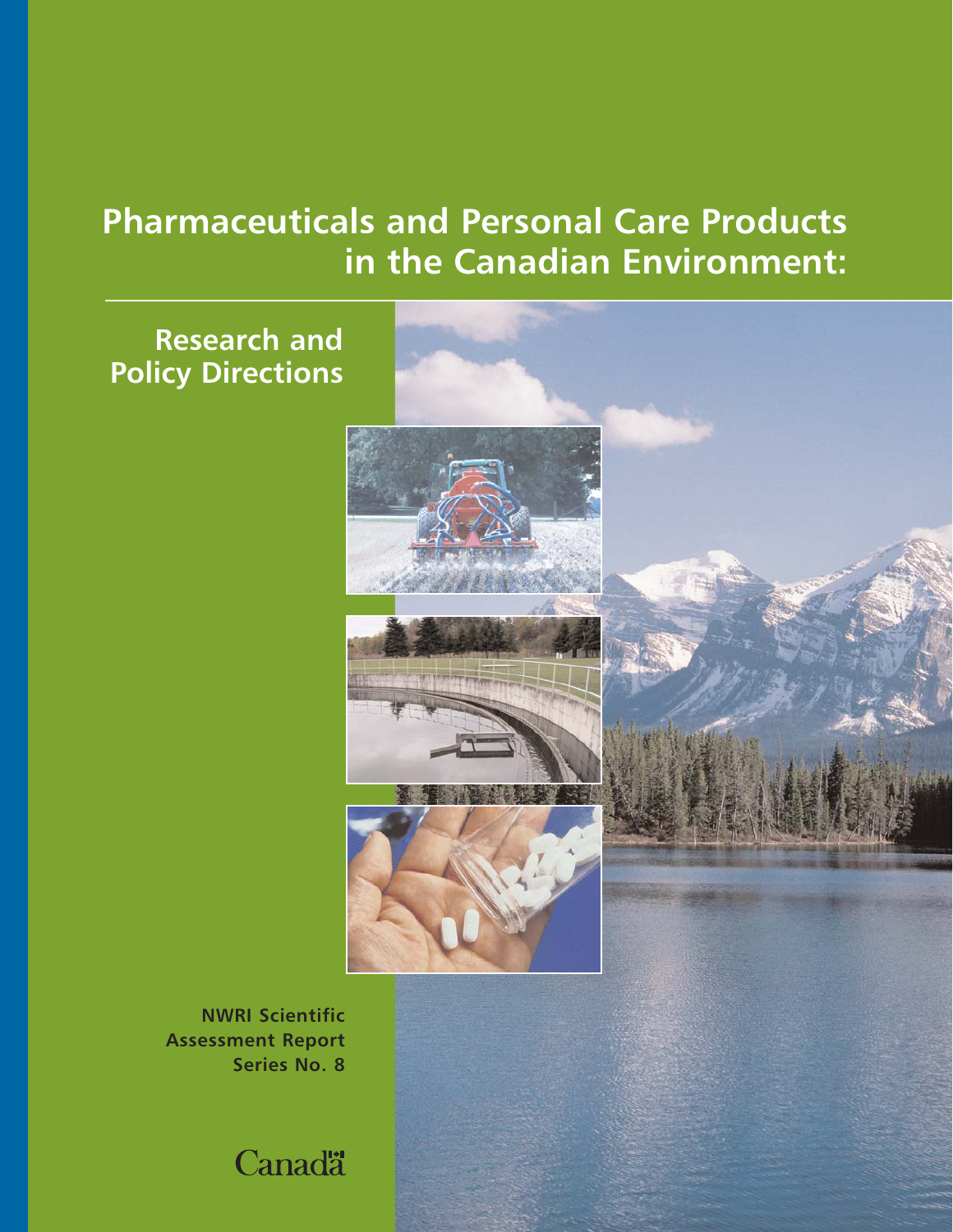# **Pharmaceuticals and Personal Care Products in the Canadian Environment:**

# **Research and Policy Directions**





**NWRI Scientific Assessment Report Series No. 8** 

**Canadä**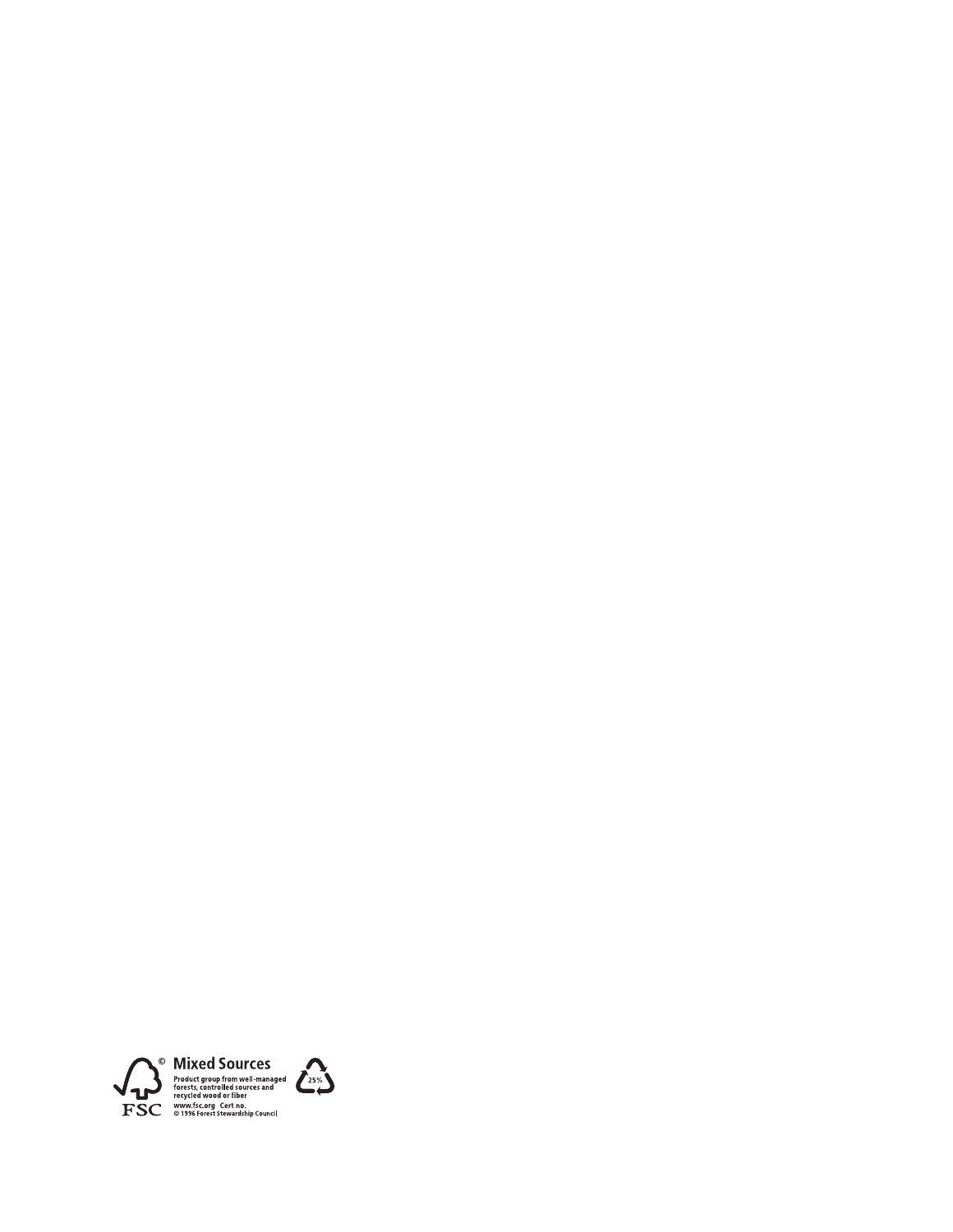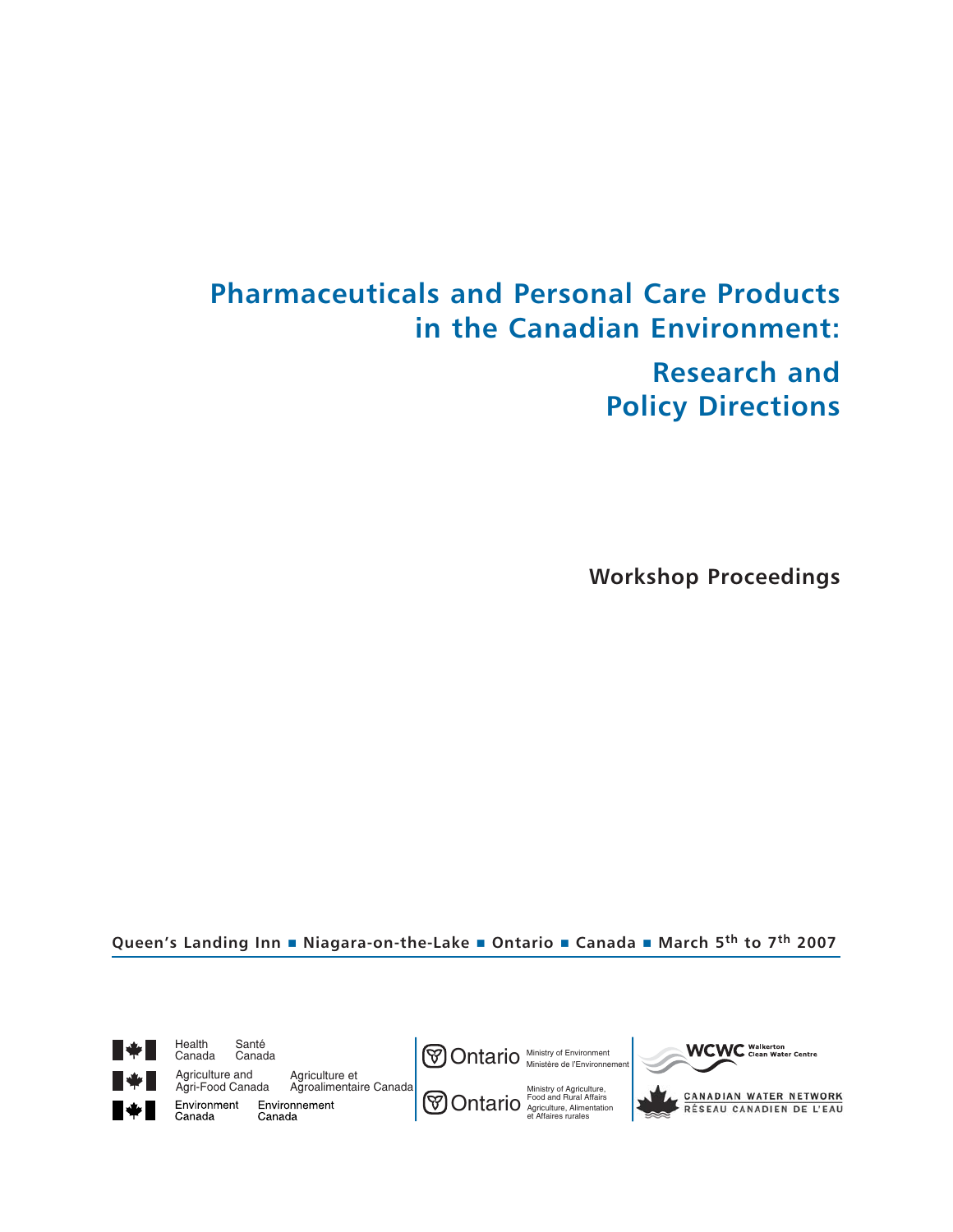# **Pharmaceuticals and Personal Care Products in the Canadian Environment: Research and Policy Directions**

**Workshop Proceedings**

**Queen's Landing Inn Niagara-on-the-Lake Ontario Canada March 5th to 7th 2007**

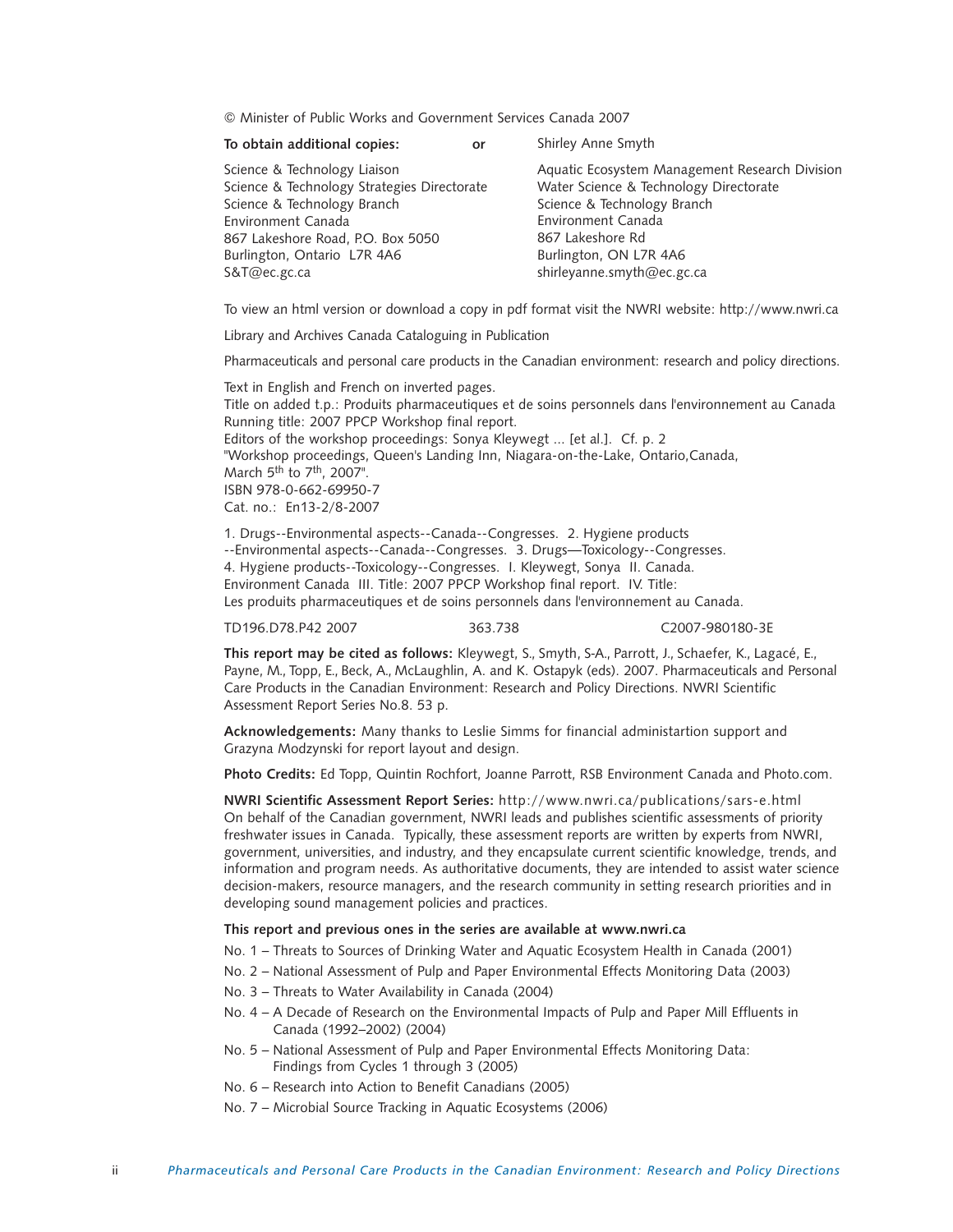© Minister of Public Works and Government Services Canada 2007

| To obtain additional copies:                                                | or | Shirley Anne Smyth                                                                       |
|-----------------------------------------------------------------------------|----|------------------------------------------------------------------------------------------|
| Science & Technology Liaison<br>Science & Technology Strategies Directorate |    | Aquatic Ecosystem Management Research Division<br>Water Science & Technology Directorate |
| Science & Technology Branch                                                 |    | Science & Technology Branch                                                              |
| Environment Canada                                                          |    | Environment Canada                                                                       |
| 867 Lakeshore Road, P.O. Box 5050                                           |    | 867 Lakeshore Rd                                                                         |
| Burlington, Ontario L7R 4A6                                                 |    | Burlington, ON L7R 4A6                                                                   |
| S&T@ec.gc.ca                                                                |    | shirleyanne.smyth@ec.gc.ca                                                               |
|                                                                             |    |                                                                                          |

To view an html version or download a copy in pdf format visit the NWRI website: http://www.nwri.ca

Library and Archives Canada Cataloguing in Publication

Pharmaceuticals and personal care products in the Canadian environment: research and policy directions.

Text in English and French on inverted pages. Title on added t.p.: Produits pharmaceutiques et de soins personnels dans l'environnement au Canada Running title: 2007 PPCP Workshop final report. Editors of the workshop proceedings: Sonya Kleywegt ... [et al.]. Cf. p. 2 "Workshop proceedings, Queen's Landing Inn, Niagara-on-the-Lake, Ontario,Canada, March  $5<sup>th</sup>$  to  $7<sup>th</sup>$ , 2007". ISBN 978-0-662-69950-7 Cat. no.: En13-2/8-2007

1. Drugs--Environmental aspects--Canada--Congresses. 2. Hygiene products --Environmental aspects--Canada--Congresses. 3. Drugs—Toxicology--Congresses. 4. Hygiene products--Toxicology--Congresses. I. Kleywegt, Sonya II. Canada. Environment Canada III. Title: 2007 PPCP Workshop final report. IV. Title: Les produits pharmaceutiques et de soins personnels dans l'environnement au Canada.

TD196.D78.P42 2007 363.738 C2007-980180-3E

**This report may be cited as follows:** Kleywegt, S., Smyth, S-A., Parrott, J., Schaefer, K., Lagacé, E., Payne, M., Topp, E., Beck, A., McLaughlin, A. and K. Ostapyk (eds). 2007. Pharmaceuticals and Personal Care Products in the Canadian Environment: Research and Policy Directions. NWRI Scientific Assessment Report Series No.8. 53 p.

**Acknowledgements:** Many thanks to Leslie Simms for financial administartion support and Grazyna Modzynski for report layout and design.

**Photo Credits:** Ed Topp, Quintin Rochfort, Joanne Parrott, RSB Environment Canada and Photo.com.

**NWRI Scientific Assessment Report Series:** http://www.nwri.ca/publications/sars-e.html On behalf of the Canadian government, NWRI leads and publishes scientific assessments of priority freshwater issues in Canada. Typically, these assessment reports are written by experts from NWRI, government, universities, and industry, and they encapsulate current scientific knowledge, trends, and information and program needs. As authoritative documents, they are intended to assist water science decision-makers, resource managers, and the research community in setting research priorities and in developing sound management policies and practices.

# **This report and previous ones in the series are available at www.nwri.ca**

- No. 1 Threats to Sources of Drinking Water and Aquatic Ecosystem Health in Canada (2001)
- No. 2 National Assessment of Pulp and Paper Environmental Effects Monitoring Data (2003)
- No. 3 Threats to Water Availability in Canada (2004)
- No. 4 A Decade of Research on the Environmental Impacts of Pulp and Paper Mill Effluents in Canada (1992–2002) (2004)
- No. 5 National Assessment of Pulp and Paper Environmental Effects Monitoring Data: Findings from Cycles 1 through 3 (2005)
- No. 6 Research into Action to Benefit Canadians (2005)
- No. 7 Microbial Source Tracking in Aquatic Ecosystems (2006)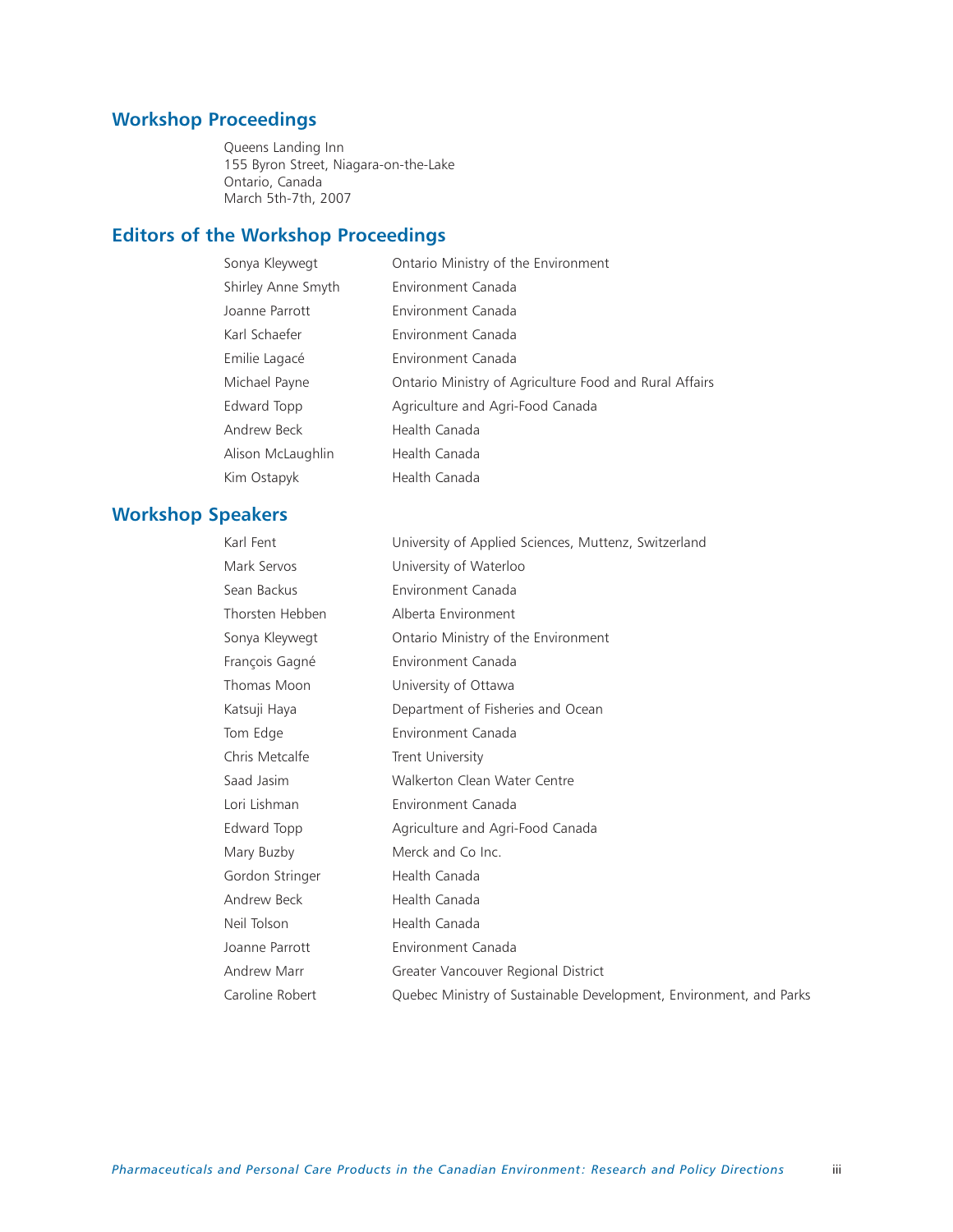# **Workshop Proceedings**

Queens Landing Inn 155 Byron Street, Niagara-on-the-Lake Ontario, Canada March 5th-7th, 2007

# **Editors of the Workshop Proceedings**

| Sonya Kleywegt     | Ontario Ministry of the Environment                    |
|--------------------|--------------------------------------------------------|
| Shirley Anne Smyth | Environment Canada                                     |
| Joanne Parrott     | Environment Canada                                     |
| Karl Schaefer      | Environment Canada                                     |
| Emilie Lagacé      | Environment Canada                                     |
| Michael Payne      | Ontario Ministry of Agriculture Food and Rural Affairs |
| Edward Topp        | Agriculture and Agri-Food Canada                       |
| Andrew Beck        | Health Canada                                          |
| Alison McLaughlin  | Health Canada                                          |
| Kim Ostapyk        | Health Canada                                          |

# **Workshop Speakers**

| Karl Fent       | University of Applied Sciences, Muttenz, Switzerland               |
|-----------------|--------------------------------------------------------------------|
| Mark Servos     | University of Waterloo                                             |
| Sean Backus     | Environment Canada                                                 |
| Thorsten Hebben | Alberta Environment                                                |
| Sonya Kleywegt  | Ontario Ministry of the Environment                                |
| François Gagné  | Environment Canada                                                 |
| Thomas Moon     | University of Ottawa                                               |
| Katsuji Haya    | Department of Fisheries and Ocean                                  |
| Tom Edge        | Environment Canada                                                 |
| Chris Metcalfe  | Trent University                                                   |
| Saad Jasim      | Walkerton Clean Water Centre                                       |
| Lori Lishman    | Environment Canada                                                 |
| Edward Topp     | Agriculture and Agri-Food Canada                                   |
| Mary Buzby      | Merck and Co Inc.                                                  |
| Gordon Stringer | Health Canada                                                      |
| Andrew Beck     | Health Canada                                                      |
| Neil Tolson     | Health Canada                                                      |
| Joanne Parrott  | Environment Canada                                                 |
| Andrew Marr     | Greater Vancouver Regional District                                |
| Caroline Robert | Quebec Ministry of Sustainable Development, Environment, and Parks |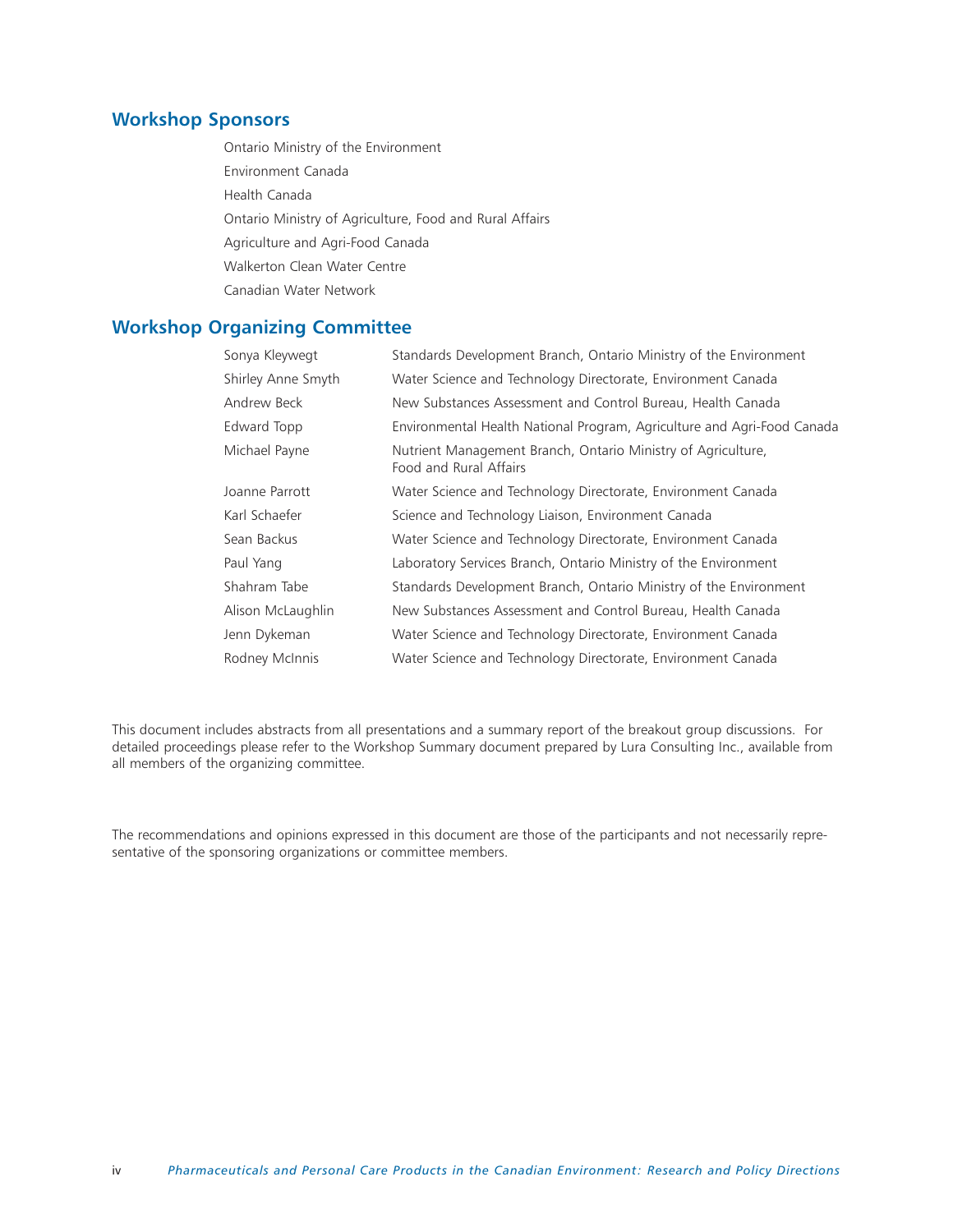# **Workshop Sponsors**

Ontario Ministry of the Environment Environment Canada Health Canada Ontario Ministry of Agriculture, Food and Rural Affairs Agriculture and Agri-Food Canada Walkerton Clean Water Centre Canadian Water Network

# **Workshop Organizing Committee**

| Sonya Kleywegt     | Standards Development Branch, Ontario Ministry of the Environment                      |
|--------------------|----------------------------------------------------------------------------------------|
| Shirley Anne Smyth | Water Science and Technology Directorate, Environment Canada                           |
| Andrew Beck        | New Substances Assessment and Control Bureau, Health Canada                            |
| Edward Topp        | Environmental Health National Program, Agriculture and Agri-Food Canada                |
| Michael Payne      | Nutrient Management Branch, Ontario Ministry of Agriculture,<br>Food and Rural Affairs |
| Joanne Parrott     | Water Science and Technology Directorate, Environment Canada                           |
| Karl Schaefer      | Science and Technology Liaison, Environment Canada                                     |
| Sean Backus        | Water Science and Technology Directorate, Environment Canada                           |
| Paul Yang          | Laboratory Services Branch, Ontario Ministry of the Environment                        |
| Shahram Tabe       | Standards Development Branch, Ontario Ministry of the Environment                      |
| Alison McLaughlin  | New Substances Assessment and Control Bureau, Health Canada                            |
| Jenn Dykeman       | Water Science and Technology Directorate, Environment Canada                           |
| Rodney McInnis     | Water Science and Technology Directorate, Environment Canada                           |

This document includes abstracts from all presentations and a summary report of the breakout group discussions. For detailed proceedings please refer to the Workshop Summary document prepared by Lura Consulting Inc., available from all members of the organizing committee.

The recommendations and opinions expressed in this document are those of the participants and not necessarily representative of the sponsoring organizations or committee members.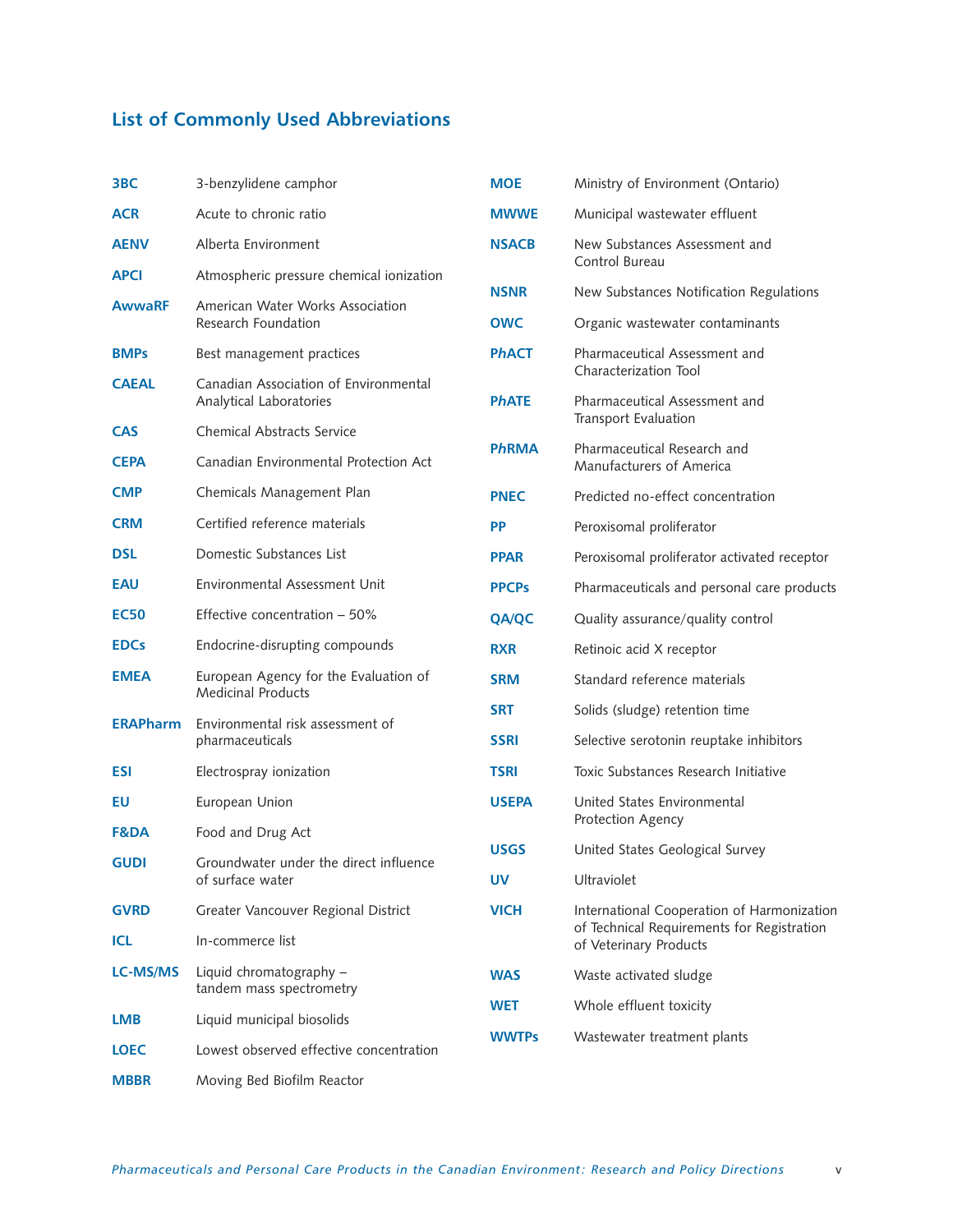# **List of Commonly Used Abbreviations**

| 3BC             | 3-benzylidene camphor                                              | <b>MOE</b>   | Ministry of Environment (Ontario)                                                      |
|-----------------|--------------------------------------------------------------------|--------------|----------------------------------------------------------------------------------------|
| <b>ACR</b>      | Acute to chronic ratio                                             | <b>MWWE</b>  | Municipal wastewater effluent                                                          |
| <b>AENV</b>     | Alberta Environment                                                | <b>NSACB</b> | New Substances Assessment and                                                          |
| <b>APCI</b>     | Atmospheric pressure chemical ionization                           |              | Control Bureau                                                                         |
| <b>AwwaRF</b>   | American Water Works Association                                   | <b>NSNR</b>  | New Substances Notification Regulations                                                |
|                 | Research Foundation                                                | <b>OWC</b>   | Organic wastewater contaminants                                                        |
| <b>BMPs</b>     | Best management practices                                          | <b>PhACT</b> | Pharmaceutical Assessment and<br>Characterization Tool                                 |
| <b>CAEAL</b>    | Canadian Association of Environmental<br>Analytical Laboratories   | <b>PhATE</b> | Pharmaceutical Assessment and<br>Transport Evaluation                                  |
| <b>CAS</b>      | <b>Chemical Abstracts Service</b>                                  |              |                                                                                        |
| <b>CEPA</b>     | Canadian Environmental Protection Act                              | <b>PhRMA</b> | Pharmaceutical Research and<br>Manufacturers of America                                |
| <b>CMP</b>      | Chemicals Management Plan                                          | <b>PNEC</b>  | Predicted no-effect concentration                                                      |
| <b>CRM</b>      | Certified reference materials                                      | <b>PP</b>    | Peroxisomal proliferator                                                               |
| <b>DSL</b>      | Domestic Substances List                                           | <b>PPAR</b>  | Peroxisomal proliferator activated recepto                                             |
| <b>EAU</b>      | Environmental Assessment Unit                                      | <b>PPCPs</b> | Pharmaceuticals and personal care produ-                                               |
| <b>EC50</b>     | Effective concentration - 50%                                      | <b>QA/QC</b> | Quality assurance/quality control                                                      |
| <b>EDCs</b>     | Endocrine-disrupting compounds                                     | <b>RXR</b>   | Retinoic acid X receptor                                                               |
| <b>EMEA</b>     | European Agency for the Evaluation of<br><b>Medicinal Products</b> | <b>SRM</b>   | Standard reference materials                                                           |
| <b>ERAPharm</b> | Environmental risk assessment of                                   | <b>SRT</b>   | Solids (sludge) retention time                                                         |
|                 | pharmaceuticals                                                    | <b>SSRI</b>  | Selective serotonin reuptake inhibitors                                                |
| <b>ESI</b>      | Electrospray ionization                                            | <b>TSRI</b>  | Toxic Substances Research Initiative                                                   |
| EU              | European Union                                                     | <b>USEPA</b> | United States Environmental<br>Protection Agency                                       |
| <b>F&amp;DA</b> | Food and Drug Act                                                  |              |                                                                                        |
| <b>GUDI</b>     | Groundwater under the direct influence                             | <b>USGS</b>  | United States Geological Survey                                                        |
|                 | of surface water                                                   | <b>UV</b>    | Ultraviolet                                                                            |
| <b>GVRD</b>     | Greater Vancouver Regional District                                | <b>VICH</b>  | International Cooperation of Harmonizati<br>of Technical Requirements for Registration |
| <b>ICL</b>      | In-commerce list                                                   |              | of Veterinary Products                                                                 |
| <b>LC-MS/MS</b> | Liquid chromatography -<br>tandem mass spectrometry                | <b>WAS</b>   | Waste activated sludge                                                                 |
| <b>LMB</b>      | Liquid municipal biosolids                                         | <b>WET</b>   | Whole effluent toxicity                                                                |
| <b>LOEC</b>     | Lowest observed effective concentration                            | <b>WWTPs</b> | Wastewater treatment plants                                                            |
| <b>MBBR</b>     | Moving Bed Biofilm Reactor                                         |              |                                                                                        |
|                 |                                                                    |              |                                                                                        |

|    |              | Transport Evaluation                                                                                               |
|----|--------------|--------------------------------------------------------------------------------------------------------------------|
| t  | <b>PhRMA</b> | Pharmaceutical Research and<br>Manufacturers of America                                                            |
|    | <b>PNEC</b>  | Predicted no-effect concentration                                                                                  |
|    | <b>PP</b>    | Peroxisomal proliferator                                                                                           |
|    | <b>PPAR</b>  | Peroxisomal proliferator activated receptor                                                                        |
|    | <b>PPCPs</b> | Pharmaceuticals and personal care products                                                                         |
|    | <b>QA/QC</b> | Quality assurance/quality control                                                                                  |
|    | <b>RXR</b>   | Retinoic acid X receptor                                                                                           |
|    | <b>SRM</b>   | Standard reference materials                                                                                       |
|    | <b>SRT</b>   | Solids (sludge) retention time                                                                                     |
|    | <b>SSRI</b>  | Selective serotonin reuptake inhibitors                                                                            |
|    | <b>TSRI</b>  | Toxic Substances Research Initiative                                                                               |
|    | <b>USEPA</b> | United States Environmental<br>Protection Agency                                                                   |
| ïΘ | <b>USGS</b>  | United States Geological Survey                                                                                    |
|    | UV           | Ultraviolet                                                                                                        |
|    | <b>VICH</b>  | International Cooperation of Harmonization<br>of Technical Requirements for Registration<br>of Veterinary Products |
|    | <b>WAS</b>   | Waste activated sludge                                                                                             |
|    | <b>WET</b>   | Whole effluent toxicity                                                                                            |
| ρn | <b>WWTPs</b> | Wastewater treatment plants                                                                                        |
|    |              |                                                                                                                    |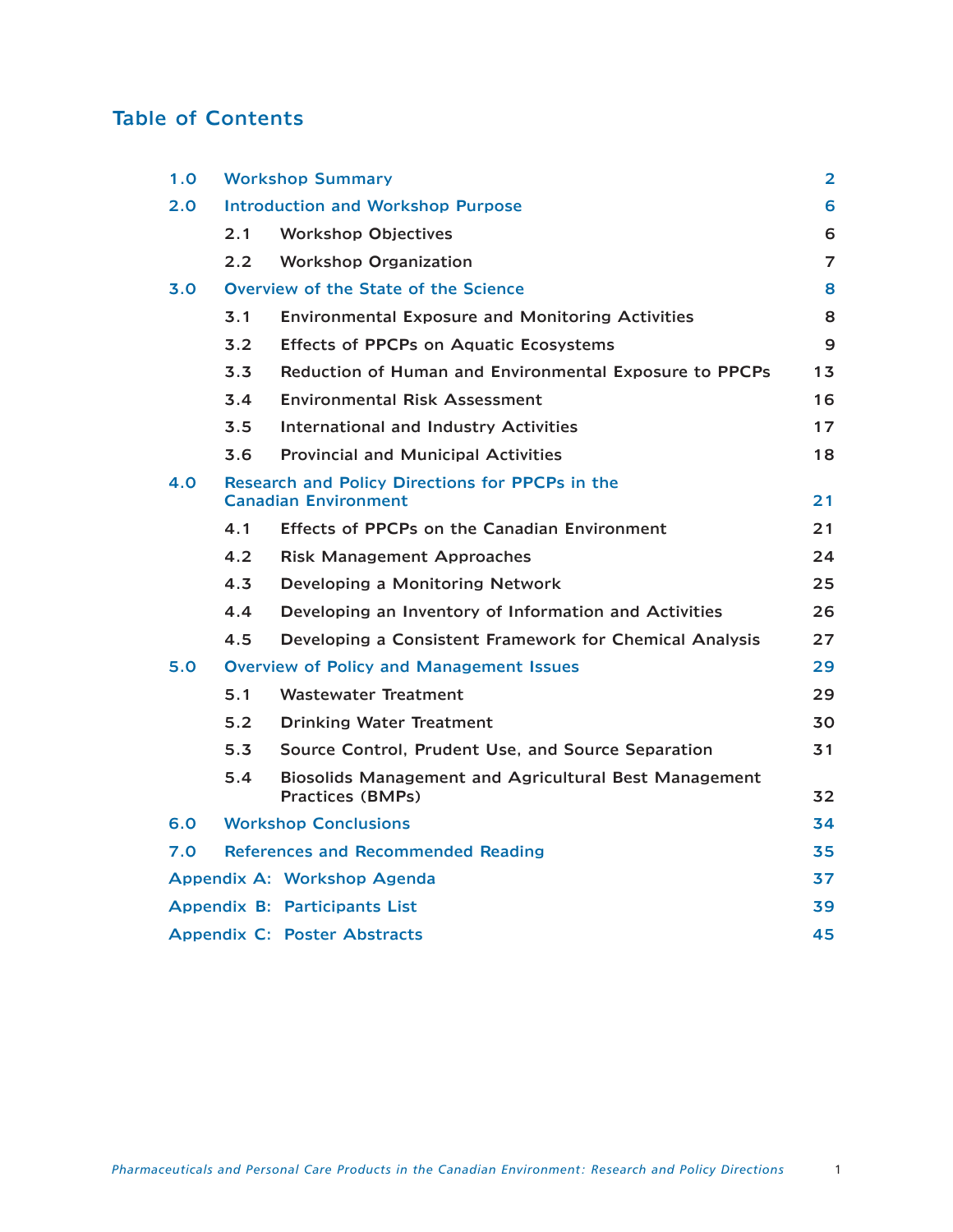# Table of Contents

| 1.0 |               | <b>Workshop Summary</b>                                                        | $\overline{\mathbf{2}}$ |
|-----|---------------|--------------------------------------------------------------------------------|-------------------------|
| 2.0 |               | <b>Introduction and Workshop Purpose</b>                                       | 6                       |
|     | 2.1           | <b>Workshop Objectives</b>                                                     | 6                       |
|     | $2.2^{\circ}$ | <b>Workshop Organization</b>                                                   | $\overline{7}$          |
| 3.0 |               | Overview of the State of the Science                                           | 8                       |
|     | 3.1           | <b>Environmental Exposure and Monitoring Activities</b>                        | 8                       |
|     | 3.2           | <b>Effects of PPCPs on Aquatic Ecosystems</b>                                  | 9                       |
|     | 3.3           | Reduction of Human and Environmental Exposure to PPCPs                         | 13                      |
|     | 3.4           | <b>Environmental Risk Assessment</b>                                           | 16                      |
|     | 3.5           | <b>International and Industry Activities</b>                                   | 17                      |
|     | 3.6           | <b>Provincial and Municipal Activities</b>                                     | 18                      |
| 4.O |               | Research and Policy Directions for PPCPs in the<br><b>Canadian Environment</b> | 21                      |
|     | 4.1           | Effects of PPCPs on the Canadian Environment                                   | 21                      |
|     | 4.2           | <b>Risk Management Approaches</b>                                              | 24                      |
|     | 4.3           | Developing a Monitoring Network                                                | 25                      |
|     | 4.4           | Developing an Inventory of Information and Activities                          | 26.                     |
|     | 4.5           | Developing a Consistent Framework for Chemical Analysis                        | 27                      |
| 5.0 |               | <b>Overview of Policy and Management Issues</b>                                | 29                      |
|     | 5.1           | <b>Wastewater Treatment</b>                                                    | 29                      |
|     | 5.2           | <b>Drinking Water Treatment</b>                                                | 30                      |
|     | 5.3           | Source Control, Prudent Use, and Source Separation                             | 31                      |
|     | 5.4           | Biosolids Management and Agricultural Best Management<br>Practices (BMPs)      | 32                      |
| 6.0 |               | <b>Workshop Conclusions</b>                                                    | 34                      |
| 7.0 |               | <b>References and Recommended Reading</b>                                      | 35                      |
|     |               | Appendix A: Workshop Agenda                                                    | 37                      |
|     |               | Appendix B: Participants List                                                  | 39                      |
|     |               | <b>Appendix C: Poster Abstracts</b>                                            | 45                      |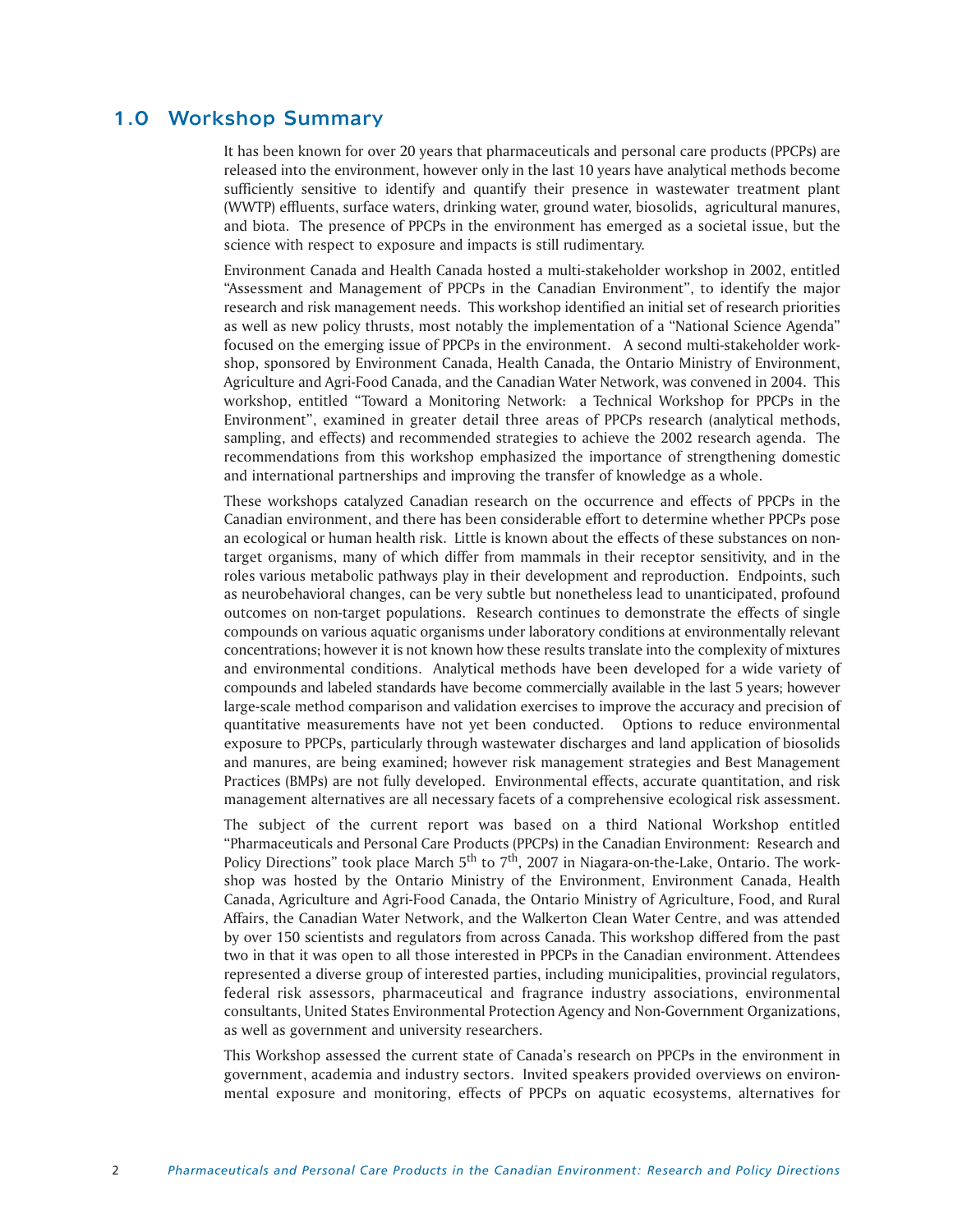# 1.0 Workshop Summary

It has been known for over 20 years that pharmaceuticals and personal care products (PPCPs) are released into the environment, however only in the last 10 years have analytical methods become sufficiently sensitive to identify and quantify their presence in wastewater treatment plant (WWTP) effluents, surface waters, drinking water, ground water, biosolids, agricultural manures, and biota. The presence of PPCPs in the environment has emerged as a societal issue, but the science with respect to exposure and impacts is still rudimentary.

Environment Canada and Health Canada hosted a multi-stakeholder workshop in 2002, entitled "Assessment and Management of PPCPs in the Canadian Environment", to identify the major research and risk management needs. This workshop identified an initial set of research priorities as well as new policy thrusts, most notably the implementation of a "National Science Agenda" focused on the emerging issue of PPCPs in the environment. A second multi-stakeholder workshop, sponsored by Environment Canada, Health Canada, the Ontario Ministry of Environment, Agriculture and Agri-Food Canada, and the Canadian Water Network, was convened in 2004. This workshop, entitled "Toward a Monitoring Network: a Technical Workshop for PPCPs in the Environment", examined in greater detail three areas of PPCPs research (analytical methods, sampling, and effects) and recommended strategies to achieve the 2002 research agenda. The recommendations from this workshop emphasized the importance of strengthening domestic and international partnerships and improving the transfer of knowledge as a whole.

These workshops catalyzed Canadian research on the occurrence and effects of PPCPs in the Canadian environment, and there has been considerable effort to determine whether PPCPs pose an ecological or human health risk. Little is known about the effects of these substances on nontarget organisms, many of which differ from mammals in their receptor sensitivity, and in the roles various metabolic pathways play in their development and reproduction. Endpoints, such as neurobehavioral changes, can be very subtle but nonetheless lead to unanticipated, profound outcomes on non-target populations. Research continues to demonstrate the effects of single compounds on various aquatic organisms under laboratory conditions at environmentally relevant concentrations; however it is not known how these results translate into the complexity of mixtures and environmental conditions. Analytical methods have been developed for a wide variety of compounds and labeled standards have become commercially available in the last 5 years; however large-scale method comparison and validation exercises to improve the accuracy and precision of quantitative measurements have not yet been conducted. Options to reduce environmental exposure to PPCPs, particularly through wastewater discharges and land application of biosolids and manures, are being examined; however risk management strategies and Best Management Practices (BMPs) are not fully developed. Environmental effects, accurate quantitation, and risk management alternatives are all necessary facets of a comprehensive ecological risk assessment.

The subject of the current report was based on a third National Workshop entitled "Pharmaceuticals and Personal Care Products (PPCPs) in the Canadian Environment: Research and Policy Directions" took place March  $5<sup>th</sup>$  to  $7<sup>th</sup>$ , 2007 in Niagara-on-the-Lake, Ontario. The workshop was hosted by the Ontario Ministry of the Environment, Environment Canada, Health Canada, Agriculture and Agri-Food Canada, the Ontario Ministry of Agriculture, Food, and Rural Affairs, the Canadian Water Network, and the Walkerton Clean Water Centre, and was attended by over 150 scientists and regulators from across Canada. This workshop differed from the past two in that it was open to all those interested in PPCPs in the Canadian environment. Attendees represented a diverse group of interested parties, including municipalities, provincial regulators, federal risk assessors, pharmaceutical and fragrance industry associations, environmental consultants, United States Environmental Protection Agency and Non-Government Organizations, as well as government and university researchers.

This Workshop assessed the current state of Canada's research on PPCPs in the environment in government, academia and industry sectors. Invited speakers provided overviews on environmental exposure and monitoring, effects of PPCPs on aquatic ecosystems, alternatives for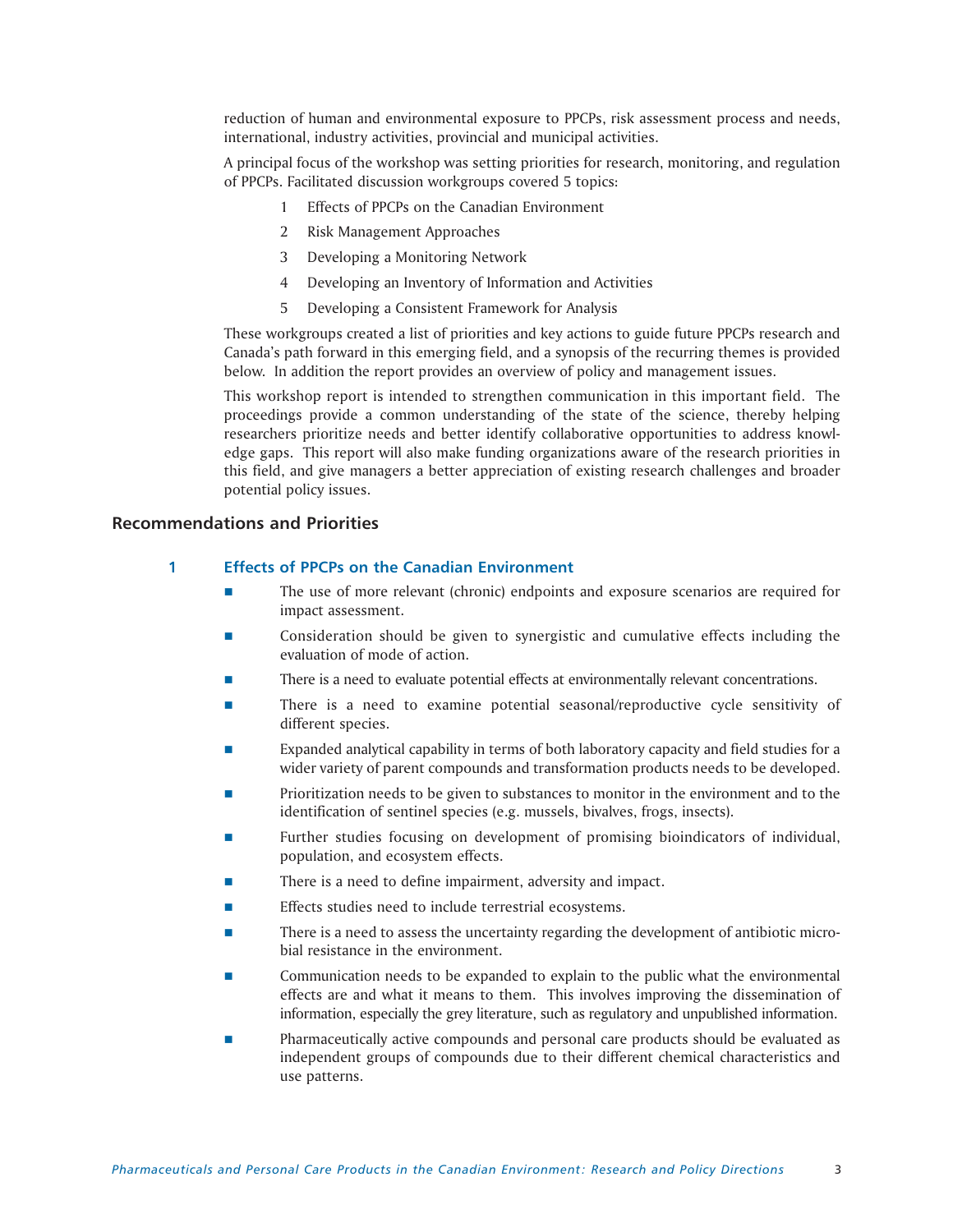reduction of human and environmental exposure to PPCPs, risk assessment process and needs, international, industry activities, provincial and municipal activities.

A principal focus of the workshop was setting priorities for research, monitoring, and regulation of PPCPs. Facilitated discussion workgroups covered 5 topics:

- 1 Effects of PPCPs on the Canadian Environment
- 2 Risk Management Approaches
- 3 Developing a Monitoring Network
- 4 Developing an Inventory of Information and Activities
- 5 Developing a Consistent Framework for Analysis

These workgroups created a list of priorities and key actions to guide future PPCPs research and Canada's path forward in this emerging field, and a synopsis of the recurring themes is provided below. In addition the report provides an overview of policy and management issues.

This workshop report is intended to strengthen communication in this important field. The proceedings provide a common understanding of the state of the science, thereby helping researchers prioritize needs and better identify collaborative opportunities to address knowledge gaps. This report will also make funding organizations aware of the research priorities in this field, and give managers a better appreciation of existing research challenges and broader potential policy issues.

# **Recommendations and Priorities**

# **1 Effects of PPCPs on the Canadian Environment**

- The use of more relevant (chronic) endpoints and exposure scenarios are required for impact assessment.
- Consideration should be given to synergistic and cumulative effects including the evaluation of mode of action.
- There is a need to evaluate potential effects at environmentally relevant concentrations.
- **There is a need to examine potential seasonal/reproductive cycle sensitivity of** different species.
- Expanded analytical capability in terms of both laboratory capacity and field studies for a wider variety of parent compounds and transformation products needs to be developed.
- Prioritization needs to be given to substances to monitor in the environment and to the identification of sentinel species (e.g. mussels, bivalves, frogs, insects).
- Further studies focusing on development of promising bioindicators of individual, population, and ecosystem effects.
- There is a need to define impairment, adversity and impact.
- Effects studies need to include terrestrial ecosystems.
- There is a need to assess the uncertainty regarding the development of antibiotic microbial resistance in the environment.
- Communication needs to be expanded to explain to the public what the environmental effects are and what it means to them. This involves improving the dissemination of information, especially the grey literature, such as regulatory and unpublished information.
- Pharmaceutically active compounds and personal care products should be evaluated as independent groups of compounds due to their different chemical characteristics and use patterns.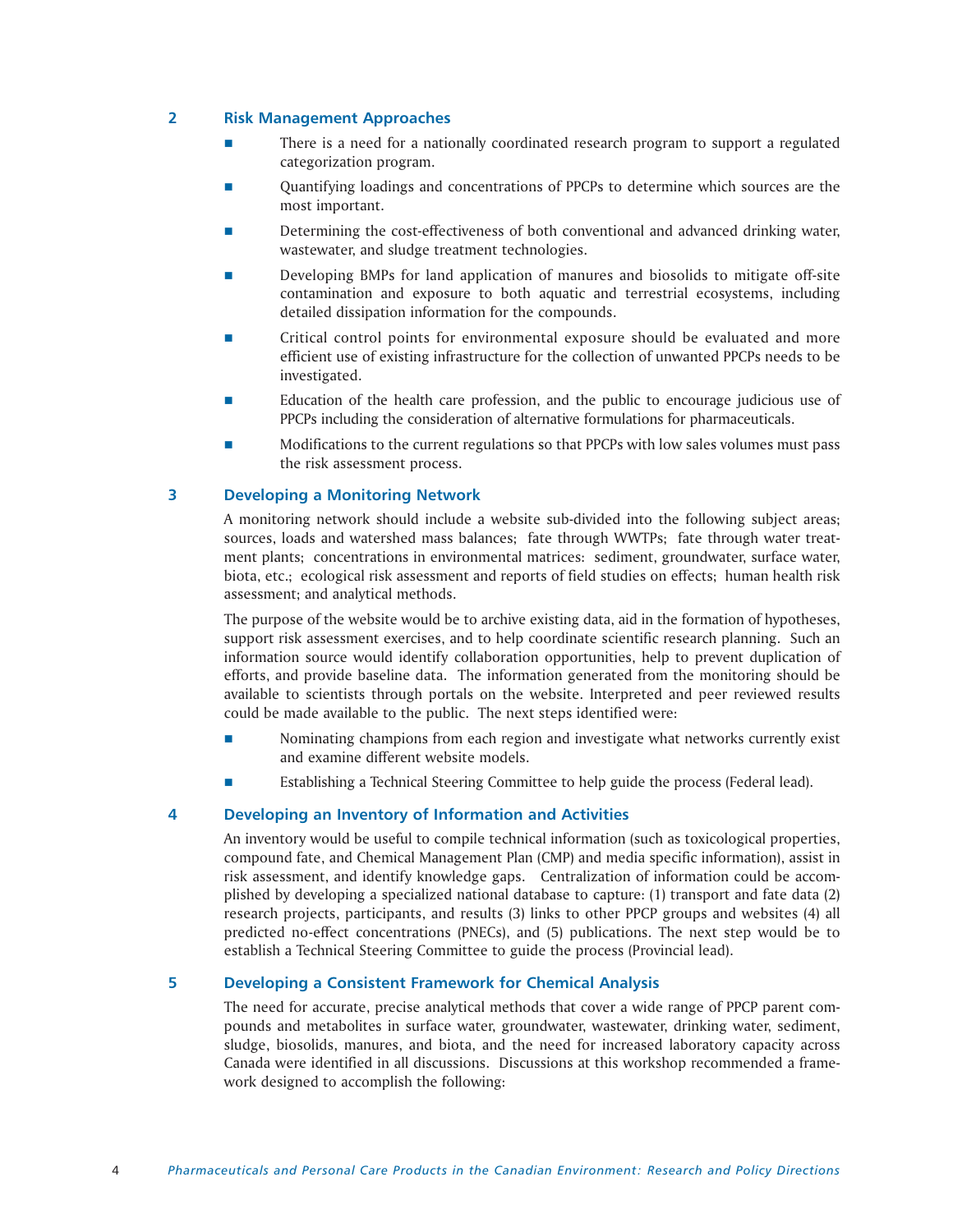# **2 Risk Management Approaches**

- **There is a need for a nationally coordinated research program to support a regulated** categorization program.
- Quantifying loadings and concentrations of PPCPs to determine which sources are the most important.
- Determining the cost-effectiveness of both conventional and advanced drinking water, wastewater, and sludge treatment technologies.
- Developing BMPs for land application of manures and biosolids to mitigate off-site contamination and exposure to both aquatic and terrestrial ecosystems, including detailed dissipation information for the compounds.
- Critical control points for environmental exposure should be evaluated and more efficient use of existing infrastructure for the collection of unwanted PPCPs needs to be investigated.
- **EDUCATE:** Education of the health care profession, and the public to encourage judicious use of PPCPs including the consideration of alternative formulations for pharmaceuticals.
- Modifications to the current regulations so that PPCPs with low sales volumes must pass the risk assessment process.

# **3 Developing a Monitoring Network**

A monitoring network should include a website sub-divided into the following subject areas; sources, loads and watershed mass balances; fate through WWTPs; fate through water treatment plants; concentrations in environmental matrices: sediment, groundwater, surface water, biota, etc.; ecological risk assessment and reports of field studies on effects; human health risk assessment; and analytical methods.

The purpose of the website would be to archive existing data, aid in the formation of hypotheses, support risk assessment exercises, and to help coordinate scientific research planning. Such an information source would identify collaboration opportunities, help to prevent duplication of efforts, and provide baseline data. The information generated from the monitoring should be available to scientists through portals on the website. Interpreted and peer reviewed results could be made available to the public. The next steps identified were:

- Nominating champions from each region and investigate what networks currently exist and examine different website models.
- Establishing a Technical Steering Committee to help guide the process (Federal lead).

# **4 Developing an Inventory of Information and Activities**

An inventory would be useful to compile technical information (such as toxicological properties, compound fate, and Chemical Management Plan (CMP) and media specific information), assist in risk assessment, and identify knowledge gaps. Centralization of information could be accomplished by developing a specialized national database to capture: (1) transport and fate data (2) research projects, participants, and results (3) links to other PPCP groups and websites (4) all predicted no-effect concentrations (PNECs), and (5) publications. The next step would be to establish a Technical Steering Committee to guide the process (Provincial lead).

# **5 Developing a Consistent Framework for Chemical Analysis**

The need for accurate, precise analytical methods that cover a wide range of PPCP parent compounds and metabolites in surface water, groundwater, wastewater, drinking water, sediment, sludge, biosolids, manures, and biota, and the need for increased laboratory capacity across Canada were identified in all discussions. Discussions at this workshop recommended a framework designed to accomplish the following: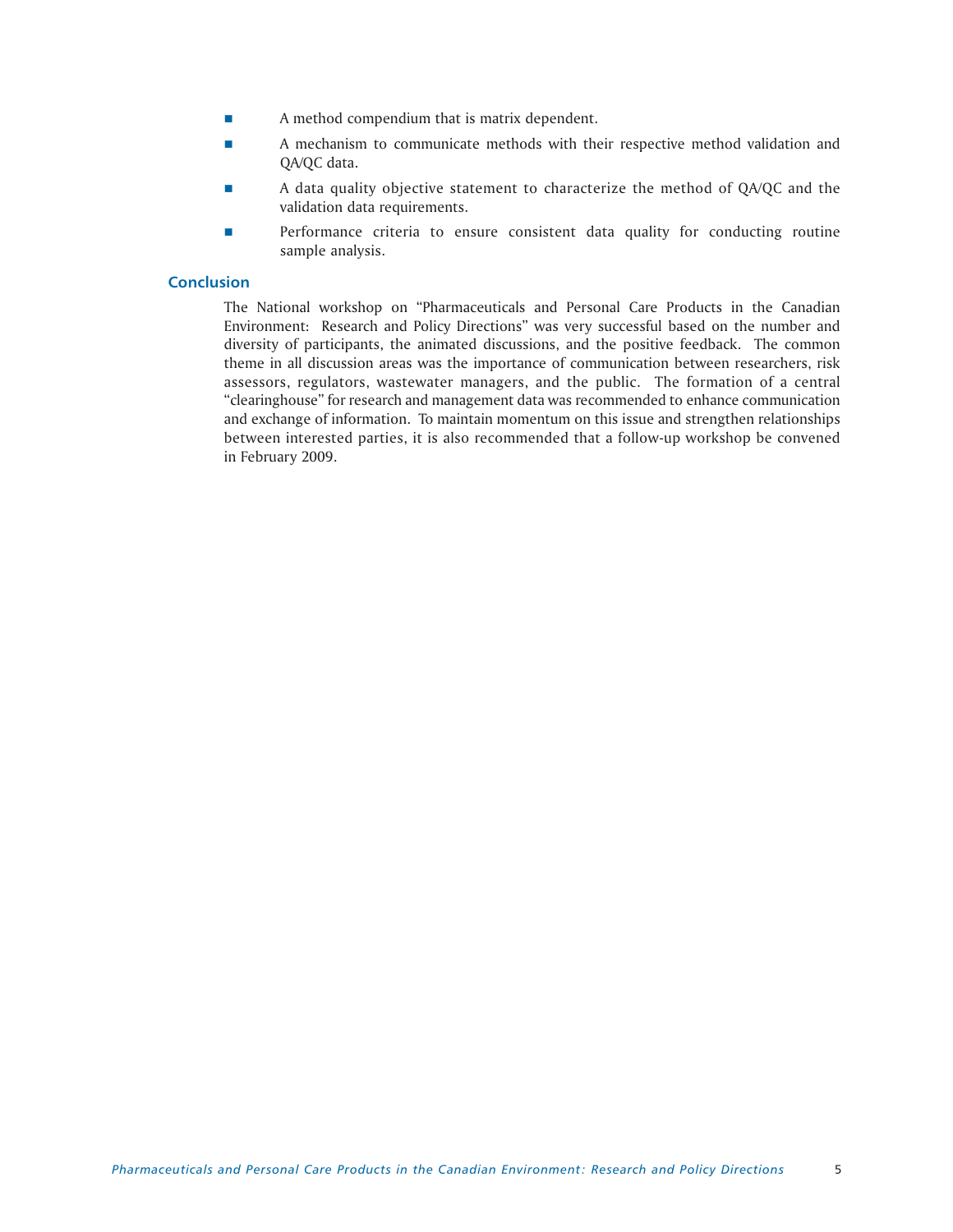- **A** method compendium that is matrix dependent.
- **A** mechanism to communicate methods with their respective method validation and QA/QC data.
- A data quality objective statement to characterize the method of QA/QC and the validation data requirements.
- **Performance criteria to ensure consistent data quality for conducting routine** sample analysis.

# **Conclusion**

The National workshop on "Pharmaceuticals and Personal Care Products in the Canadian Environment: Research and Policy Directions" was very successful based on the number and diversity of participants, the animated discussions, and the positive feedback. The common theme in all discussion areas was the importance of communication between researchers, risk assessors, regulators, wastewater managers, and the public. The formation of a central "clearinghouse" for research and management data was recommended to enhance communication and exchange of information. To maintain momentum on this issue and strengthen relationships between interested parties, it is also recommended that a follow-up workshop be convened in February 2009.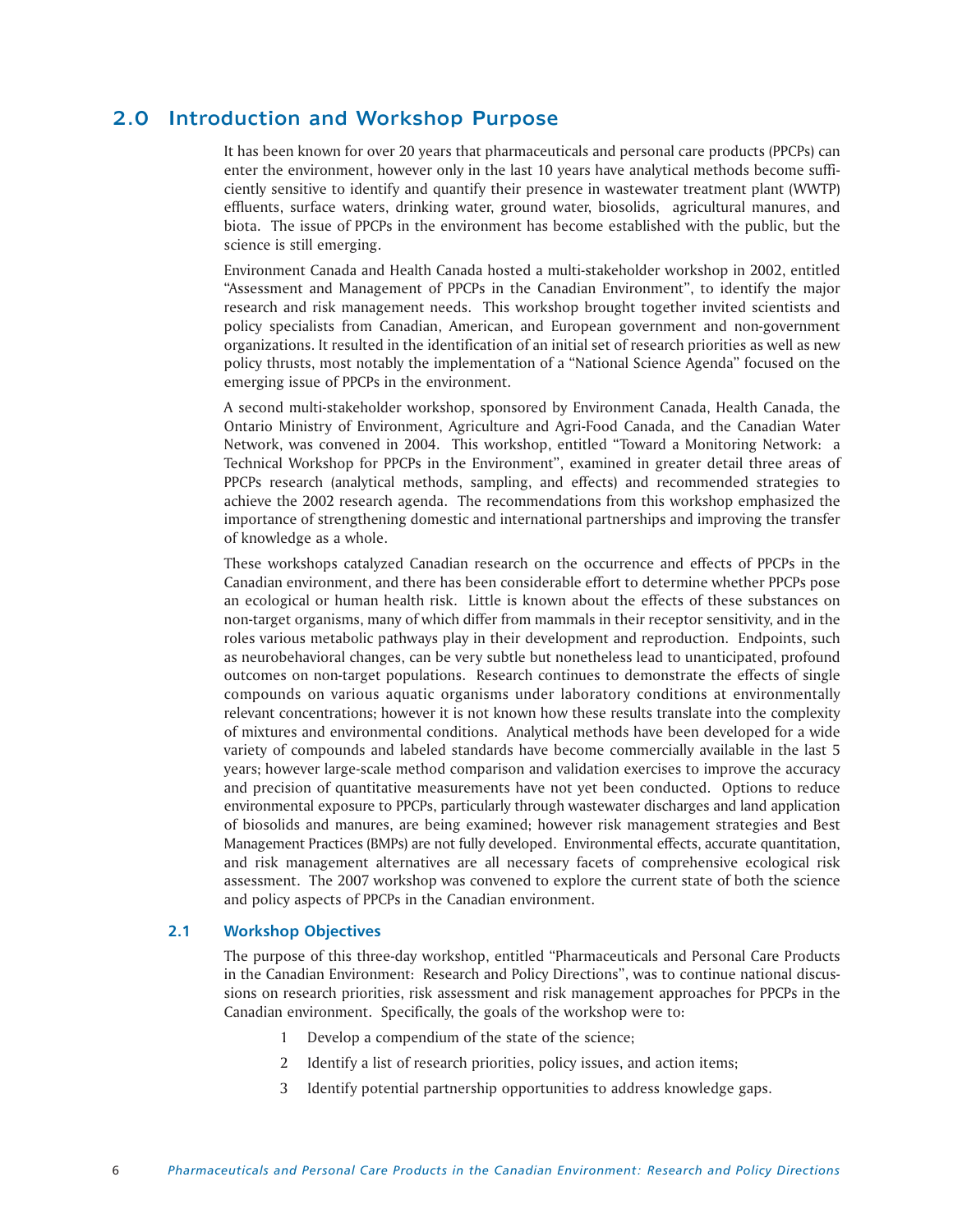# 2.0 Introduction and Workshop Purpose

It has been known for over 20 years that pharmaceuticals and personal care products (PPCPs) can enter the environment, however only in the last 10 years have analytical methods become sufficiently sensitive to identify and quantify their presence in wastewater treatment plant (WWTP) effluents, surface waters, drinking water, ground water, biosolids, agricultural manures, and biota. The issue of PPCPs in the environment has become established with the public, but the science is still emerging.

Environment Canada and Health Canada hosted a multi-stakeholder workshop in 2002, entitled "Assessment and Management of PPCPs in the Canadian Environment", to identify the major research and risk management needs. This workshop brought together invited scientists and policy specialists from Canadian, American, and European government and non-government organizations. It resulted in the identification of an initial set of research priorities as well as new policy thrusts, most notably the implementation of a "National Science Agenda" focused on the emerging issue of PPCPs in the environment.

A second multi-stakeholder workshop, sponsored by Environment Canada, Health Canada, the Ontario Ministry of Environment, Agriculture and Agri-Food Canada, and the Canadian Water Network, was convened in 2004. This workshop, entitled "Toward a Monitoring Network: a Technical Workshop for PPCPs in the Environment", examined in greater detail three areas of PPCPs research (analytical methods, sampling, and effects) and recommended strategies to achieve the 2002 research agenda. The recommendations from this workshop emphasized the importance of strengthening domestic and international partnerships and improving the transfer of knowledge as a whole.

These workshops catalyzed Canadian research on the occurrence and effects of PPCPs in the Canadian environment, and there has been considerable effort to determine whether PPCPs pose an ecological or human health risk. Little is known about the effects of these substances on non-target organisms, many of which differ from mammals in their receptor sensitivity, and in the roles various metabolic pathways play in their development and reproduction. Endpoints, such as neurobehavioral changes, can be very subtle but nonetheless lead to unanticipated, profound outcomes on non-target populations. Research continues to demonstrate the effects of single compounds on various aquatic organisms under laboratory conditions at environmentally relevant concentrations; however it is not known how these results translate into the complexity of mixtures and environmental conditions. Analytical methods have been developed for a wide variety of compounds and labeled standards have become commercially available in the last 5 years; however large-scale method comparison and validation exercises to improve the accuracy and precision of quantitative measurements have not yet been conducted. Options to reduce environmental exposure to PPCPs, particularly through wastewater discharges and land application of biosolids and manures, are being examined; however risk management strategies and Best Management Practices (BMPs) are not fully developed. Environmental effects, accurate quantitation, and risk management alternatives are all necessary facets of comprehensive ecological risk assessment. The 2007 workshop was convened to explore the current state of both the science and policy aspects of PPCPs in the Canadian environment.

# **2.1 Workshop Objectives**

The purpose of this three-day workshop, entitled "Pharmaceuticals and Personal Care Products in the Canadian Environment: Research and Policy Directions", was to continue national discussions on research priorities, risk assessment and risk management approaches for PPCPs in the Canadian environment. Specifically, the goals of the workshop were to:

- 1 Develop a compendium of the state of the science;
- 2 Identify a list of research priorities, policy issues, and action items;
- 3 Identify potential partnership opportunities to address knowledge gaps.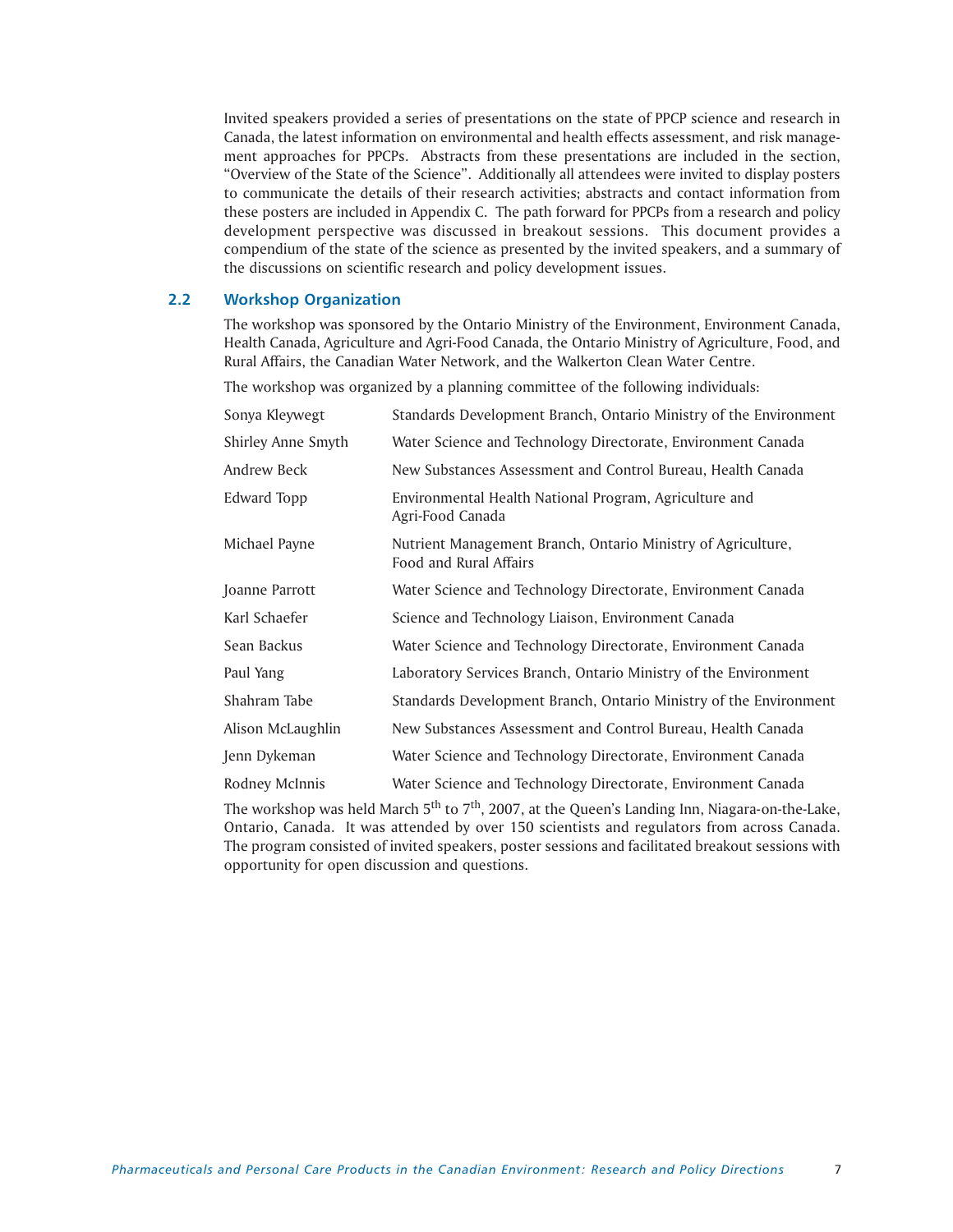Invited speakers provided a series of presentations on the state of PPCP science and research in Canada, the latest information on environmental and health effects assessment, and risk management approaches for PPCPs. Abstracts from these presentations are included in the section, "Overview of the State of the Science". Additionally all attendees were invited to display posters to communicate the details of their research activities; abstracts and contact information from these posters are included in Appendix C. The path forward for PPCPs from a research and policy development perspective was discussed in breakout sessions. This document provides a compendium of the state of the science as presented by the invited speakers, and a summary of the discussions on scientific research and policy development issues.

# **2.2 Workshop Organization**

The workshop was sponsored by the Ontario Ministry of the Environment, Environment Canada, Health Canada, Agriculture and Agri-Food Canada, the Ontario Ministry of Agriculture, Food, and Rural Affairs, the Canadian Water Network, and the Walkerton Clean Water Centre.

The workshop was organized by a planning committee of the following individuals:

| Sonya Kleywegt            | Standards Development Branch, Ontario Ministry of the Environment                      |
|---------------------------|----------------------------------------------------------------------------------------|
| <b>Shirley Anne Smyth</b> | Water Science and Technology Directorate, Environment Canada                           |
| Andrew Beck               | New Substances Assessment and Control Bureau, Health Canada                            |
| Edward Topp               | Environmental Health National Program, Agriculture and<br>Agri-Food Canada             |
| Michael Payne             | Nutrient Management Branch, Ontario Ministry of Agriculture,<br>Food and Rural Affairs |
| Joanne Parrott            | Water Science and Technology Directorate, Environment Canada                           |
| Karl Schaefer             | Science and Technology Liaison, Environment Canada                                     |
| Sean Backus               | Water Science and Technology Directorate, Environment Canada                           |
| Paul Yang                 | Laboratory Services Branch, Ontario Ministry of the Environment                        |
| Shahram Tabe              | Standards Development Branch, Ontario Ministry of the Environment                      |
| Alison McLaughlin         | New Substances Assessment and Control Bureau, Health Canada                            |
| Jenn Dykeman              | Water Science and Technology Directorate, Environment Canada                           |
| Rodney McInnis            | Water Science and Technology Directorate, Environment Canada                           |

The workshop was held March  $5<sup>th</sup>$  to  $7<sup>th</sup>$ , 2007, at the Queen's Landing Inn, Niagara-on-the-Lake, Ontario, Canada. It was attended by over 150 scientists and regulators from across Canada. The program consisted of invited speakers, poster sessions and facilitated breakout sessions with opportunity for open discussion and questions.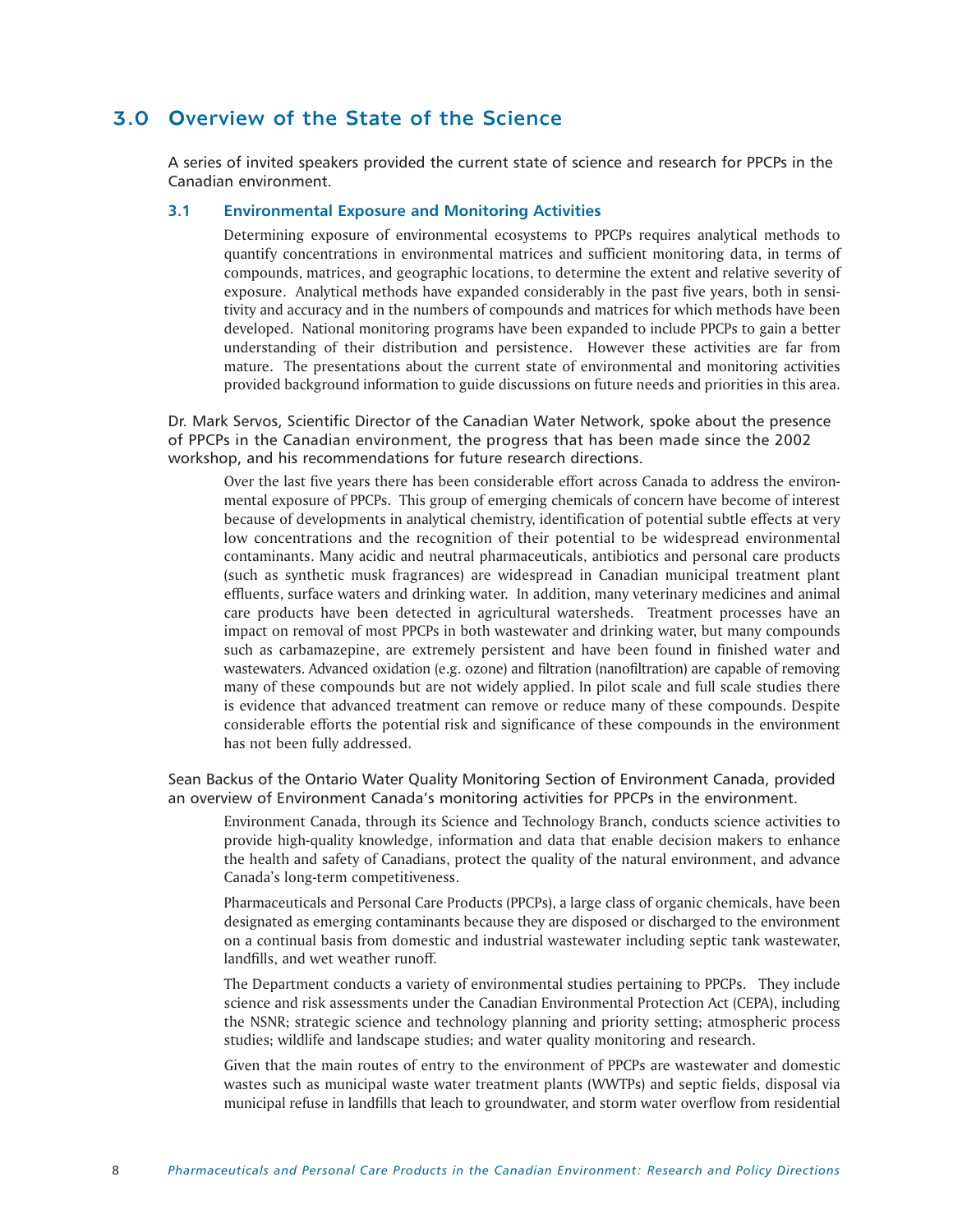# 3.0 Overview of the State of the Science

A series of invited speakers provided the current state of science and research for PPCPs in the Canadian environment.

# **3.1 Environmental Exposure and Monitoring Activities**

Determining exposure of environmental ecosystems to PPCPs requires analytical methods to quantify concentrations in environmental matrices and sufficient monitoring data, in terms of compounds, matrices, and geographic locations, to determine the extent and relative severity of exposure. Analytical methods have expanded considerably in the past five years, both in sensitivity and accuracy and in the numbers of compounds and matrices for which methods have been developed. National monitoring programs have been expanded to include PPCPs to gain a better understanding of their distribution and persistence. However these activities are far from mature. The presentations about the current state of environmental and monitoring activities provided background information to guide discussions on future needs and priorities in this area.

Dr. Mark Servos, Scientific Director of the Canadian Water Network, spoke about the presence of PPCPs in the Canadian environment, the progress that has been made since the 2002 workshop, and his recommendations for future research directions.

Over the last five years there has been considerable effort across Canada to address the environmental exposure of PPCPs. This group of emerging chemicals of concern have become of interest because of developments in analytical chemistry, identification of potential subtle effects at very low concentrations and the recognition of their potential to be widespread environmental contaminants. Many acidic and neutral pharmaceuticals, antibiotics and personal care products (such as synthetic musk fragrances) are widespread in Canadian municipal treatment plant effluents, surface waters and drinking water. In addition, many veterinary medicines and animal care products have been detected in agricultural watersheds. Treatment processes have an impact on removal of most PPCPs in both wastewater and drinking water, but many compounds such as carbamazepine, are extremely persistent and have been found in finished water and wastewaters. Advanced oxidation (e.g. ozone) and filtration (nanofiltration) are capable of removing many of these compounds but are not widely applied. In pilot scale and full scale studies there is evidence that advanced treatment can remove or reduce many of these compounds. Despite considerable efforts the potential risk and significance of these compounds in the environment has not been fully addressed.

Sean Backus of the Ontario Water Quality Monitoring Section of Environment Canada, provided an overview of Environment Canada's monitoring activities for PPCPs in the environment.

Environment Canada, through its Science and Technology Branch, conducts science activities to provide high-quality knowledge, information and data that enable decision makers to enhance the health and safety of Canadians, protect the quality of the natural environment, and advance Canada's long-term competitiveness.

Pharmaceuticals and Personal Care Products (PPCPs), a large class of organic chemicals, have been designated as emerging contaminants because they are disposed or discharged to the environment on a continual basis from domestic and industrial wastewater including septic tank wastewater, landfills, and wet weather runoff.

The Department conducts a variety of environmental studies pertaining to PPCPs. They include science and risk assessments under the Canadian Environmental Protection Act (CEPA), including the NSNR; strategic science and technology planning and priority setting; atmospheric process studies; wildlife and landscape studies; and water quality monitoring and research.

Given that the main routes of entry to the environment of PPCPs are wastewater and domestic wastes such as municipal waste water treatment plants (WWTPs) and septic fields, disposal via municipal refuse in landfills that leach to groundwater, and storm water overflow from residential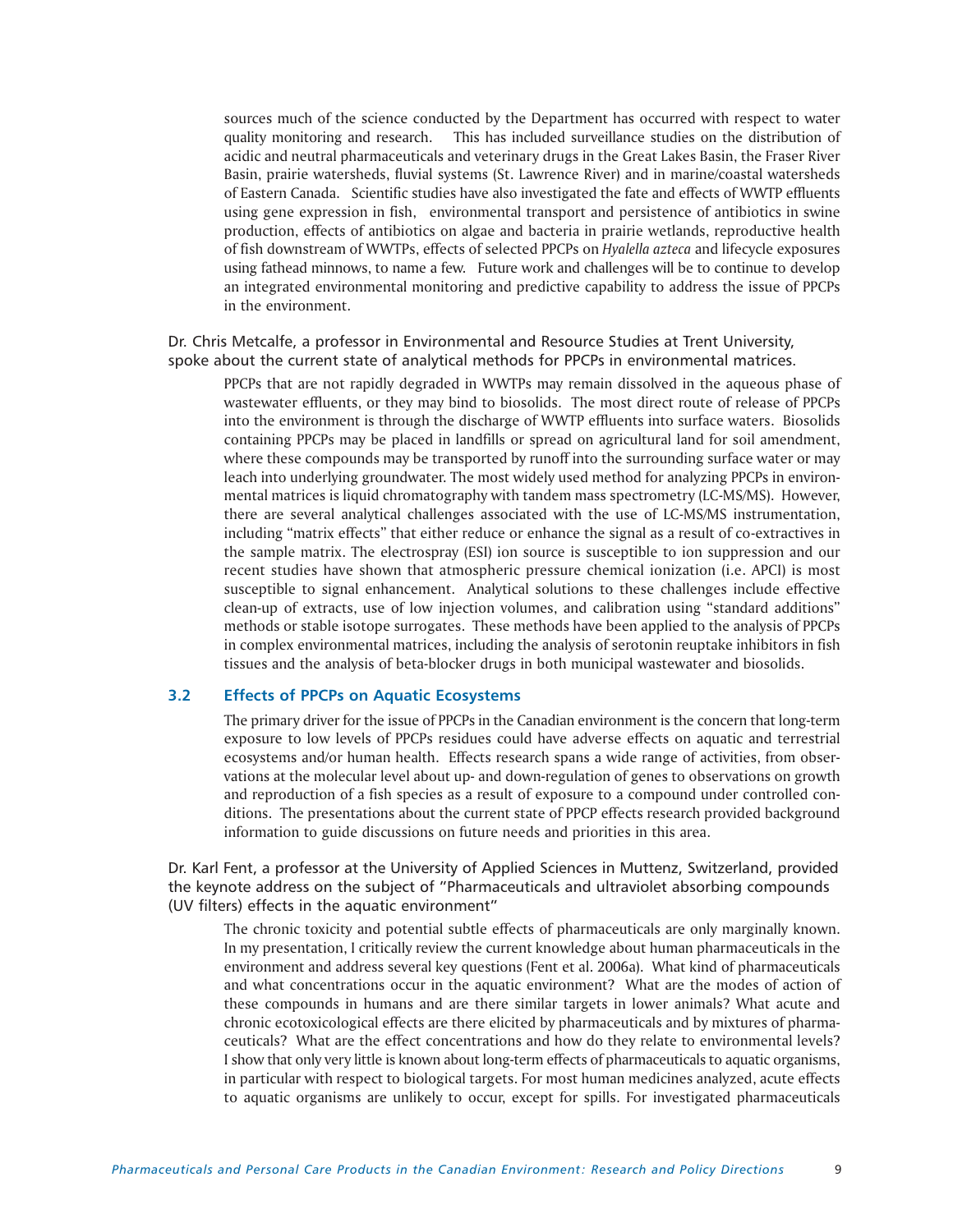sources much of the science conducted by the Department has occurred with respect to water quality monitoring and research. This has included surveillance studies on the distribution of acidic and neutral pharmaceuticals and veterinary drugs in the Great Lakes Basin, the Fraser River Basin, prairie watersheds, fluvial systems (St. Lawrence River) and in marine/coastal watersheds of Eastern Canada. Scientific studies have also investigated the fate and effects of WWTP effluents using gene expression in fish, environmental transport and persistence of antibiotics in swine production, effects of antibiotics on algae and bacteria in prairie wetlands, reproductive health of fish downstream of WWTPs, effects of selected PPCPs on *Hyalella azteca* and lifecycle exposures using fathead minnows, to name a few. Future work and challenges will be to continue to develop an integrated environmental monitoring and predictive capability to address the issue of PPCPs in the environment.

Dr. Chris Metcalfe, a professor in Environmental and Resource Studies at Trent University, spoke about the current state of analytical methods for PPCPs in environmental matrices.

PPCPs that are not rapidly degraded in WWTPs may remain dissolved in the aqueous phase of wastewater effluents, or they may bind to biosolids. The most direct route of release of PPCPs into the environment is through the discharge of WWTP effluents into surface waters. Biosolids containing PPCPs may be placed in landfills or spread on agricultural land for soil amendment, where these compounds may be transported by runoff into the surrounding surface water or may leach into underlying groundwater. The most widely used method for analyzing PPCPs in environmental matrices is liquid chromatography with tandem mass spectrometry (LC-MS/MS). However, there are several analytical challenges associated with the use of LC-MS/MS instrumentation, including "matrix effects" that either reduce or enhance the signal as a result of co-extractives in the sample matrix. The electrospray (ESI) ion source is susceptible to ion suppression and our recent studies have shown that atmospheric pressure chemical ionization (i.e. APCI) is most susceptible to signal enhancement. Analytical solutions to these challenges include effective clean-up of extracts, use of low injection volumes, and calibration using "standard additions" methods or stable isotope surrogates. These methods have been applied to the analysis of PPCPs in complex environmental matrices, including the analysis of serotonin reuptake inhibitors in fish tissues and the analysis of beta-blocker drugs in both municipal wastewater and biosolids.

# **3.2 Effects of PPCPs on Aquatic Ecosystems**

The primary driver for the issue of PPCPs in the Canadian environment is the concern that long-term exposure to low levels of PPCPs residues could have adverse effects on aquatic and terrestrial ecosystems and/or human health. Effects research spans a wide range of activities, from observations at the molecular level about up- and down-regulation of genes to observations on growth and reproduction of a fish species as a result of exposure to a compound under controlled conditions. The presentations about the current state of PPCP effects research provided background information to guide discussions on future needs and priorities in this area.

Dr. Karl Fent, a professor at the University of Applied Sciences in Muttenz, Switzerland, provided the keynote address on the subject of "Pharmaceuticals and ultraviolet absorbing compounds (UV filters) effects in the aquatic environment"

The chronic toxicity and potential subtle effects of pharmaceuticals are only marginally known. In my presentation, I critically review the current knowledge about human pharmaceuticals in the environment and address several key questions (Fent et al. 2006a). What kind of pharmaceuticals and what concentrations occur in the aquatic environment? What are the modes of action of these compounds in humans and are there similar targets in lower animals? What acute and chronic ecotoxicological effects are there elicited by pharmaceuticals and by mixtures of pharmaceuticals? What are the effect concentrations and how do they relate to environmental levels? I show that only very little is known about long-term effects of pharmaceuticals to aquatic organisms, in particular with respect to biological targets. For most human medicines analyzed, acute effects to aquatic organisms are unlikely to occur, except for spills. For investigated pharmaceuticals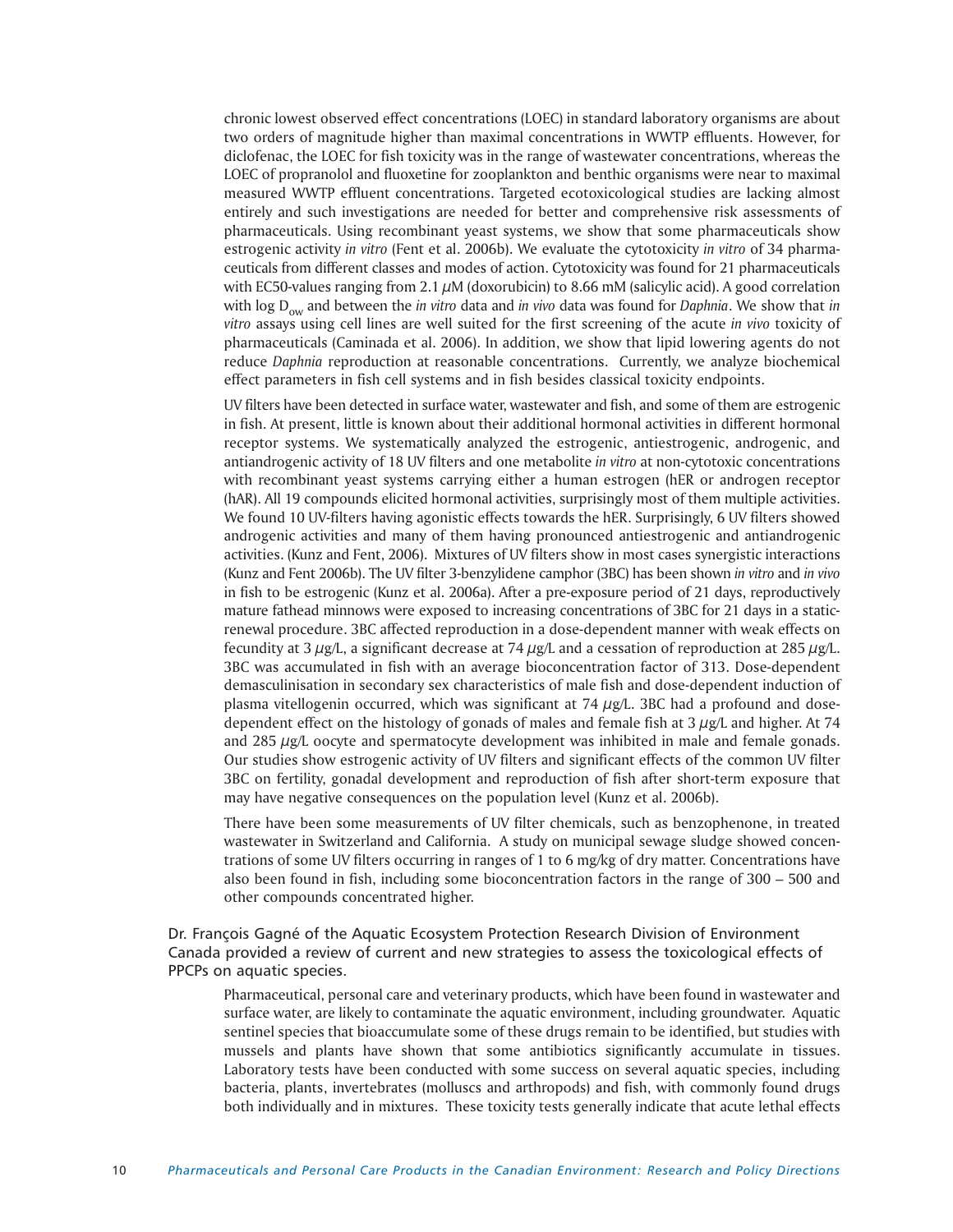chronic lowest observed effect concentrations (LOEC) in standard laboratory organisms are about two orders of magnitude higher than maximal concentrations in WWTP effluents. However, for diclofenac, the LOEC for fish toxicity was in the range of wastewater concentrations, whereas the LOEC of propranolol and fluoxetine for zooplankton and benthic organisms were near to maximal measured WWTP effluent concentrations. Targeted ecotoxicological studies are lacking almost entirely and such investigations are needed for better and comprehensive risk assessments of pharmaceuticals. Using recombinant yeast systems, we show that some pharmaceuticals show estrogenic activity *in vitro* (Fent et al. 2006b). We evaluate the cytotoxicity *in vitro* of 34 pharmaceuticals from different classes and modes of action. Cytotoxicity was found for 21 pharmaceuticals with EC50-values ranging from 2.1  $\mu$ M (doxorubicin) to 8.66 mM (salicylic acid). A good correlation with log D<sub>ow</sub> and between the *in vitro* data and *in vivo* data was found for *Daphnia*. We show that *in vitro* assays using cell lines are well suited for the first screening of the acute *in vivo* toxicity of pharmaceuticals (Caminada et al. 2006). In addition, we show that lipid lowering agents do not reduce *Daphnia* reproduction at reasonable concentrations. Currently, we analyze biochemical effect parameters in fish cell systems and in fish besides classical toxicity endpoints.

UV filters have been detected in surface water, wastewater and fish, and some of them are estrogenic in fish. At present, little is known about their additional hormonal activities in different hormonal receptor systems. We systematically analyzed the estrogenic, antiestrogenic, androgenic, and antiandrogenic activity of 18 UV filters and one metabolite *in vitro* at non-cytotoxic concentrations with recombinant yeast systems carrying either a human estrogen (hER or androgen receptor (hAR). All 19 compounds elicited hormonal activities, surprisingly most of them multiple activities. We found 10 UV-filters having agonistic effects towards the hER. Surprisingly, 6 UV filters showed androgenic activities and many of them having pronounced antiestrogenic and antiandrogenic activities. (Kunz and Fent, 2006). Mixtures of UV filters show in most cases synergistic interactions (Kunz and Fent 2006b). The UV filter 3-benzylidene camphor (3BC) has been shown *in vitro* and *in vivo* in fish to be estrogenic (Kunz et al. 2006a). After a pre-exposure period of 21 days, reproductively mature fathead minnows were exposed to increasing concentrations of 3BC for 21 days in a staticrenewal procedure. 3BC affected reproduction in a dose-dependent manner with weak effects on fecundity at 3  $\mu$ g/L, a significant decrease at 74  $\mu$ g/L and a cessation of reproduction at 285  $\mu$ g/L. 3BC was accumulated in fish with an average bioconcentration factor of 313. Dose-dependent demasculinisation in secondary sex characteristics of male fish and dose-dependent induction of plasma vitellogenin occurred, which was significant at  $74 \mu g/L$ . 3BC had a profound and dosedependent effect on the histology of gonads of males and female fish at  $3 \mu g/L$  and higher. At 74 and 285 µg/L oocyte and spermatocyte development was inhibited in male and female gonads. Our studies show estrogenic activity of UV filters and significant effects of the common UV filter 3BC on fertility, gonadal development and reproduction of fish after short-term exposure that may have negative consequences on the population level (Kunz et al. 2006b).

There have been some measurements of UV filter chemicals, such as benzophenone, in treated wastewater in Switzerland and California. A study on municipal sewage sludge showed concentrations of some UV filters occurring in ranges of 1 to 6 mg/kg of dry matter. Concentrations have also been found in fish, including some bioconcentration factors in the range of 300 – 500 and other compounds concentrated higher.

Dr. François Gagné of the Aquatic Ecosystem Protection Research Division of Environment Canada provided a review of current and new strategies to assess the toxicological effects of PPCPs on aquatic species.

Pharmaceutical, personal care and veterinary products, which have been found in wastewater and surface water, are likely to contaminate the aquatic environment, including groundwater. Aquatic sentinel species that bioaccumulate some of these drugs remain to be identified, but studies with mussels and plants have shown that some antibiotics significantly accumulate in tissues. Laboratory tests have been conducted with some success on several aquatic species, including bacteria, plants, invertebrates (molluscs and arthropods) and fish, with commonly found drugs both individually and in mixtures. These toxicity tests generally indicate that acute lethal effects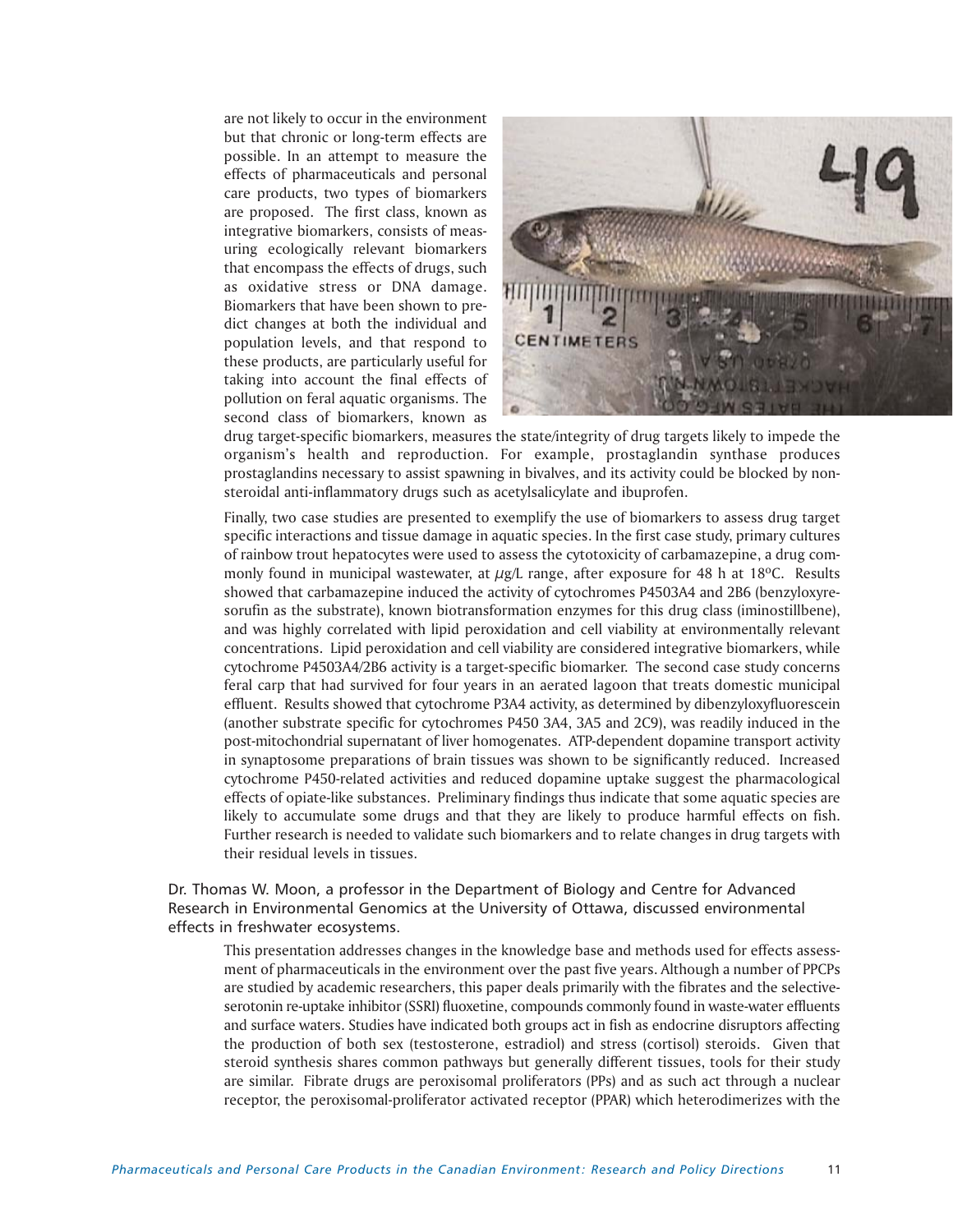are not likely to occur in the environment but that chronic or long-term effects are possible. In an attempt to measure the effects of pharmaceuticals and personal care products, two types of biomarkers are proposed. The first class, known as integrative biomarkers, consists of measuring ecologically relevant biomarkers that encompass the effects of drugs, such as oxidative stress or DNA damage. Biomarkers that have been shown to predict changes at both the individual and population levels, and that respond to these products, are particularly useful for taking into account the final effects of pollution on feral aquatic organisms. The second class of biomarkers, known as



drug target-specific biomarkers, measures the state/integrity of drug targets likely to impede the organism's health and reproduction. For example, prostaglandin synthase produces prostaglandins necessary to assist spawning in bivalves, and its activity could be blocked by nonsteroidal anti-inflammatory drugs such as acetylsalicylate and ibuprofen.

Finally, two case studies are presented to exemplify the use of biomarkers to assess drug target specific interactions and tissue damage in aquatic species. In the first case study, primary cultures of rainbow trout hepatocytes were used to assess the cytotoxicity of carbamazepine, a drug commonly found in municipal wastewater, at  $\mu$ g/L range, after exposure for 48 h at 18°C. Results showed that carbamazepine induced the activity of cytochromes P4503A4 and 2B6 (benzyloxyresorufin as the substrate), known biotransformation enzymes for this drug class (iminostillbene), and was highly correlated with lipid peroxidation and cell viability at environmentally relevant concentrations. Lipid peroxidation and cell viability are considered integrative biomarkers, while cytochrome P4503A4/2B6 activity is a target-specific biomarker. The second case study concerns feral carp that had survived for four years in an aerated lagoon that treats domestic municipal effluent. Results showed that cytochrome P3A4 activity, as determined by dibenzyloxyfluorescein (another substrate specific for cytochromes P450 3A4, 3A5 and 2C9), was readily induced in the post-mitochondrial supernatant of liver homogenates. ATP-dependent dopamine transport activity in synaptosome preparations of brain tissues was shown to be significantly reduced. Increased cytochrome P450-related activities and reduced dopamine uptake suggest the pharmacological effects of opiate-like substances. Preliminary findings thus indicate that some aquatic species are likely to accumulate some drugs and that they are likely to produce harmful effects on fish. Further research is needed to validate such biomarkers and to relate changes in drug targets with their residual levels in tissues.

Dr. Thomas W. Moon, a professor in the Department of Biology and Centre for Advanced Research in Environmental Genomics at the University of Ottawa, discussed environmental effects in freshwater ecosystems.

This presentation addresses changes in the knowledge base and methods used for effects assessment of pharmaceuticals in the environment over the past five years. Although a number of PPCPs are studied by academic researchers, this paper deals primarily with the fibrates and the selectiveserotonin re-uptake inhibitor (SSRI) fluoxetine, compounds commonly found in waste-water effluents and surface waters. Studies have indicated both groups act in fish as endocrine disruptors affecting the production of both sex (testosterone, estradiol) and stress (cortisol) steroids. Given that steroid synthesis shares common pathways but generally different tissues, tools for their study are similar. Fibrate drugs are peroxisomal proliferators (PPs) and as such act through a nuclear receptor, the peroxisomal-proliferator activated receptor (PPAR) which heterodimerizes with the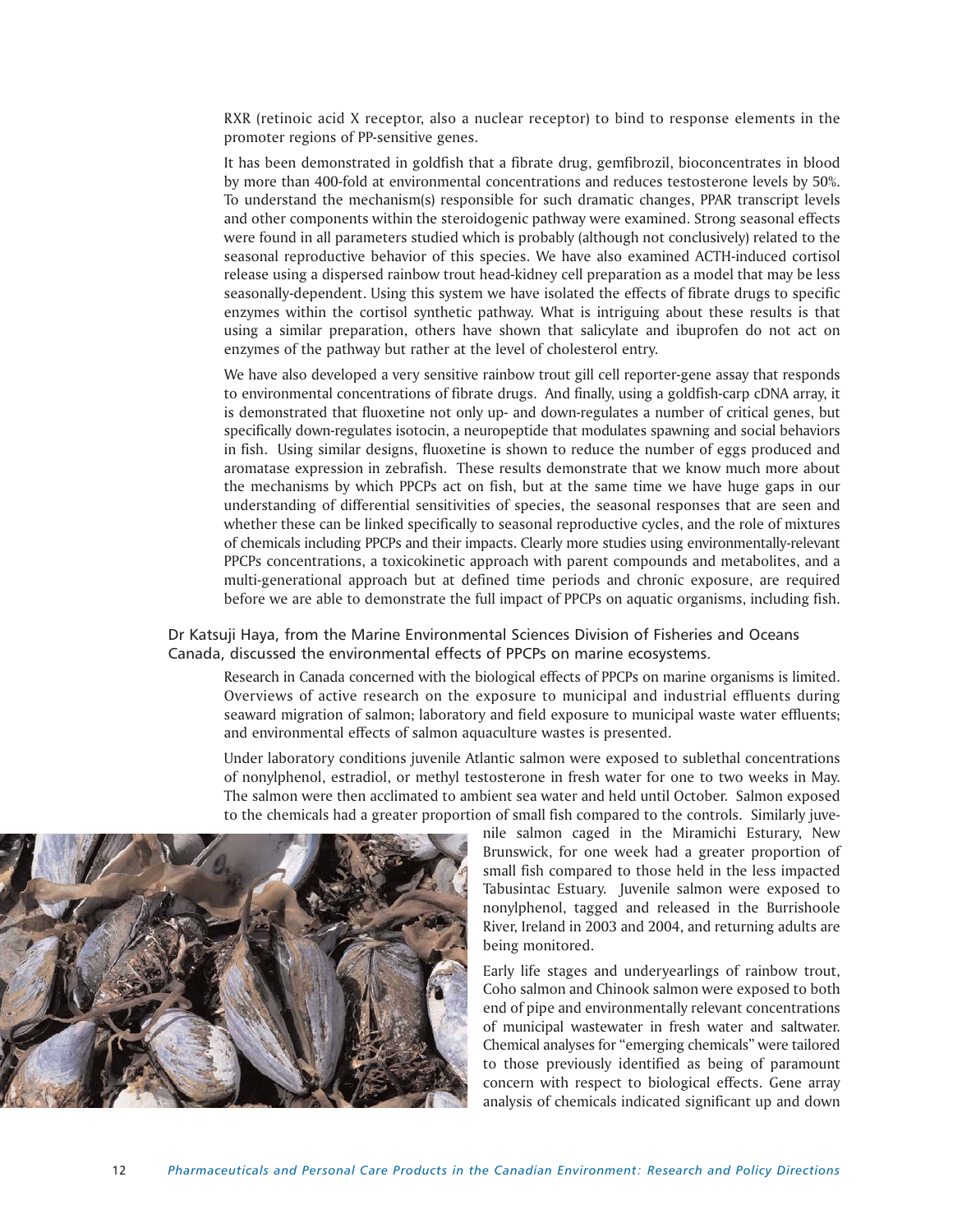RXR (retinoic acid X receptor, also a nuclear receptor) to bind to response elements in the promoter regions of PP-sensitive genes.

It has been demonstrated in goldfish that a fibrate drug, gemfibrozil, bioconcentrates in blood by more than 400-fold at environmental concentrations and reduces testosterone levels by 50%. To understand the mechanism(s) responsible for such dramatic changes, PPAR transcript levels and other components within the steroidogenic pathway were examined. Strong seasonal effects were found in all parameters studied which is probably (although not conclusively) related to the seasonal reproductive behavior of this species. We have also examined ACTH-induced cortisol release using a dispersed rainbow trout head-kidney cell preparation as a model that may be less seasonally-dependent. Using this system we have isolated the effects of fibrate drugs to specific enzymes within the cortisol synthetic pathway. What is intriguing about these results is that using a similar preparation, others have shown that salicylate and ibuprofen do not act on enzymes of the pathway but rather at the level of cholesterol entry.

We have also developed a very sensitive rainbow trout gill cell reporter-gene assay that responds to environmental concentrations of fibrate drugs. And finally, using a goldfish-carp cDNA array, it is demonstrated that fluoxetine not only up- and down-regulates a number of critical genes, but specifically down-regulates isotocin, a neuropeptide that modulates spawning and social behaviors in fish. Using similar designs, fluoxetine is shown to reduce the number of eggs produced and aromatase expression in zebrafish. These results demonstrate that we know much more about the mechanisms by which PPCPs act on fish, but at the same time we have huge gaps in our understanding of differential sensitivities of species, the seasonal responses that are seen and whether these can be linked specifically to seasonal reproductive cycles, and the role of mixtures of chemicals including PPCPs and their impacts. Clearly more studies using environmentally-relevant PPCPs concentrations, a toxicokinetic approach with parent compounds and metabolites, and a multi-generational approach but at defined time periods and chronic exposure, are required before we are able to demonstrate the full impact of PPCPs on aquatic organisms, including fish.

Dr Katsuji Haya, from the Marine Environmental Sciences Division of Fisheries and Oceans Canada, discussed the environmental effects of PPCPs on marine ecosystems.

Research in Canada concerned with the biological effects of PPCPs on marine organisms is limited. Overviews of active research on the exposure to municipal and industrial effluents during seaward migration of salmon; laboratory and field exposure to municipal waste water effluents; and environmental effects of salmon aquaculture wastes is presented.

Under laboratory conditions juvenile Atlantic salmon were exposed to sublethal concentrations of nonylphenol, estradiol, or methyl testosterone in fresh water for one to two weeks in May. The salmon were then acclimated to ambient sea water and held until October. Salmon exposed to the chemicals had a greater proportion of small fish compared to the controls. Similarly juve-

> nile salmon caged in the Miramichi Esturary, New Brunswick, for one week had a greater proportion of small fish compared to those held in the less impacted Tabusintac Estuary. Juvenile salmon were exposed to nonylphenol, tagged and released in the Burrishoole River, Ireland in 2003 and 2004, and returning adults are being monitored.

> Early life stages and underyearlings of rainbow trout, Coho salmon and Chinook salmon were exposed to both end of pipe and environmentally relevant concentrations of municipal wastewater in fresh water and saltwater. Chemical analyses for "emerging chemicals" were tailored to those previously identified as being of paramount concern with respect to biological effects. Gene array analysis of chemicals indicated significant up and down

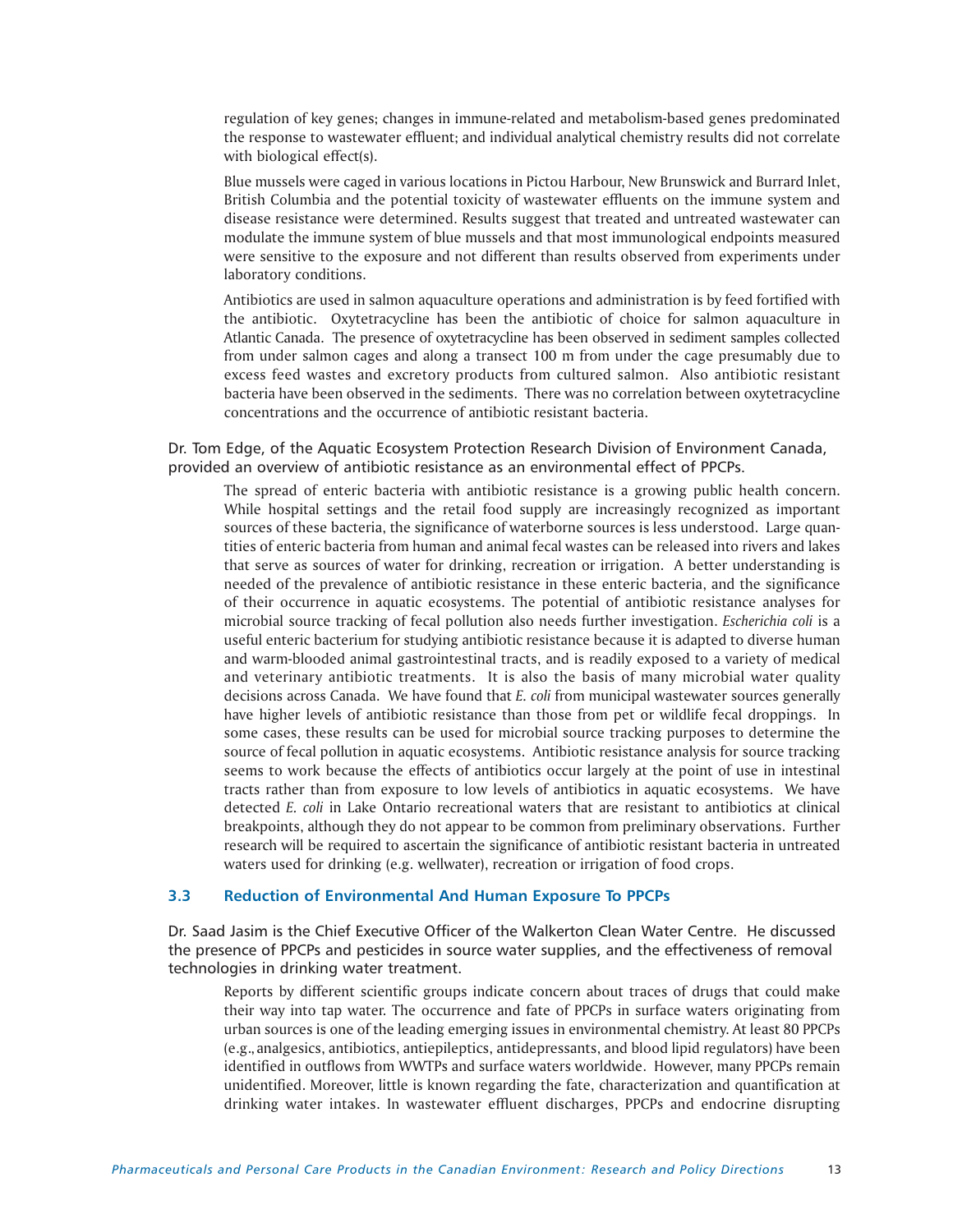regulation of key genes; changes in immune-related and metabolism-based genes predominated the response to wastewater effluent; and individual analytical chemistry results did not correlate with biological effect(s).

Blue mussels were caged in various locations in Pictou Harbour, New Brunswick and Burrard Inlet, British Columbia and the potential toxicity of wastewater effluents on the immune system and disease resistance were determined. Results suggest that treated and untreated wastewater can modulate the immune system of blue mussels and that most immunological endpoints measured were sensitive to the exposure and not different than results observed from experiments under laboratory conditions.

Antibiotics are used in salmon aquaculture operations and administration is by feed fortified with the antibiotic. Oxytetracycline has been the antibiotic of choice for salmon aquaculture in Atlantic Canada. The presence of oxytetracycline has been observed in sediment samples collected from under salmon cages and along a transect 100 m from under the cage presumably due to excess feed wastes and excretory products from cultured salmon. Also antibiotic resistant bacteria have been observed in the sediments. There was no correlation between oxytetracycline concentrations and the occurrence of antibiotic resistant bacteria.

Dr. Tom Edge, of the Aquatic Ecosystem Protection Research Division of Environment Canada, provided an overview of antibiotic resistance as an environmental effect of PPCPs.

The spread of enteric bacteria with antibiotic resistance is a growing public health concern. While hospital settings and the retail food supply are increasingly recognized as important sources of these bacteria, the significance of waterborne sources is less understood. Large quantities of enteric bacteria from human and animal fecal wastes can be released into rivers and lakes that serve as sources of water for drinking, recreation or irrigation. A better understanding is needed of the prevalence of antibiotic resistance in these enteric bacteria, and the significance of their occurrence in aquatic ecosystems. The potential of antibiotic resistance analyses for microbial source tracking of fecal pollution also needs further investigation. *Escherichia coli* is a useful enteric bacterium for studying antibiotic resistance because it is adapted to diverse human and warm-blooded animal gastrointestinal tracts, and is readily exposed to a variety of medical and veterinary antibiotic treatments. It is also the basis of many microbial water quality decisions across Canada. We have found that *E. coli* from municipal wastewater sources generally have higher levels of antibiotic resistance than those from pet or wildlife fecal droppings. In some cases, these results can be used for microbial source tracking purposes to determine the source of fecal pollution in aquatic ecosystems. Antibiotic resistance analysis for source tracking seems to work because the effects of antibiotics occur largely at the point of use in intestinal tracts rather than from exposure to low levels of antibiotics in aquatic ecosystems. We have detected *E. coli* in Lake Ontario recreational waters that are resistant to antibiotics at clinical breakpoints, although they do not appear to be common from preliminary observations. Further research will be required to ascertain the significance of antibiotic resistant bacteria in untreated waters used for drinking (e.g. wellwater), recreation or irrigation of food crops.

# **3.3 Reduction of Environmental And Human Exposure To PPCPs**

Dr. Saad Jasim is the Chief Executive Officer of the Walkerton Clean Water Centre. He discussed the presence of PPCPs and pesticides in source water supplies, and the effectiveness of removal technologies in drinking water treatment.

Reports by different scientific groups indicate concern about traces of drugs that could make their way into tap water. The occurrence and fate of PPCPs in surface waters originating from urban sources is one of the leading emerging issues in environmental chemistry. At least 80 PPCPs (e.g., analgesics, antibiotics, antiepileptics, antidepressants, and blood lipid regulators) have been identified in outflows from WWTPs and surface waters worldwide. However, many PPCPs remain unidentified. Moreover, little is known regarding the fate, characterization and quantification at drinking water intakes. In wastewater effluent discharges, PPCPs and endocrine disrupting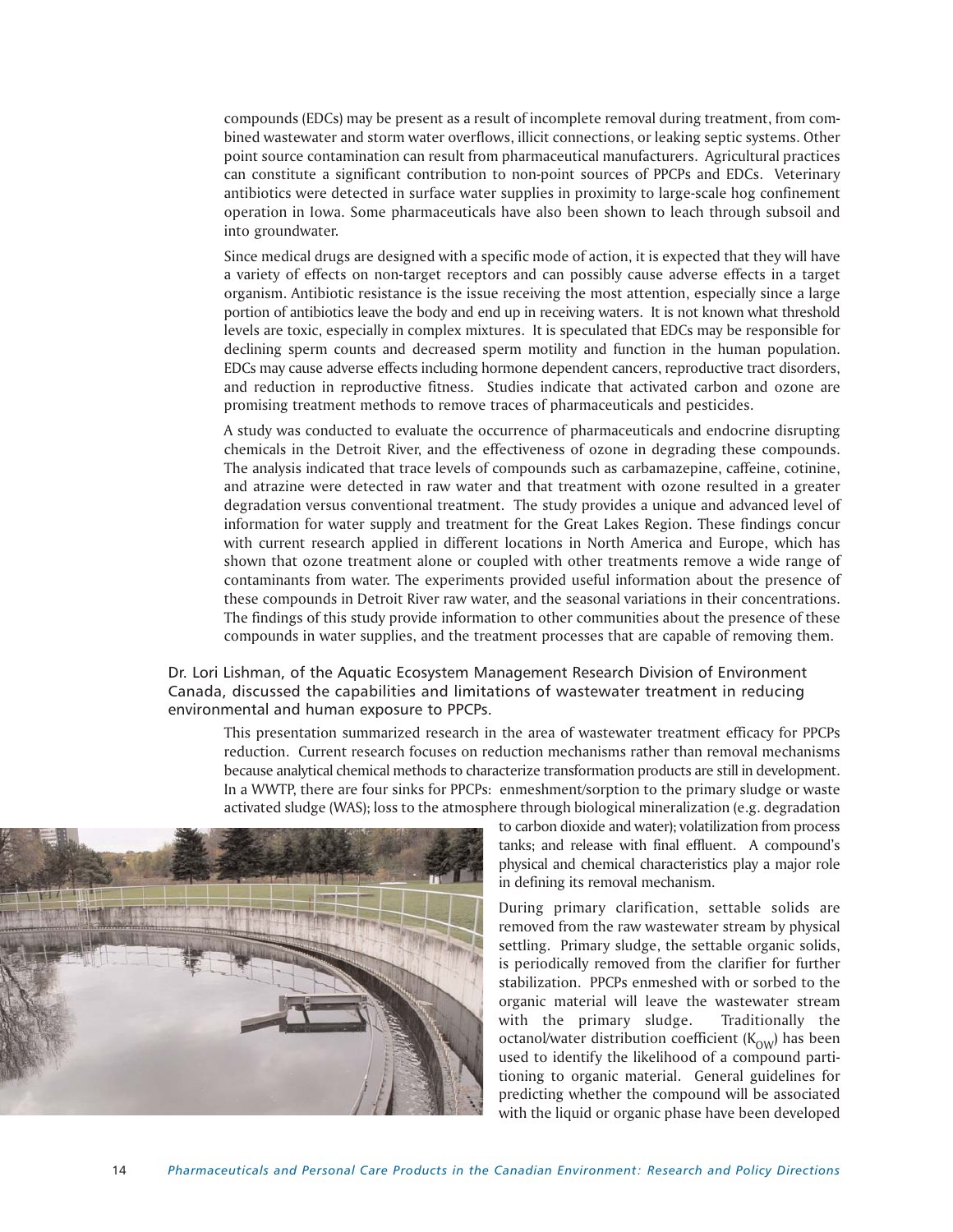compounds (EDCs) may be present as a result of incomplete removal during treatment, from combined wastewater and storm water overflows, illicit connections, or leaking septic systems. Other point source contamination can result from pharmaceutical manufacturers. Agricultural practices can constitute a significant contribution to non-point sources of PPCPs and EDCs. Veterinary antibiotics were detected in surface water supplies in proximity to large-scale hog confinement operation in Iowa. Some pharmaceuticals have also been shown to leach through subsoil and into groundwater.

Since medical drugs are designed with a specific mode of action, it is expected that they will have a variety of effects on non-target receptors and can possibly cause adverse effects in a target organism. Antibiotic resistance is the issue receiving the most attention, especially since a large portion of antibiotics leave the body and end up in receiving waters. It is not known what threshold levels are toxic, especially in complex mixtures. It is speculated that EDCs may be responsible for declining sperm counts and decreased sperm motility and function in the human population. EDCs may cause adverse effects including hormone dependent cancers, reproductive tract disorders, and reduction in reproductive fitness. Studies indicate that activated carbon and ozone are promising treatment methods to remove traces of pharmaceuticals and pesticides.

A study was conducted to evaluate the occurrence of pharmaceuticals and endocrine disrupting chemicals in the Detroit River, and the effectiveness of ozone in degrading these compounds. The analysis indicated that trace levels of compounds such as carbamazepine, caffeine, cotinine, and atrazine were detected in raw water and that treatment with ozone resulted in a greater degradation versus conventional treatment. The study provides a unique and advanced level of information for water supply and treatment for the Great Lakes Region. These findings concur with current research applied in different locations in North America and Europe, which has shown that ozone treatment alone or coupled with other treatments remove a wide range of contaminants from water. The experiments provided useful information about the presence of these compounds in Detroit River raw water, and the seasonal variations in their concentrations. The findings of this study provide information to other communities about the presence of these compounds in water supplies, and the treatment processes that are capable of removing them.

# Dr. Lori Lishman, of the Aquatic Ecosystem Management Research Division of Environment Canada, discussed the capabilities and limitations of wastewater treatment in reducing environmental and human exposure to PPCPs.

This presentation summarized research in the area of wastewater treatment efficacy for PPCPs reduction. Current research focuses on reduction mechanisms rather than removal mechanisms because analytical chemical methods to characterize transformation products are still in development. In a WWTP, there are four sinks for PPCPs: enmeshment/sorption to the primary sludge or waste activated sludge (WAS); loss to the atmosphere through biological mineralization (e.g. degradation



to carbon dioxide and water); volatilization from process tanks; and release with final effluent. A compound's physical and chemical characteristics play a major role in defining its removal mechanism.

During primary clarification, settable solids are removed from the raw wastewater stream by physical settling. Primary sludge, the settable organic solids, is periodically removed from the clarifier for further stabilization. PPCPs enmeshed with or sorbed to the organic material will leave the wastewater stream with the primary sludge. Traditionally the octanol/water distribution coefficient  $(K<sub>OW</sub>)$  has been used to identify the likelihood of a compound partitioning to organic material. General guidelines for predicting whether the compound will be associated with the liquid or organic phase have been developed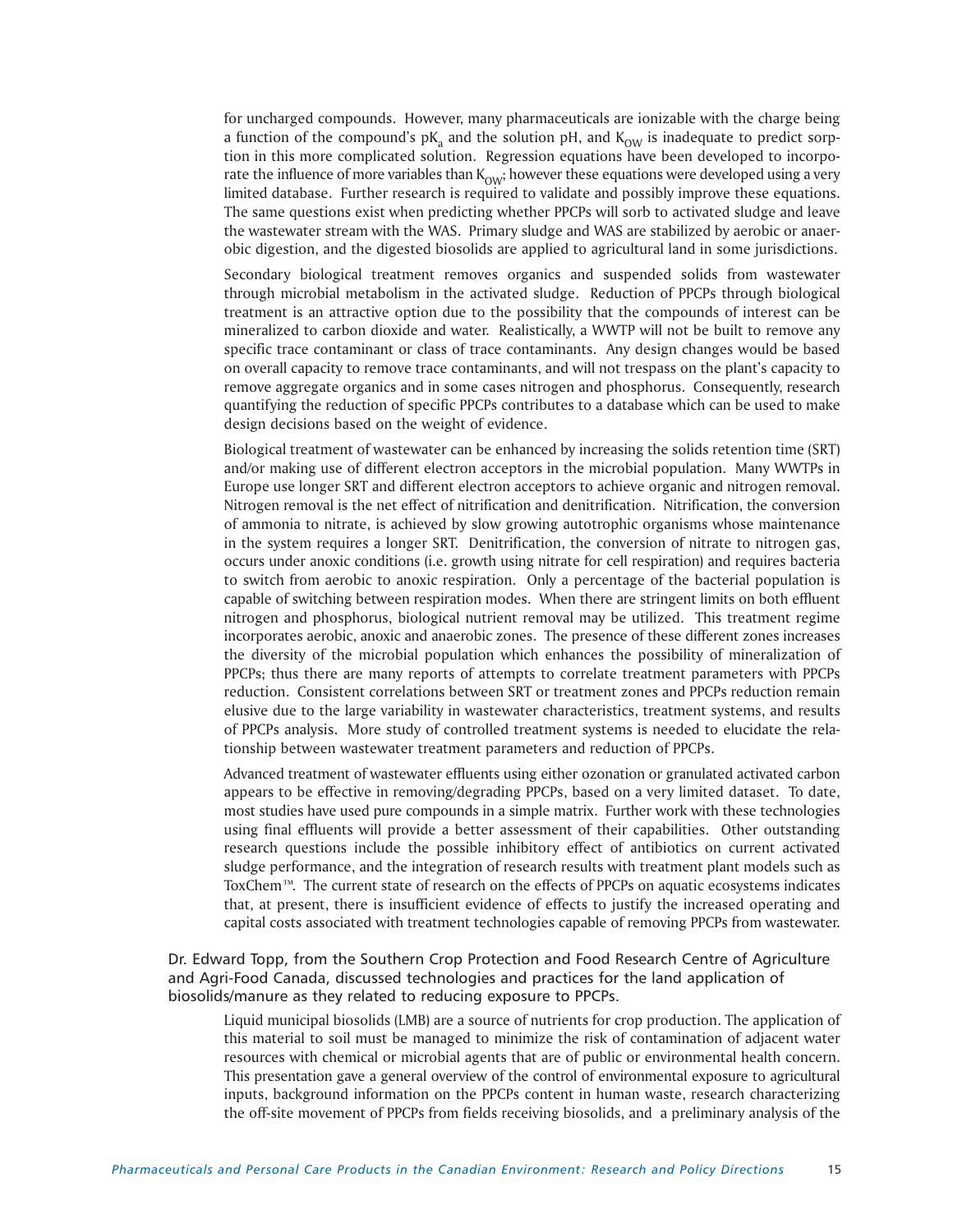for uncharged compounds. However, many pharmaceuticals are ionizable with the charge being a function of the compound's  $pK_a$  and the solution pH, and  $K_{OW}$  is inadequate to predict sorption in this more complicated solution. Regression equations have been developed to incorporate the influence of more variables than  $K_{\text{OW}}$ ; however these equations were developed using a very limited database. Further research is required to validate and possibly improve these equations. The same questions exist when predicting whether PPCPs will sorb to activated sludge and leave the wastewater stream with the WAS. Primary sludge and WAS are stabilized by aerobic or anaerobic digestion, and the digested biosolids are applied to agricultural land in some jurisdictions.

Secondary biological treatment removes organics and suspended solids from wastewater through microbial metabolism in the activated sludge. Reduction of PPCPs through biological treatment is an attractive option due to the possibility that the compounds of interest can be mineralized to carbon dioxide and water. Realistically, a WWTP will not be built to remove any specific trace contaminant or class of trace contaminants. Any design changes would be based on overall capacity to remove trace contaminants, and will not trespass on the plant's capacity to remove aggregate organics and in some cases nitrogen and phosphorus. Consequently, research quantifying the reduction of specific PPCPs contributes to a database which can be used to make design decisions based on the weight of evidence.

Biological treatment of wastewater can be enhanced by increasing the solids retention time (SRT) and/or making use of different electron acceptors in the microbial population. Many WWTPs in Europe use longer SRT and different electron acceptors to achieve organic and nitrogen removal. Nitrogen removal is the net effect of nitrification and denitrification. Nitrification, the conversion of ammonia to nitrate, is achieved by slow growing autotrophic organisms whose maintenance in the system requires a longer SRT. Denitrification, the conversion of nitrate to nitrogen gas, occurs under anoxic conditions (i.e. growth using nitrate for cell respiration) and requires bacteria to switch from aerobic to anoxic respiration. Only a percentage of the bacterial population is capable of switching between respiration modes. When there are stringent limits on both effluent nitrogen and phosphorus, biological nutrient removal may be utilized. This treatment regime incorporates aerobic, anoxic and anaerobic zones. The presence of these different zones increases the diversity of the microbial population which enhances the possibility of mineralization of PPCPs; thus there are many reports of attempts to correlate treatment parameters with PPCPs reduction. Consistent correlations between SRT or treatment zones and PPCPs reduction remain elusive due to the large variability in wastewater characteristics, treatment systems, and results of PPCPs analysis. More study of controlled treatment systems is needed to elucidate the relationship between wastewater treatment parameters and reduction of PPCPs.

Advanced treatment of wastewater effluents using either ozonation or granulated activated carbon appears to be effective in removing/degrading PPCPs, based on a very limited dataset. To date, most studies have used pure compounds in a simple matrix. Further work with these technologies using final effluents will provide a better assessment of their capabilities. Other outstanding research questions include the possible inhibitory effect of antibiotics on current activated sludge performance, and the integration of research results with treatment plant models such as ToxChem™. The current state of research on the effects of PPCPs on aquatic ecosystems indicates that, at present, there is insufficient evidence of effects to justify the increased operating and capital costs associated with treatment technologies capable of removing PPCPs from wastewater.

Dr. Edward Topp, from the Southern Crop Protection and Food Research Centre of Agriculture and Agri-Food Canada, discussed technologies and practices for the land application of biosolids/manure as they related to reducing exposure to PPCPs.

Liquid municipal biosolids (LMB) are a source of nutrients for crop production. The application of this material to soil must be managed to minimize the risk of contamination of adjacent water resources with chemical or microbial agents that are of public or environmental health concern. This presentation gave a general overview of the control of environmental exposure to agricultural inputs, background information on the PPCPs content in human waste, research characterizing the off-site movement of PPCPs from fields receiving biosolids, and a preliminary analysis of the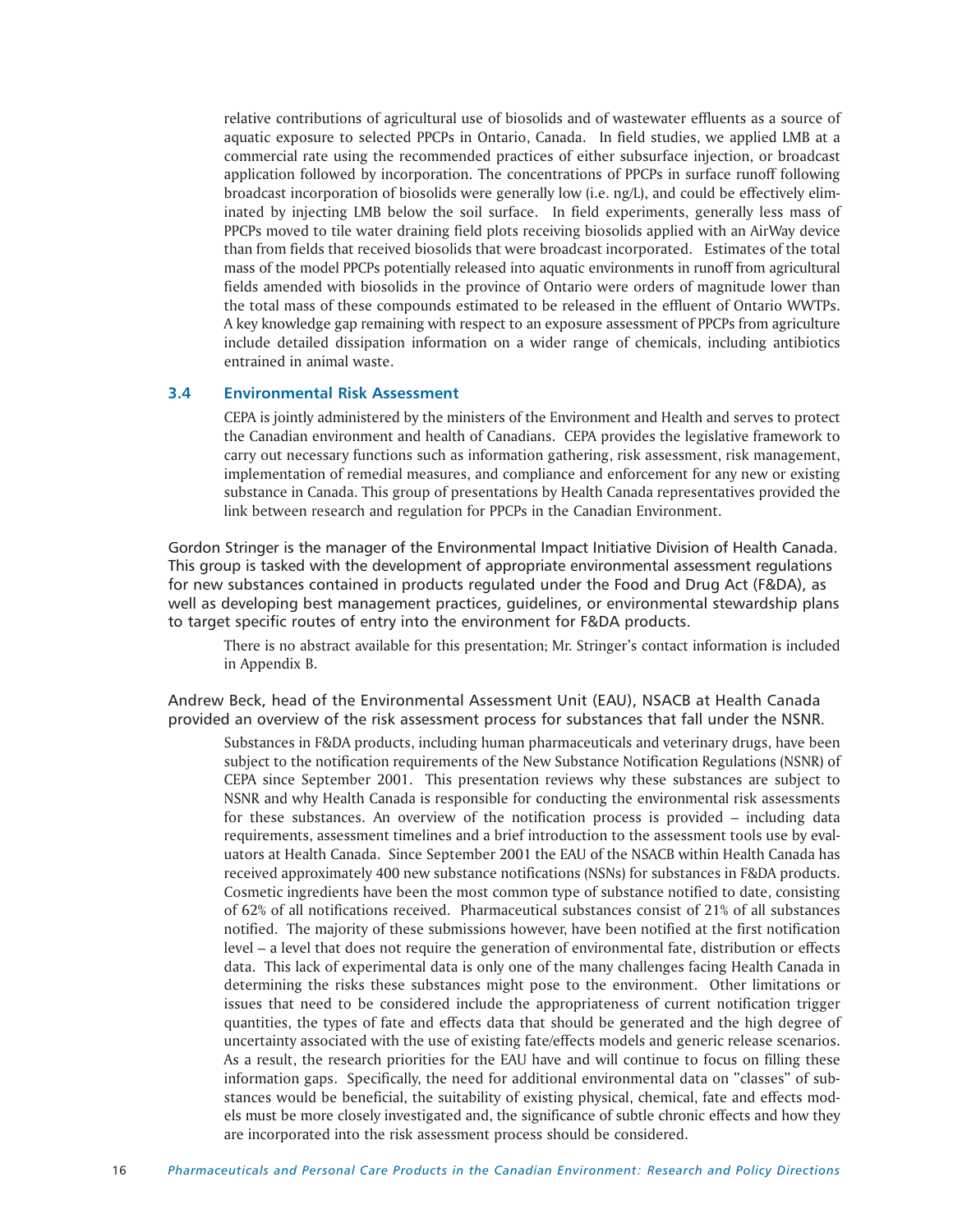relative contributions of agricultural use of biosolids and of wastewater effluents as a source of aquatic exposure to selected PPCPs in Ontario, Canada. In field studies, we applied LMB at a commercial rate using the recommended practices of either subsurface injection, or broadcast application followed by incorporation. The concentrations of PPCPs in surface runoff following broadcast incorporation of biosolids were generally low (i.e. ng/L), and could be effectively eliminated by injecting LMB below the soil surface. In field experiments, generally less mass of PPCPs moved to tile water draining field plots receiving biosolids applied with an AirWay device than from fields that received biosolids that were broadcast incorporated. Estimates of the total mass of the model PPCPs potentially released into aquatic environments in runoff from agricultural fields amended with biosolids in the province of Ontario were orders of magnitude lower than the total mass of these compounds estimated to be released in the effluent of Ontario WWTPs. A key knowledge gap remaining with respect to an exposure assessment of PPCPs from agriculture include detailed dissipation information on a wider range of chemicals, including antibiotics entrained in animal waste.

# **3.4 Environmental Risk Assessment**

CEPA is jointly administered by the ministers of the Environment and Health and serves to protect the Canadian environment and health of Canadians. CEPA provides the legislative framework to carry out necessary functions such as information gathering, risk assessment, risk management, implementation of remedial measures, and compliance and enforcement for any new or existing substance in Canada. This group of presentations by Health Canada representatives provided the link between research and regulation for PPCPs in the Canadian Environment.

Gordon Stringer is the manager of the Environmental Impact Initiative Division of Health Canada. This group is tasked with the development of appropriate environmental assessment regulations for new substances contained in products regulated under the Food and Drug Act (F&DA), as well as developing best management practices, guidelines, or environmental stewardship plans to target specific routes of entry into the environment for F&DA products.

There is no abstract available for this presentation; Mr. Stringer's contact information is included in Appendix B.

Andrew Beck, head of the Environmental Assessment Unit (EAU), NSACB at Health Canada provided an overview of the risk assessment process for substances that fall under the NSNR.

Substances in F&DA products, including human pharmaceuticals and veterinary drugs, have been subject to the notification requirements of the New Substance Notification Regulations (NSNR) of CEPA since September 2001. This presentation reviews why these substances are subject to NSNR and why Health Canada is responsible for conducting the environmental risk assessments for these substances. An overview of the notification process is provided – including data requirements, assessment timelines and a brief introduction to the assessment tools use by evaluators at Health Canada. Since September 2001 the EAU of the NSACB within Health Canada has received approximately 400 new substance notifications (NSNs) for substances in F&DA products. Cosmetic ingredients have been the most common type of substance notified to date, consisting of 62% of all notifications received. Pharmaceutical substances consist of 21% of all substances notified. The majority of these submissions however, have been notified at the first notification level – a level that does not require the generation of environmental fate, distribution or effects data. This lack of experimental data is only one of the many challenges facing Health Canada in determining the risks these substances might pose to the environment. Other limitations or issues that need to be considered include the appropriateness of current notification trigger quantities, the types of fate and effects data that should be generated and the high degree of uncertainty associated with the use of existing fate/effects models and generic release scenarios. As a result, the research priorities for the EAU have and will continue to focus on filling these information gaps. Specifically, the need for additional environmental data on "classes" of substances would be beneficial, the suitability of existing physical, chemical, fate and effects models must be more closely investigated and, the significance of subtle chronic effects and how they are incorporated into the risk assessment process should be considered.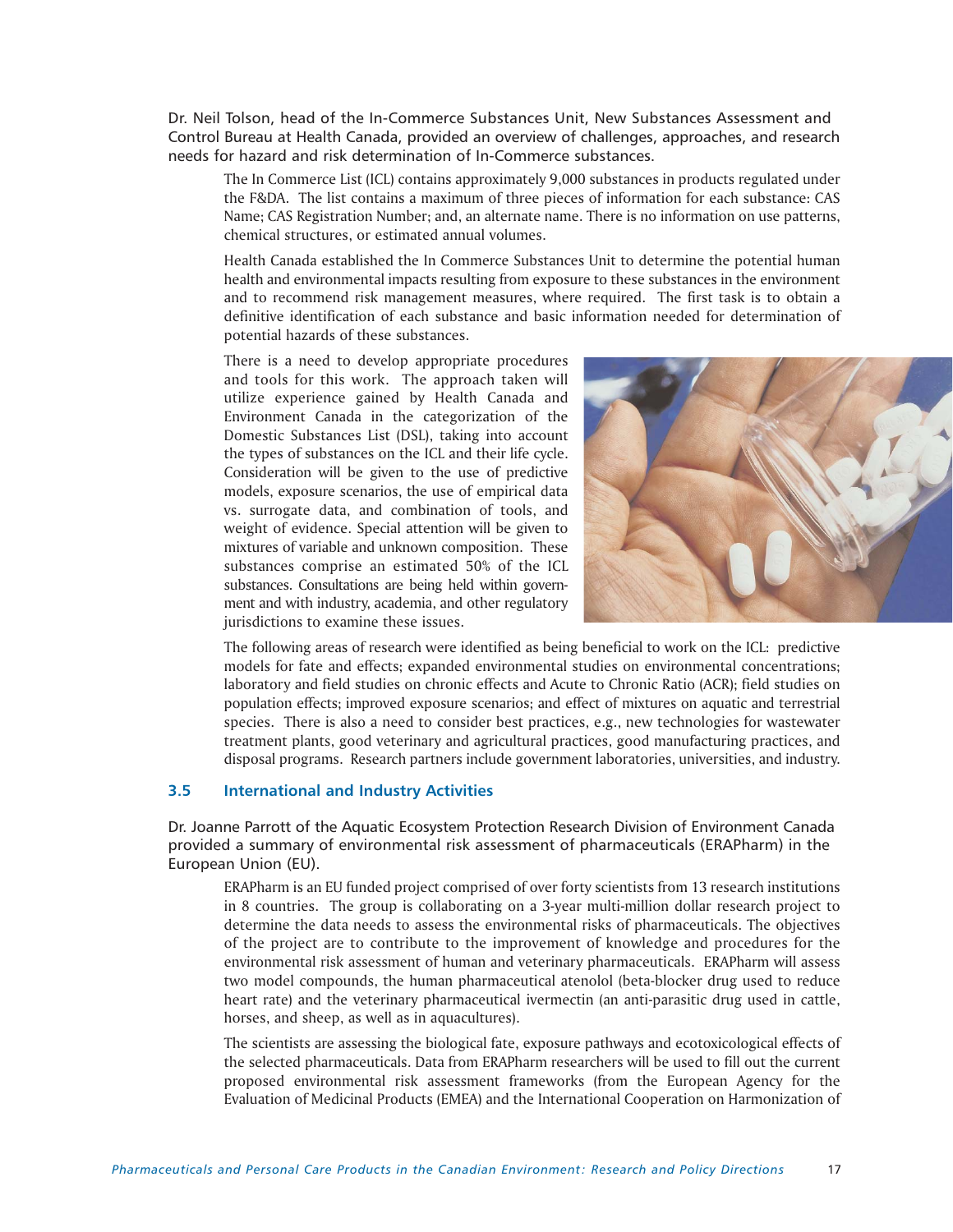Dr. Neil Tolson, head of the In-Commerce Substances Unit, New Substances Assessment and Control Bureau at Health Canada, provided an overview of challenges, approaches, and research needs for hazard and risk determination of In-Commerce substances.

The In Commerce List (ICL) contains approximately 9,000 substances in products regulated under the F&DA. The list contains a maximum of three pieces of information for each substance: CAS Name; CAS Registration Number; and, an alternate name. There is no information on use patterns, chemical structures, or estimated annual volumes.

Health Canada established the In Commerce Substances Unit to determine the potential human health and environmental impacts resulting from exposure to these substances in the environment and to recommend risk management measures, where required. The first task is to obtain a definitive identification of each substance and basic information needed for determination of potential hazards of these substances.

There is a need to develop appropriate procedures and tools for this work. The approach taken will utilize experience gained by Health Canada and Environment Canada in the categorization of the Domestic Substances List (DSL), taking into account the types of substances on the ICL and their life cycle. Consideration will be given to the use of predictive models, exposure scenarios, the use of empirical data vs. surrogate data, and combination of tools, and weight of evidence. Special attention will be given to mixtures of variable and unknown composition. These substances comprise an estimated 50% of the ICL substances. Consultations are being held within government and with industry, academia, and other regulatory jurisdictions to examine these issues.



The following areas of research were identified as being beneficial to work on the ICL: predictive models for fate and effects; expanded environmental studies on environmental concentrations; laboratory and field studies on chronic effects and Acute to Chronic Ratio (ACR); field studies on population effects; improved exposure scenarios; and effect of mixtures on aquatic and terrestrial species. There is also a need to consider best practices, e.g., new technologies for wastewater treatment plants, good veterinary and agricultural practices, good manufacturing practices, and disposal programs. Research partners include government laboratories, universities, and industry.

# **3.5 International and Industry Activities**

Dr. Joanne Parrott of the Aquatic Ecosystem Protection Research Division of Environment Canada provided a summary of environmental risk assessment of pharmaceuticals (ERAPharm) in the European Union (EU).

ERAPharm is an EU funded project comprised of over forty scientists from 13 research institutions in 8 countries. The group is collaborating on a 3-year multi-million dollar research project to determine the data needs to assess the environmental risks of pharmaceuticals. The objectives of the project are to contribute to the improvement of knowledge and procedures for the environmental risk assessment of human and veterinary pharmaceuticals. ERAPharm will assess two model compounds, the human pharmaceutical atenolol (beta-blocker drug used to reduce heart rate) and the veterinary pharmaceutical ivermectin (an anti-parasitic drug used in cattle, horses, and sheep, as well as in aquacultures).

The scientists are assessing the biological fate, exposure pathways and ecotoxicological effects of the selected pharmaceuticals. Data from ERAPharm researchers will be used to fill out the current proposed environmental risk assessment frameworks (from the European Agency for the Evaluation of Medicinal Products (EMEA) and the International Cooperation on Harmonization of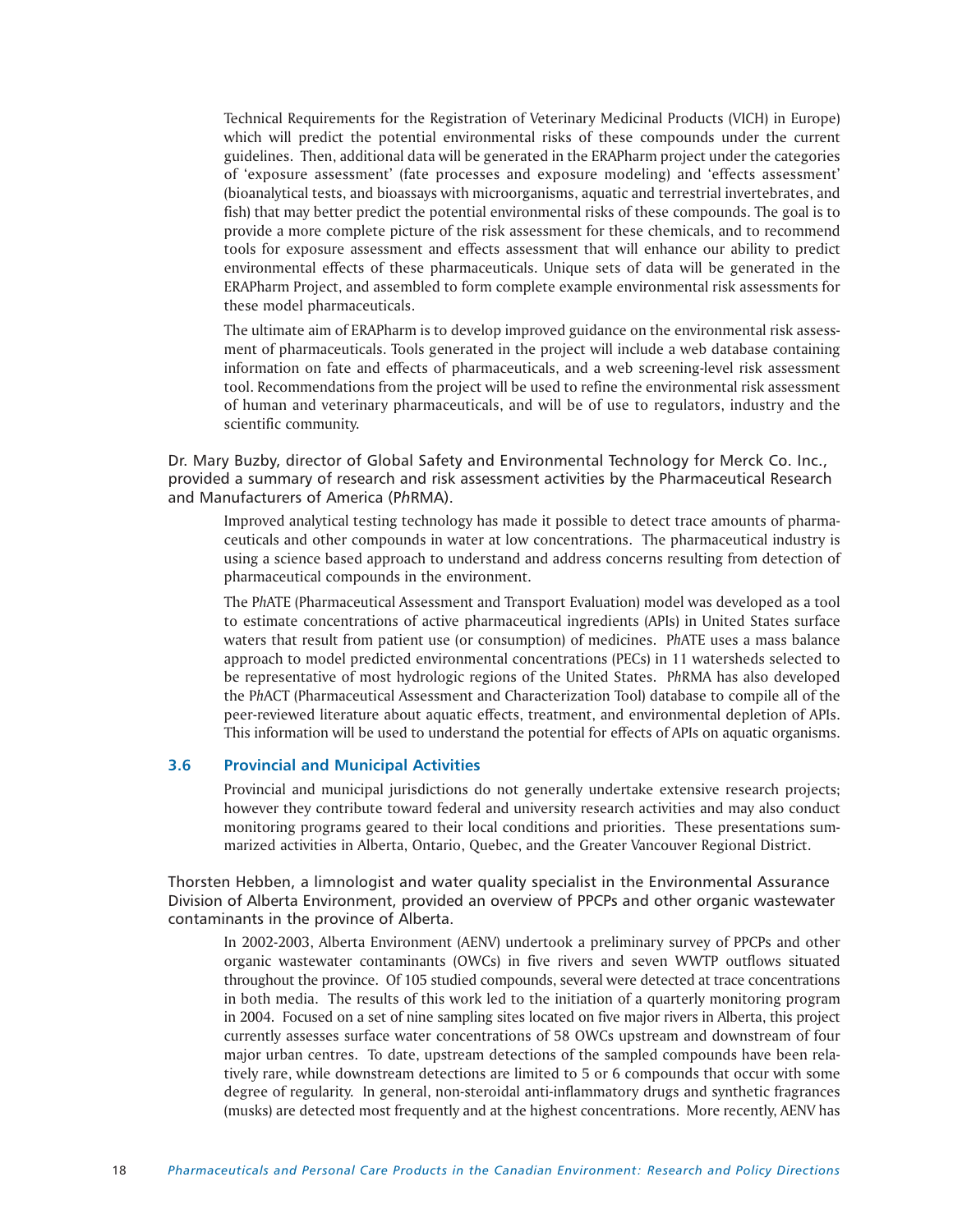Technical Requirements for the Registration of Veterinary Medicinal Products (VICH) in Europe) which will predict the potential environmental risks of these compounds under the current guidelines. Then, additional data will be generated in the ERAPharm project under the categories of 'exposure assessment' (fate processes and exposure modeling) and 'effects assessment' (bioanalytical tests, and bioassays with microorganisms, aquatic and terrestrial invertebrates, and fish) that may better predict the potential environmental risks of these compounds. The goal is to provide a more complete picture of the risk assessment for these chemicals, and to recommend tools for exposure assessment and effects assessment that will enhance our ability to predict environmental effects of these pharmaceuticals. Unique sets of data will be generated in the ERAPharm Project, and assembled to form complete example environmental risk assessments for these model pharmaceuticals.

The ultimate aim of ERAPharm is to develop improved guidance on the environmental risk assessment of pharmaceuticals. Tools generated in the project will include a web database containing information on fate and effects of pharmaceuticals, and a web screening-level risk assessment tool. Recommendations from the project will be used to refine the environmental risk assessment of human and veterinary pharmaceuticals, and will be of use to regulators, industry and the scientific community.

Dr. Mary Buzby, director of Global Safety and Environmental Technology for Merck Co. Inc., provided a summary of research and risk assessment activities by the Pharmaceutical Research and Manufacturers of America (P*h*RMA).

Improved analytical testing technology has made it possible to detect trace amounts of pharmaceuticals and other compounds in water at low concentrations. The pharmaceutical industry is using a science based approach to understand and address concerns resulting from detection of pharmaceutical compounds in the environment.

The P*h*ATE (Pharmaceutical Assessment and Transport Evaluation) model was developed as a tool to estimate concentrations of active pharmaceutical ingredients (APIs) in United States surface waters that result from patient use (or consumption) of medicines. P*h*ATE uses a mass balance approach to model predicted environmental concentrations (PECs) in 11 watersheds selected to be representative of most hydrologic regions of the United States. P*h*RMA has also developed the P*h*ACT (Pharmaceutical Assessment and Characterization Tool) database to compile all of the peer-reviewed literature about aquatic effects, treatment, and environmental depletion of APIs. This information will be used to understand the potential for effects of APIs on aquatic organisms.

# **3.6 Provincial and Municipal Activities**

Provincial and municipal jurisdictions do not generally undertake extensive research projects; however they contribute toward federal and university research activities and may also conduct monitoring programs geared to their local conditions and priorities. These presentations summarized activities in Alberta, Ontario, Quebec, and the Greater Vancouver Regional District.

Thorsten Hebben, a limnologist and water quality specialist in the Environmental Assurance Division of Alberta Environment, provided an overview of PPCPs and other organic wastewater contaminants in the province of Alberta.

In 2002-2003, Alberta Environment (AENV) undertook a preliminary survey of PPCPs and other organic wastewater contaminants (OWCs) in five rivers and seven WWTP outflows situated throughout the province. Of 105 studied compounds, several were detected at trace concentrations in both media. The results of this work led to the initiation of a quarterly monitoring program in 2004. Focused on a set of nine sampling sites located on five major rivers in Alberta, this project currently assesses surface water concentrations of 58 OWCs upstream and downstream of four major urban centres. To date, upstream detections of the sampled compounds have been relatively rare, while downstream detections are limited to 5 or 6 compounds that occur with some degree of regularity. In general, non-steroidal anti-inflammatory drugs and synthetic fragrances (musks) are detected most frequently and at the highest concentrations. More recently, AENV has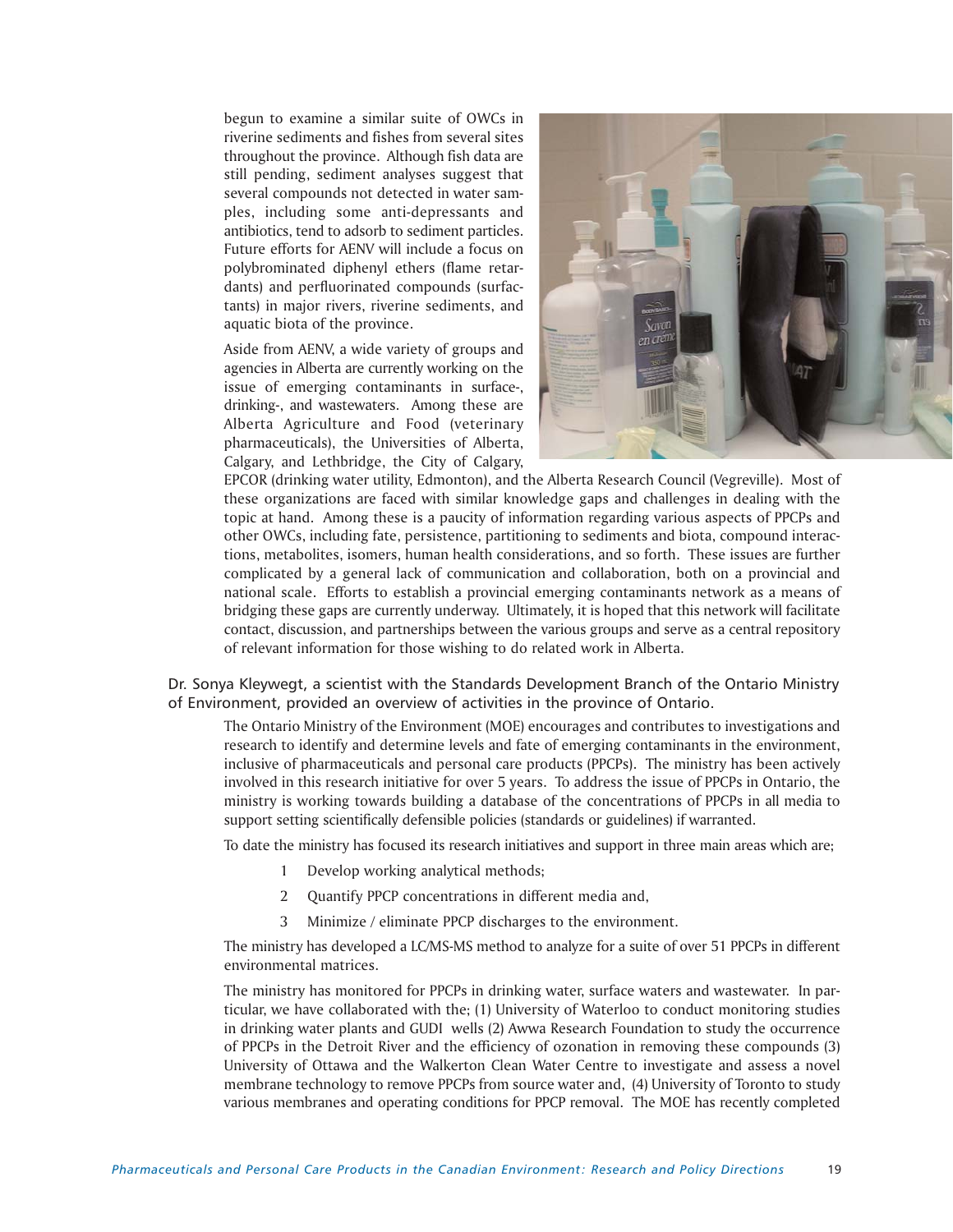begun to examine a similar suite of OWCs in riverine sediments and fishes from several sites throughout the province. Although fish data are still pending, sediment analyses suggest that several compounds not detected in water samples, including some anti-depressants and antibiotics, tend to adsorb to sediment particles. Future efforts for AENV will include a focus on polybrominated diphenyl ethers (flame retardants) and perfluorinated compounds (surfactants) in major rivers, riverine sediments, and aquatic biota of the province.

Aside from AENV, a wide variety of groups and agencies in Alberta are currently working on the issue of emerging contaminants in surface-, drinking-, and wastewaters. Among these are Alberta Agriculture and Food (veterinary pharmaceuticals), the Universities of Alberta, Calgary, and Lethbridge, the City of Calgary,



EPCOR (drinking water utility, Edmonton), and the Alberta Research Council (Vegreville). Most of these organizations are faced with similar knowledge gaps and challenges in dealing with the topic at hand. Among these is a paucity of information regarding various aspects of PPCPs and other OWCs, including fate, persistence, partitioning to sediments and biota, compound interactions, metabolites, isomers, human health considerations, and so forth. These issues are further complicated by a general lack of communication and collaboration, both on a provincial and national scale. Efforts to establish a provincial emerging contaminants network as a means of bridging these gaps are currently underway. Ultimately, it is hoped that this network will facilitate contact, discussion, and partnerships between the various groups and serve as a central repository of relevant information for those wishing to do related work in Alberta.

Dr. Sonya Kleywegt, a scientist with the Standards Development Branch of the Ontario Ministry of Environment, provided an overview of activities in the province of Ontario.

The Ontario Ministry of the Environment (MOE) encourages and contributes to investigations and research to identify and determine levels and fate of emerging contaminants in the environment, inclusive of pharmaceuticals and personal care products (PPCPs). The ministry has been actively involved in this research initiative for over 5 years. To address the issue of PPCPs in Ontario, the ministry is working towards building a database of the concentrations of PPCPs in all media to support setting scientifically defensible policies (standards or guidelines) if warranted.

To date the ministry has focused its research initiatives and support in three main areas which are;

- 1 Develop working analytical methods;
- 2 Ouantify PPCP concentrations in different media and,
- 3 Minimize / eliminate PPCP discharges to the environment.

The ministry has developed a LC/MS-MS method to analyze for a suite of over 51 PPCPs in different environmental matrices.

The ministry has monitored for PPCPs in drinking water, surface waters and wastewater. In particular, we have collaborated with the; (1) University of Waterloo to conduct monitoring studies in drinking water plants and GUDI wells (2) Awwa Research Foundation to study the occurrence of PPCPs in the Detroit River and the efficiency of ozonation in removing these compounds (3) University of Ottawa and the Walkerton Clean Water Centre to investigate and assess a novel membrane technology to remove PPCPs from source water and, (4) University of Toronto to study various membranes and operating conditions for PPCP removal. The MOE has recently completed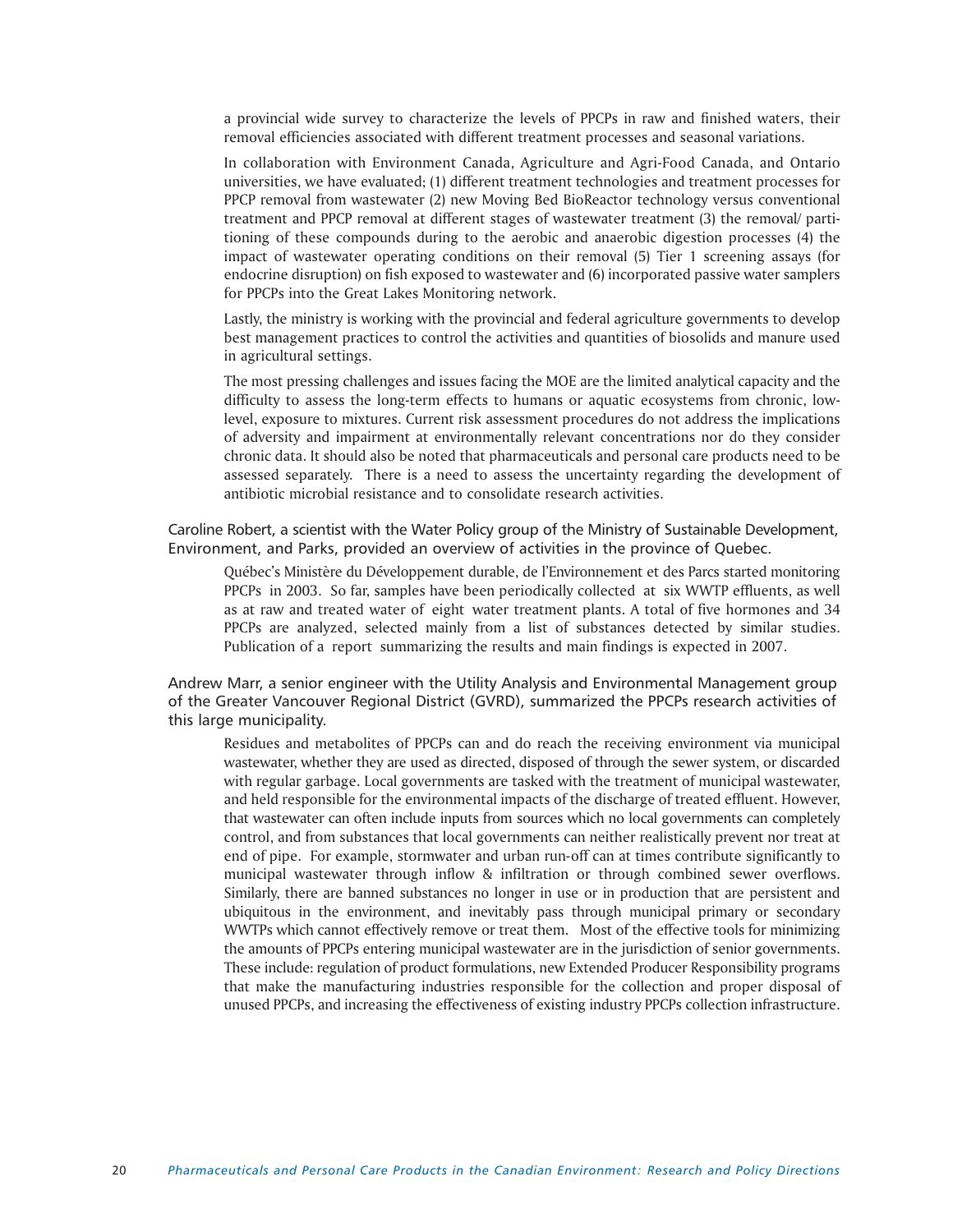a provincial wide survey to characterize the levels of PPCPs in raw and finished waters, their removal efficiencies associated with different treatment processes and seasonal variations.

In collaboration with Environment Canada, Agriculture and Agri-Food Canada, and Ontario universities, we have evaluated; (1) different treatment technologies and treatment processes for PPCP removal from wastewater (2) new Moving Bed BioReactor technology versus conventional treatment and PPCP removal at different stages of wastewater treatment (3) the removal/ partitioning of these compounds during to the aerobic and anaerobic digestion processes (4) the impact of wastewater operating conditions on their removal (5) Tier 1 screening assays (for endocrine disruption) on fish exposed to wastewater and (6) incorporated passive water samplers for PPCPs into the Great Lakes Monitoring network.

Lastly, the ministry is working with the provincial and federal agriculture governments to develop best management practices to control the activities and quantities of biosolids and manure used in agricultural settings.

The most pressing challenges and issues facing the MOE are the limited analytical capacity and the difficulty to assess the long-term effects to humans or aquatic ecosystems from chronic, lowlevel, exposure to mixtures. Current risk assessment procedures do not address the implications of adversity and impairment at environmentally relevant concentrations nor do they consider chronic data. It should also be noted that pharmaceuticals and personal care products need to be assessed separately. There is a need to assess the uncertainty regarding the development of antibiotic microbial resistance and to consolidate research activities.

Caroline Robert, a scientist with the Water Policy group of the Ministry of Sustainable Development, Environment, and Parks, provided an overview of activities in the province of Quebec.

Québec's Ministère du Développement durable, de l'Environnement et des Parcs started monitoring PPCPs in 2003. So far, samples have been periodically collected at six WWTP effluents, as well as at raw and treated water of eight water treatment plants. A total of five hormones and 34 PPCPs are analyzed, selected mainly from a list of substances detected by similar studies. Publication of a report summarizing the results and main findings is expected in 2007.

Andrew Marr, a senior engineer with the Utility Analysis and Environmental Management group of the Greater Vancouver Regional District (GVRD), summarized the PPCPs research activities of this large municipality.

Residues and metabolites of PPCPs can and do reach the receiving environment via municipal wastewater, whether they are used as directed, disposed of through the sewer system, or discarded with regular garbage. Local governments are tasked with the treatment of municipal wastewater, and held responsible for the environmental impacts of the discharge of treated effluent. However, that wastewater can often include inputs from sources which no local governments can completely control, and from substances that local governments can neither realistically prevent nor treat at end of pipe. For example, stormwater and urban run-off can at times contribute significantly to municipal wastewater through inflow & infiltration or through combined sewer overflows. Similarly, there are banned substances no longer in use or in production that are persistent and ubiquitous in the environment, and inevitably pass through municipal primary or secondary WWTPs which cannot effectively remove or treat them. Most of the effective tools for minimizing the amounts of PPCPs entering municipal wastewater are in the jurisdiction of senior governments. These include: regulation of product formulations, new Extended Producer Responsibility programs that make the manufacturing industries responsible for the collection and proper disposal of unused PPCPs, and increasing the effectiveness of existing industry PPCPs collection infrastructure.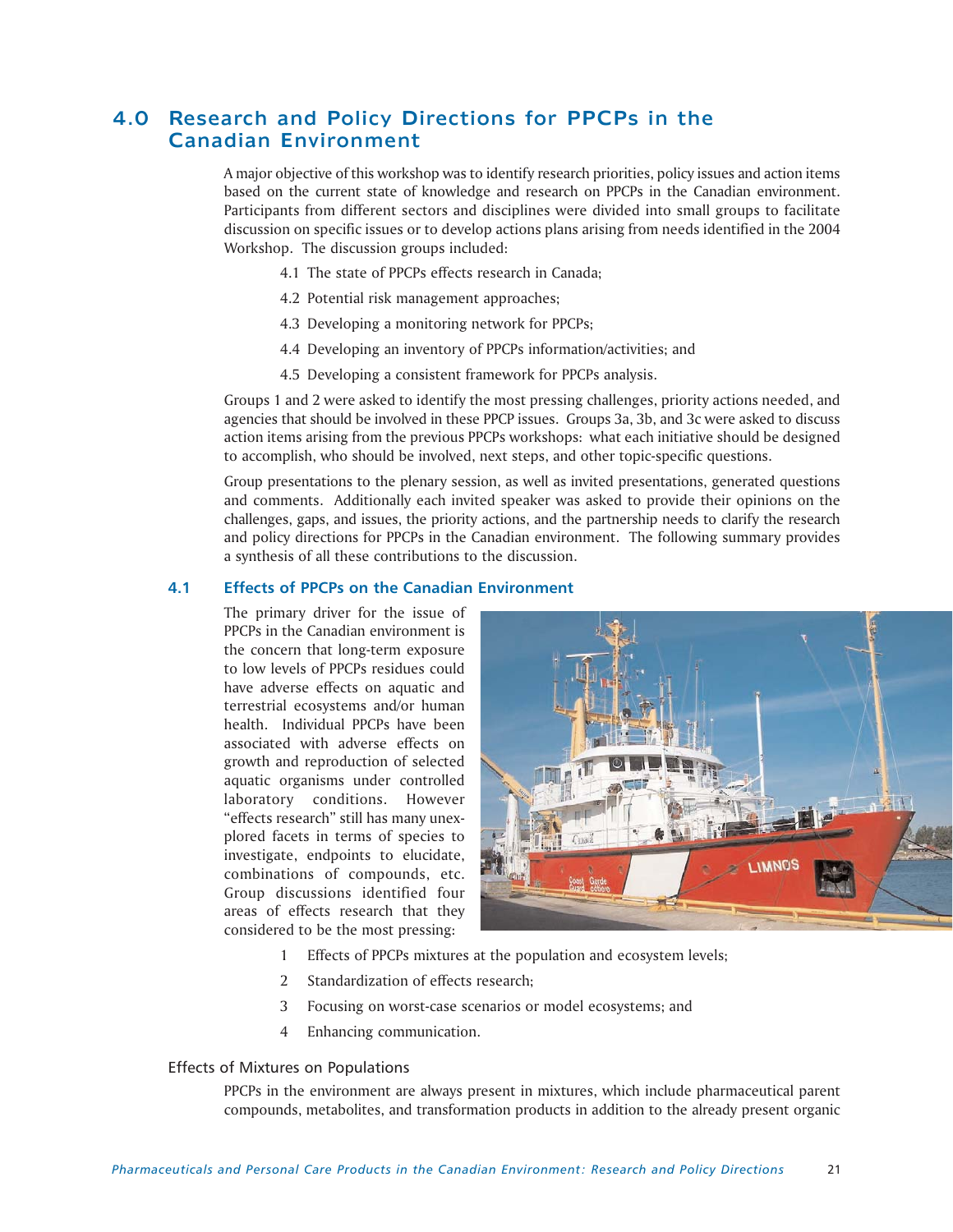# 4.0 Research and Policy Directions for PPCPs in the Canadian Environment

A major objective of this workshop was to identify research priorities, policy issues and action items based on the current state of knowledge and research on PPCPs in the Canadian environment. Participants from different sectors and disciplines were divided into small groups to facilitate discussion on specific issues or to develop actions plans arising from needs identified in the 2004 Workshop. The discussion groups included:

- 4.1 The state of PPCPs effects research in Canada;
- 4.2 Potential risk management approaches;
- 4.3 Developing a monitoring network for PPCPs;
- 4.4 Developing an inventory of PPCPs information/activities; and
- 4.5 Developing a consistent framework for PPCPs analysis.

Groups 1 and 2 were asked to identify the most pressing challenges, priority actions needed, and agencies that should be involved in these PPCP issues. Groups 3a, 3b, and 3c were asked to discuss action items arising from the previous PPCPs workshops: what each initiative should be designed to accomplish, who should be involved, next steps, and other topic-specific questions.

Group presentations to the plenary session, as well as invited presentations, generated questions and comments. Additionally each invited speaker was asked to provide their opinions on the challenges, gaps, and issues, the priority actions, and the partnership needs to clarify the research and policy directions for PPCPs in the Canadian environment. The following summary provides a synthesis of all these contributions to the discussion.

# **4.1 Effects of PPCPs on the Canadian Environment**

The primary driver for the issue of PPCPs in the Canadian environment is the concern that long-term exposure to low levels of PPCPs residues could have adverse effects on aquatic and terrestrial ecosystems and/or human health. Individual PPCPs have been associated with adverse effects on growth and reproduction of selected aquatic organisms under controlled laboratory conditions. However "effects research" still has many unexplored facets in terms of species to investigate, endpoints to elucidate, combinations of compounds, etc. Group discussions identified four areas of effects research that they considered to be the most pressing:



- 1 Effects of PPCPs mixtures at the population and ecosystem levels;
- 2 Standardization of effects research;
- 3 Focusing on worst-case scenarios or model ecosystems; and
- 4 Enhancing communication.

# Effects of Mixtures on Populations

PPCPs in the environment are always present in mixtures, which include pharmaceutical parent compounds, metabolites, and transformation products in addition to the already present organic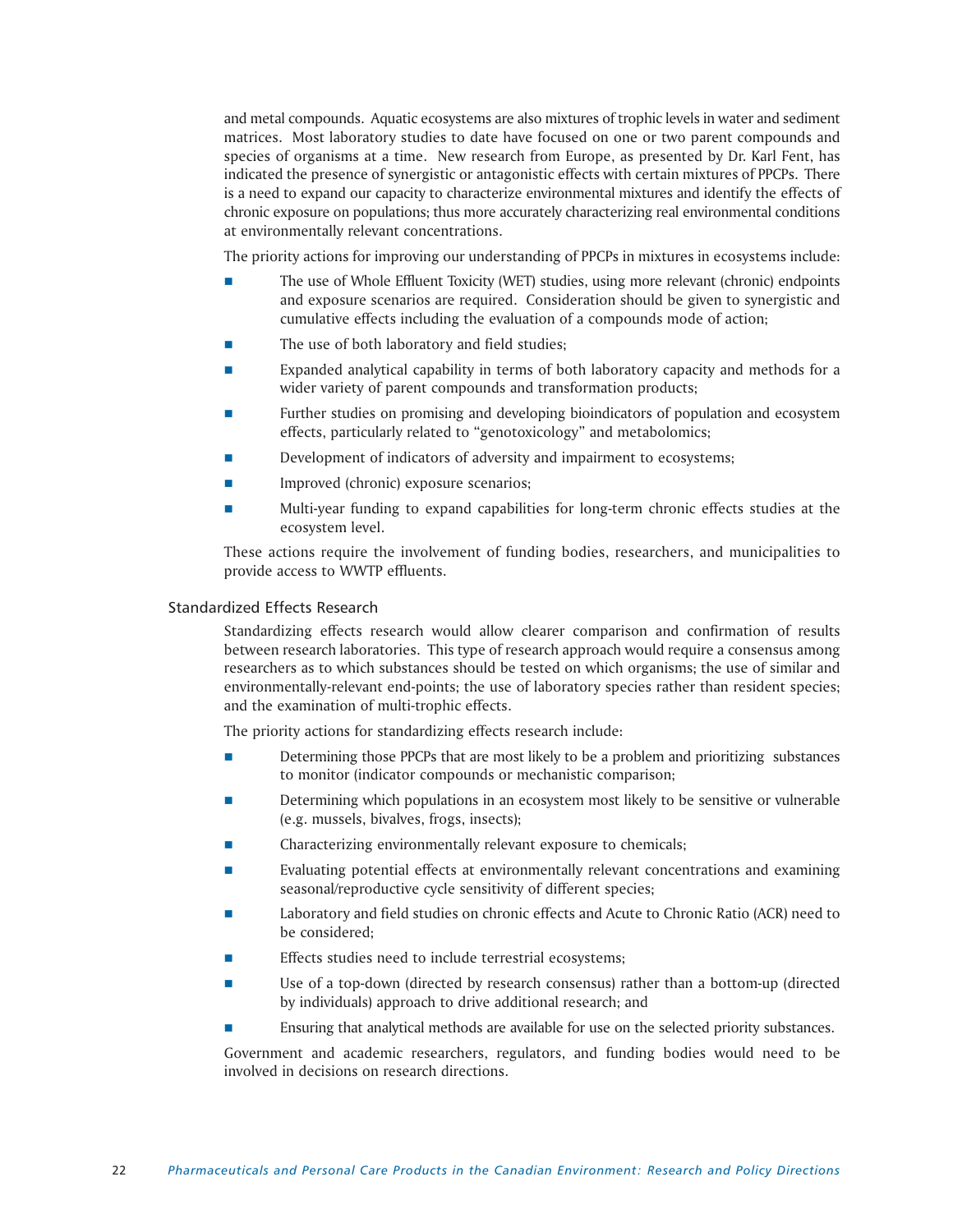and metal compounds. Aquatic ecosystems are also mixtures of trophic levels in water and sediment matrices. Most laboratory studies to date have focused on one or two parent compounds and species of organisms at a time. New research from Europe, as presented by Dr. Karl Fent, has indicated the presence of synergistic or antagonistic effects with certain mixtures of PPCPs. There is a need to expand our capacity to characterize environmental mixtures and identify the effects of chronic exposure on populations; thus more accurately characterizing real environmental conditions at environmentally relevant concentrations.

The priority actions for improving our understanding of PPCPs in mixtures in ecosystems include:

- The use of Whole Effluent Toxicity (WET) studies, using more relevant (chronic) endpoints and exposure scenarios are required. Consideration should be given to synergistic and cumulative effects including the evaluation of a compounds mode of action;
- The use of both laboratory and field studies;
- Expanded analytical capability in terms of both laboratory capacity and methods for a wider variety of parent compounds and transformation products;
- Further studies on promising and developing bioindicators of population and ecosystem effects, particularly related to "genotoxicology" and metabolomics;
- Development of indicators of adversity and impairment to ecosystems;
- Improved (chronic) exposure scenarios;
- Multi-year funding to expand capabilities for long-term chronic effects studies at the ecosystem level.

These actions require the involvement of funding bodies, researchers, and municipalities to provide access to WWTP effluents.

# Standardized Effects Research

Standardizing effects research would allow clearer comparison and confirmation of results between research laboratories. This type of research approach would require a consensus among researchers as to which substances should be tested on which organisms; the use of similar and environmentally-relevant end-points; the use of laboratory species rather than resident species; and the examination of multi-trophic effects.

The priority actions for standardizing effects research include:

- Determining those PPCPs that are most likely to be a problem and prioritizing substances to monitor (indicator compounds or mechanistic comparison;
- Determining which populations in an ecosystem most likely to be sensitive or vulnerable (e.g. mussels, bivalves, frogs, insects);
- Characterizing environmentally relevant exposure to chemicals;
- Evaluating potential effects at environmentally relevant concentrations and examining seasonal/reproductive cycle sensitivity of different species;
- Laboratory and field studies on chronic effects and Acute to Chronic Ratio (ACR) need to be considered;
- Effects studies need to include terrestrial ecosystems;
- Use of a top-down (directed by research consensus) rather than a bottom-up (directed by individuals) approach to drive additional research; and
- Ensuring that analytical methods are available for use on the selected priority substances.

Government and academic researchers, regulators, and funding bodies would need to be involved in decisions on research directions.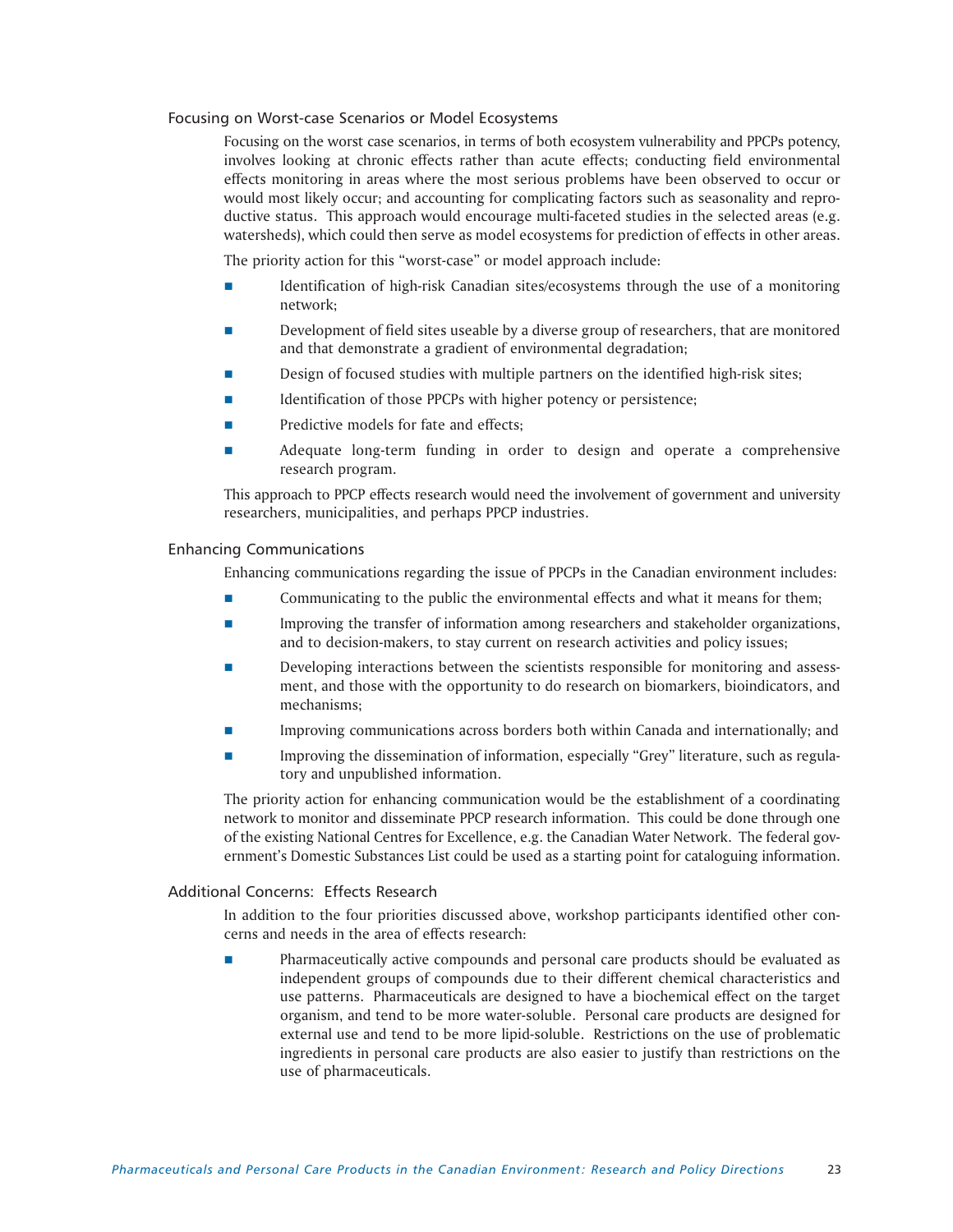# Focusing on Worst-case Scenarios or Model Ecosystems

Focusing on the worst case scenarios, in terms of both ecosystem vulnerability and PPCPs potency, involves looking at chronic effects rather than acute effects; conducting field environmental effects monitoring in areas where the most serious problems have been observed to occur or would most likely occur; and accounting for complicating factors such as seasonality and reproductive status. This approach would encourage multi-faceted studies in the selected areas (e.g. watersheds), which could then serve as model ecosystems for prediction of effects in other areas.

The priority action for this "worst-case" or model approach include:

- Identification of high-risk Canadian sites/ecosystems through the use of a monitoring network;
- Development of field sites useable by a diverse group of researchers, that are monitored and that demonstrate a gradient of environmental degradation;
- Design of focused studies with multiple partners on the identified high-risk sites;
- Identification of those PPCPs with higher potency or persistence;
- Predictive models for fate and effects;
- **Adequate long-term funding in order to design and operate a comprehensive** research program.

This approach to PPCP effects research would need the involvement of government and university researchers, municipalities, and perhaps PPCP industries.

# Enhancing Communications

Enhancing communications regarding the issue of PPCPs in the Canadian environment includes:

- **Communicating to the public the environmental effects and what it means for them;**
- **Improving the transfer of information among researchers and stakeholder organizations,** and to decision-makers, to stay current on research activities and policy issues;
- Developing interactions between the scientists responsible for monitoring and assessment, and those with the opportunity to do research on biomarkers, bioindicators, and mechanisms;
- Improving communications across borders both within Canada and internationally; and
- Improving the dissemination of information, especially "Grey" literature, such as regulatory and unpublished information.

The priority action for enhancing communication would be the establishment of a coordinating network to monitor and disseminate PPCP research information. This could be done through one of the existing National Centres for Excellence, e.g. the Canadian Water Network. The federal government's Domestic Substances List could be used as a starting point for cataloguing information.

# Additional Concerns: Effects Research

In addition to the four priorities discussed above, workshop participants identified other concerns and needs in the area of effects research:

 Pharmaceutically active compounds and personal care products should be evaluated as independent groups of compounds due to their different chemical characteristics and use patterns. Pharmaceuticals are designed to have a biochemical effect on the target organism, and tend to be more water-soluble. Personal care products are designed for external use and tend to be more lipid-soluble. Restrictions on the use of problematic ingredients in personal care products are also easier to justify than restrictions on the use of pharmaceuticals.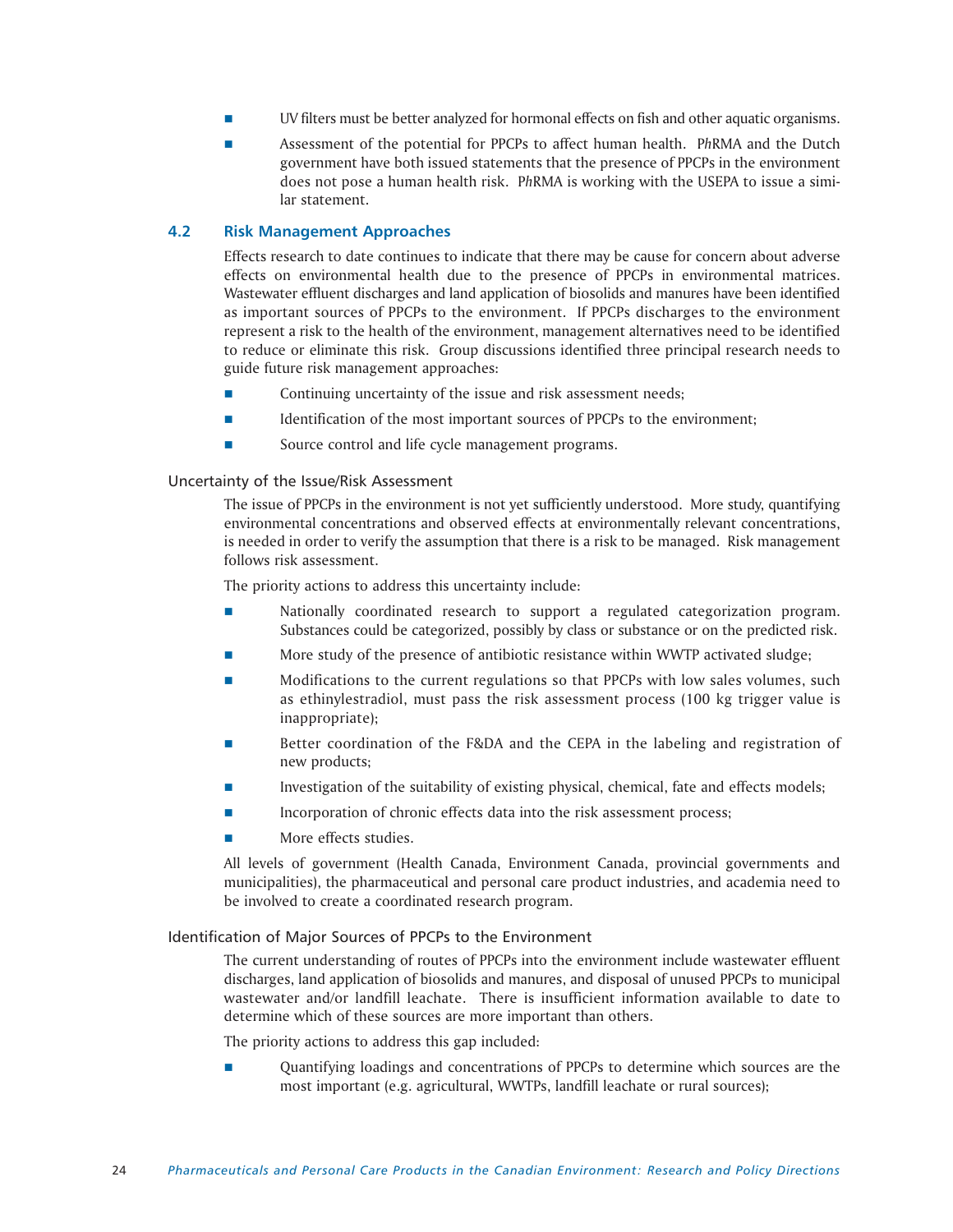- UV filters must be better analyzed for hormonal effects on fish and other aquatic organisms.
- Assessment of the potential for PPCPs to affect human health. P*h*RMA and the Dutch government have both issued statements that the presence of PPCPs in the environment does not pose a human health risk. P*h*RMA is working with the USEPA to issue a similar statement.

# **4.2 Risk Management Approaches**

Effects research to date continues to indicate that there may be cause for concern about adverse effects on environmental health due to the presence of PPCPs in environmental matrices. Wastewater effluent discharges and land application of biosolids and manures have been identified as important sources of PPCPs to the environment. If PPCPs discharges to the environment represent a risk to the health of the environment, management alternatives need to be identified to reduce or eliminate this risk. Group discussions identified three principal research needs to guide future risk management approaches:

- Continuing uncertainty of the issue and risk assessment needs;
- Identification of the most important sources of PPCPs to the environment;
- Source control and life cycle management programs.

# Uncertainty of the Issue/Risk Assessment

The issue of PPCPs in the environment is not yet sufficiently understood. More study, quantifying environmental concentrations and observed effects at environmentally relevant concentrations, is needed in order to verify the assumption that there is a risk to be managed. Risk management follows risk assessment.

The priority actions to address this uncertainty include:

- Nationally coordinated research to support a regulated categorization program. Substances could be categorized, possibly by class or substance or on the predicted risk.
- More study of the presence of antibiotic resistance within WWTP activated sludge;
- Modifications to the current regulations so that PPCPs with low sales volumes, such as ethinylestradiol, must pass the risk assessment process (100 kg trigger value is inappropriate);
- Better coordination of the F&DA and the CEPA in the labeling and registration of new products;
- Investigation of the suitability of existing physical, chemical, fate and effects models;
- Incorporation of chronic effects data into the risk assessment process;
- More effects studies.

All levels of government (Health Canada, Environment Canada, provincial governments and municipalities), the pharmaceutical and personal care product industries, and academia need to be involved to create a coordinated research program.

# Identification of Major Sources of PPCPs to the Environment

The current understanding of routes of PPCPs into the environment include wastewater effluent discharges, land application of biosolids and manures, and disposal of unused PPCPs to municipal wastewater and/or landfill leachate. There is insufficient information available to date to determine which of these sources are more important than others.

The priority actions to address this gap included:

 Quantifying loadings and concentrations of PPCPs to determine which sources are the most important (e.g. agricultural, WWTPs, landfill leachate or rural sources);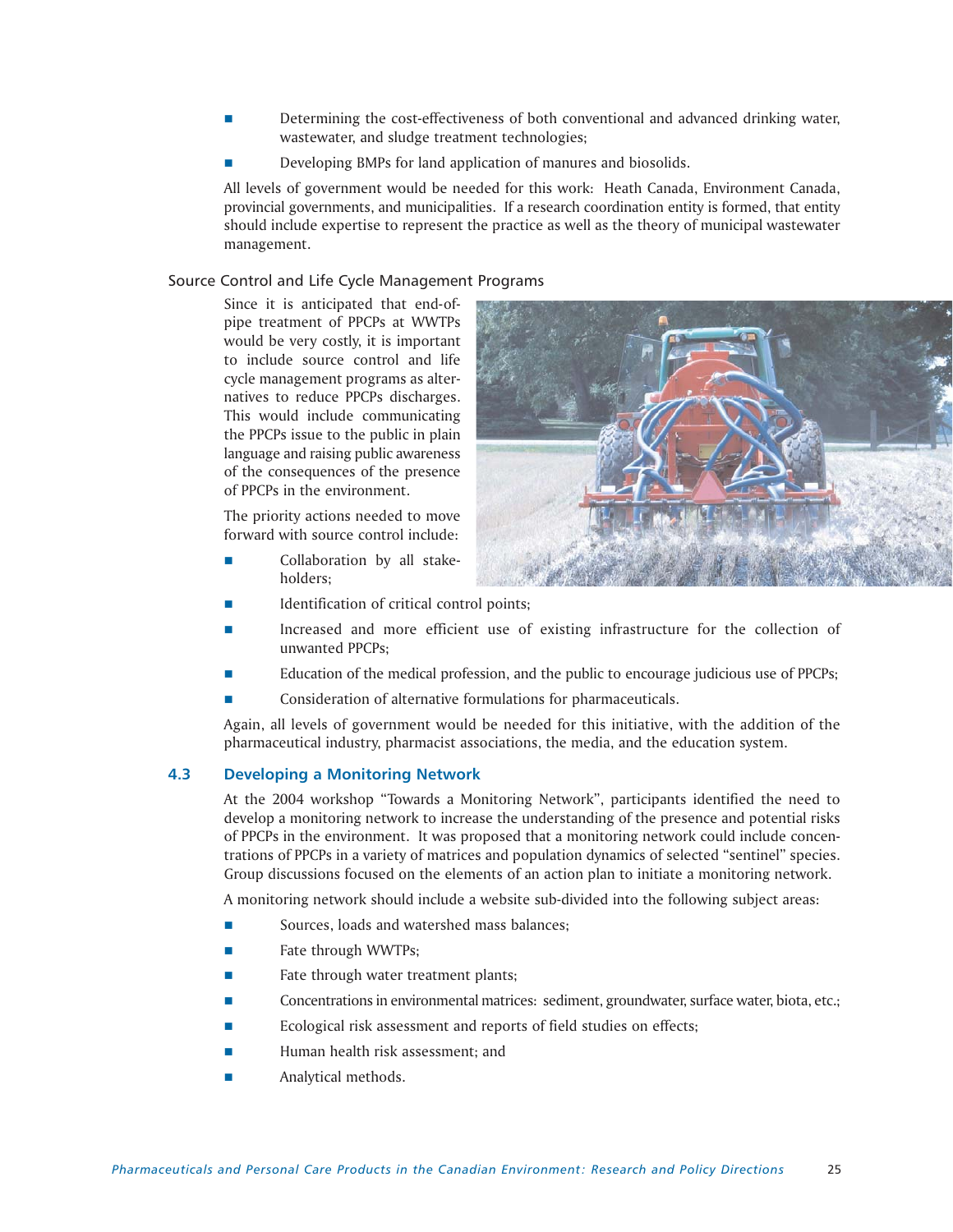- Determining the cost-effectiveness of both conventional and advanced drinking water, wastewater, and sludge treatment technologies;
- Developing BMPs for land application of manures and biosolids.

All levels of government would be needed for this work: Heath Canada, Environment Canada, provincial governments, and municipalities. If a research coordination entity is formed, that entity should include expertise to represent the practice as well as the theory of municipal wastewater management.

# Source Control and Life Cycle Management Programs

Since it is anticipated that end-ofpipe treatment of PPCPs at WWTPs would be very costly, it is important to include source control and life cycle management programs as alternatives to reduce PPCPs discharges. This would include communicating the PPCPs issue to the public in plain language and raising public awareness of the consequences of the presence of PPCPs in the environment.

The priority actions needed to move forward with source control include:

 Collaboration by all stakeholders;



- Identification of critical control points;
- Increased and more efficient use of existing infrastructure for the collection of unwanted PPCPs;
- Education of the medical profession, and the public to encourage judicious use of PPCPs;
- Consideration of alternative formulations for pharmaceuticals.

Again, all levels of government would be needed for this initiative, with the addition of the pharmaceutical industry, pharmacist associations, the media, and the education system.

# **4.3 Developing a Monitoring Network**

At the 2004 workshop "Towards a Monitoring Network", participants identified the need to develop a monitoring network to increase the understanding of the presence and potential risks of PPCPs in the environment. It was proposed that a monitoring network could include concentrations of PPCPs in a variety of matrices and population dynamics of selected "sentinel" species. Group discussions focused on the elements of an action plan to initiate a monitoring network.

A monitoring network should include a website sub-divided into the following subject areas:

- Sources, loads and watershed mass balances;
- Fate through WWTPs;
- Fate through water treatment plants;
- Concentrations in environmental matrices: sediment, groundwater, surface water, biota, etc.;
- Ecological risk assessment and reports of field studies on effects;
- Human health risk assessment; and
- Analytical methods.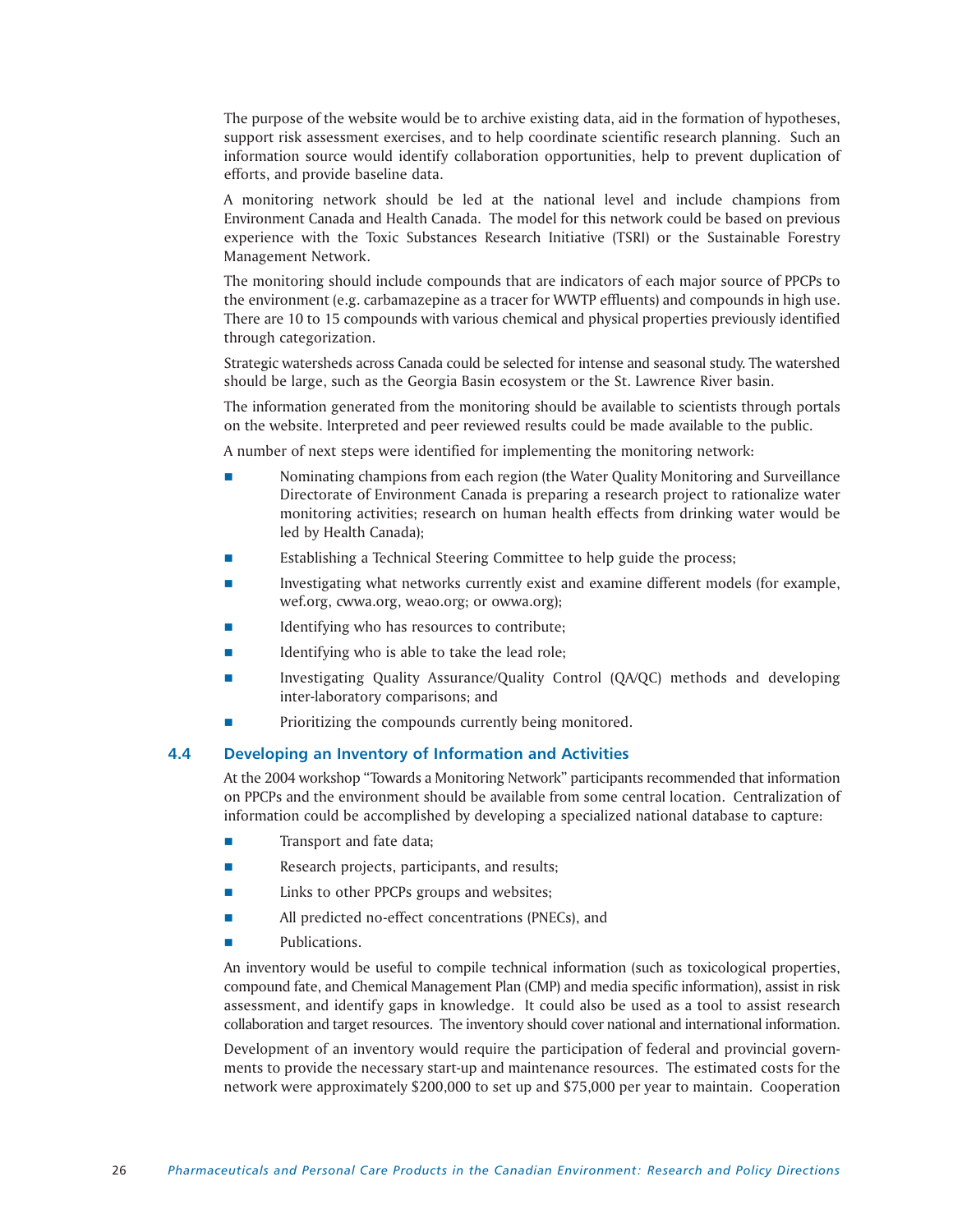The purpose of the website would be to archive existing data, aid in the formation of hypotheses, support risk assessment exercises, and to help coordinate scientific research planning. Such an information source would identify collaboration opportunities, help to prevent duplication of efforts, and provide baseline data.

A monitoring network should be led at the national level and include champions from Environment Canada and Health Canada. The model for this network could be based on previous experience with the Toxic Substances Research Initiative (TSRI) or the Sustainable Forestry Management Network.

The monitoring should include compounds that are indicators of each major source of PPCPs to the environment (e.g. carbamazepine as a tracer for WWTP effluents) and compounds in high use. There are 10 to 15 compounds with various chemical and physical properties previously identified through categorization.

Strategic watersheds across Canada could be selected for intense and seasonal study. The watershed should be large, such as the Georgia Basin ecosystem or the St. Lawrence River basin.

The information generated from the monitoring should be available to scientists through portals on the website. Interpreted and peer reviewed results could be made available to the public.

A number of next steps were identified for implementing the monitoring network:

- Nominating champions from each region (the Water Quality Monitoring and Surveillance Directorate of Environment Canada is preparing a research project to rationalize water monitoring activities; research on human health effects from drinking water would be led by Health Canada);
- Establishing a Technical Steering Committee to help guide the process;
- Investigating what networks currently exist and examine different models (for example, wef.org, cwwa.org, weao.org; or owwa.org);
- Identifying who has resources to contribute;
- $\blacksquare$  Identifying who is able to take the lead role;
- Investigating Quality Assurance/Quality Control (QA/QC) methods and developing inter-laboratory comparisons; and
- Prioritizing the compounds currently being monitored.

# **4.4 Developing an Inventory of Information and Activities**

At the 2004 workshop "Towards a Monitoring Network" participants recommended that information on PPCPs and the environment should be available from some central location. Centralization of information could be accomplished by developing a specialized national database to capture:

- Transport and fate data;
- Research projects, participants, and results;
- Links to other PPCPs groups and websites;
- **All predicted no-effect concentrations (PNECs), and**
- Publications.

An inventory would be useful to compile technical information (such as toxicological properties, compound fate, and Chemical Management Plan (CMP) and media specific information), assist in risk assessment, and identify gaps in knowledge. It could also be used as a tool to assist research collaboration and target resources. The inventory should cover national and international information.

Development of an inventory would require the participation of federal and provincial governments to provide the necessary start-up and maintenance resources. The estimated costs for the network were approximately \$200,000 to set up and \$75,000 per year to maintain. Cooperation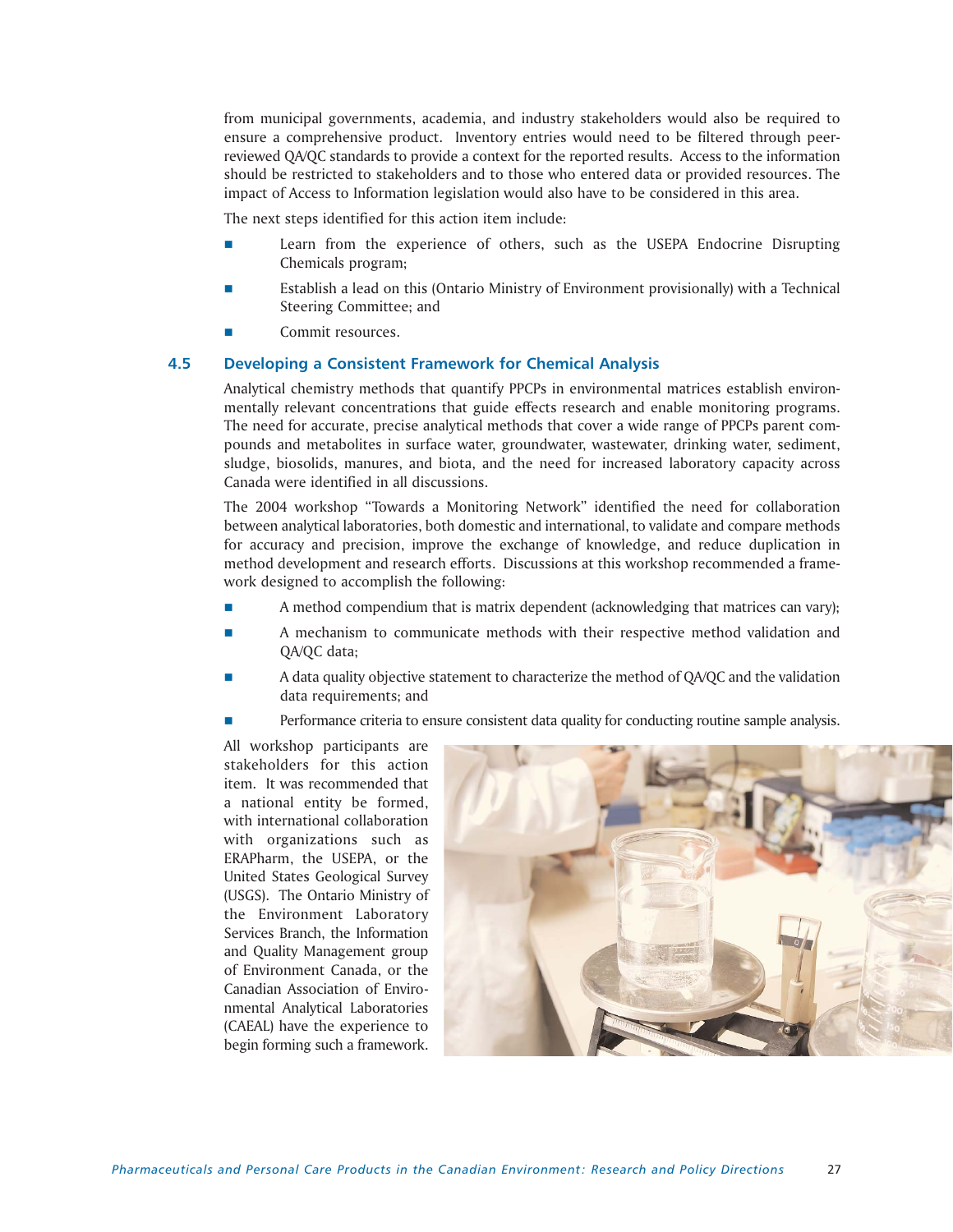from municipal governments, academia, and industry stakeholders would also be required to ensure a comprehensive product. Inventory entries would need to be filtered through peerreviewed QA/QC standards to provide a context for the reported results. Access to the information should be restricted to stakeholders and to those who entered data or provided resources. The impact of Access to Information legislation would also have to be considered in this area.

The next steps identified for this action item include:

- Learn from the experience of others, such as the USEPA Endocrine Disrupting Chemicals program;
- Establish a lead on this (Ontario Ministry of Environment provisionally) with a Technical Steering Committee; and
- Commit resources.

# **4.5 Developing a Consistent Framework for Chemical Analysis**

Analytical chemistry methods that quantify PPCPs in environmental matrices establish environmentally relevant concentrations that guide effects research and enable monitoring programs. The need for accurate, precise analytical methods that cover a wide range of PPCPs parent compounds and metabolites in surface water, groundwater, wastewater, drinking water, sediment, sludge, biosolids, manures, and biota, and the need for increased laboratory capacity across Canada were identified in all discussions.

The 2004 workshop "Towards a Monitoring Network" identified the need for collaboration between analytical laboratories, both domestic and international, to validate and compare methods for accuracy and precision, improve the exchange of knowledge, and reduce duplication in method development and research efforts. Discussions at this workshop recommended a framework designed to accomplish the following:

- A method compendium that is matrix dependent (acknowledging that matrices can vary);
- A mechanism to communicate methods with their respective method validation and QA/QC data;
- A data quality objective statement to characterize the method of QA/QC and the validation data requirements; and
- **Performance criteria to ensure consistent data quality for conducting routine sample analysis.**

All workshop participants are stakeholders for this action item. It was recommended that a national entity be formed, with international collaboration with organizations such as ERAPharm, the USEPA, or the United States Geological Survey (USGS). The Ontario Ministry of the Environment Laboratory Services Branch, the Information and Quality Management group of Environment Canada, or the Canadian Association of Environmental Analytical Laboratories (CAEAL) have the experience to begin forming such a framework.

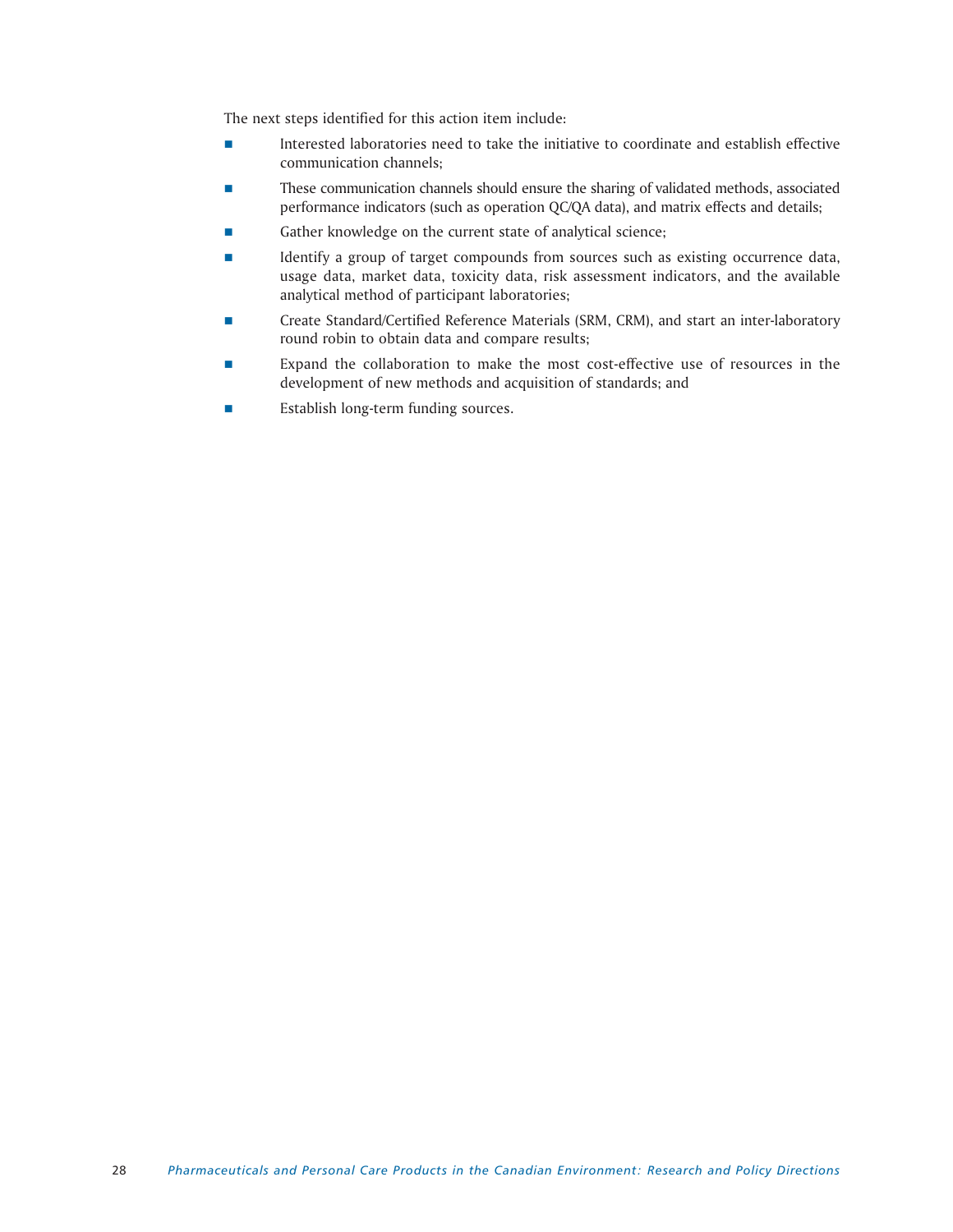The next steps identified for this action item include:

- Interested laboratories need to take the initiative to coordinate and establish effective communication channels;
- These communication channels should ensure the sharing of validated methods, associated performance indicators (such as operation QC/QA data), and matrix effects and details;
- Gather knowledge on the current state of analytical science;
- Identify a group of target compounds from sources such as existing occurrence data, usage data, market data, toxicity data, risk assessment indicators, and the available analytical method of participant laboratories;
- Create Standard/Certified Reference Materials (SRM, CRM), and start an inter-laboratory round robin to obtain data and compare results;
- Expand the collaboration to make the most cost-effective use of resources in the development of new methods and acquisition of standards; and
- **Establish long-term funding sources.**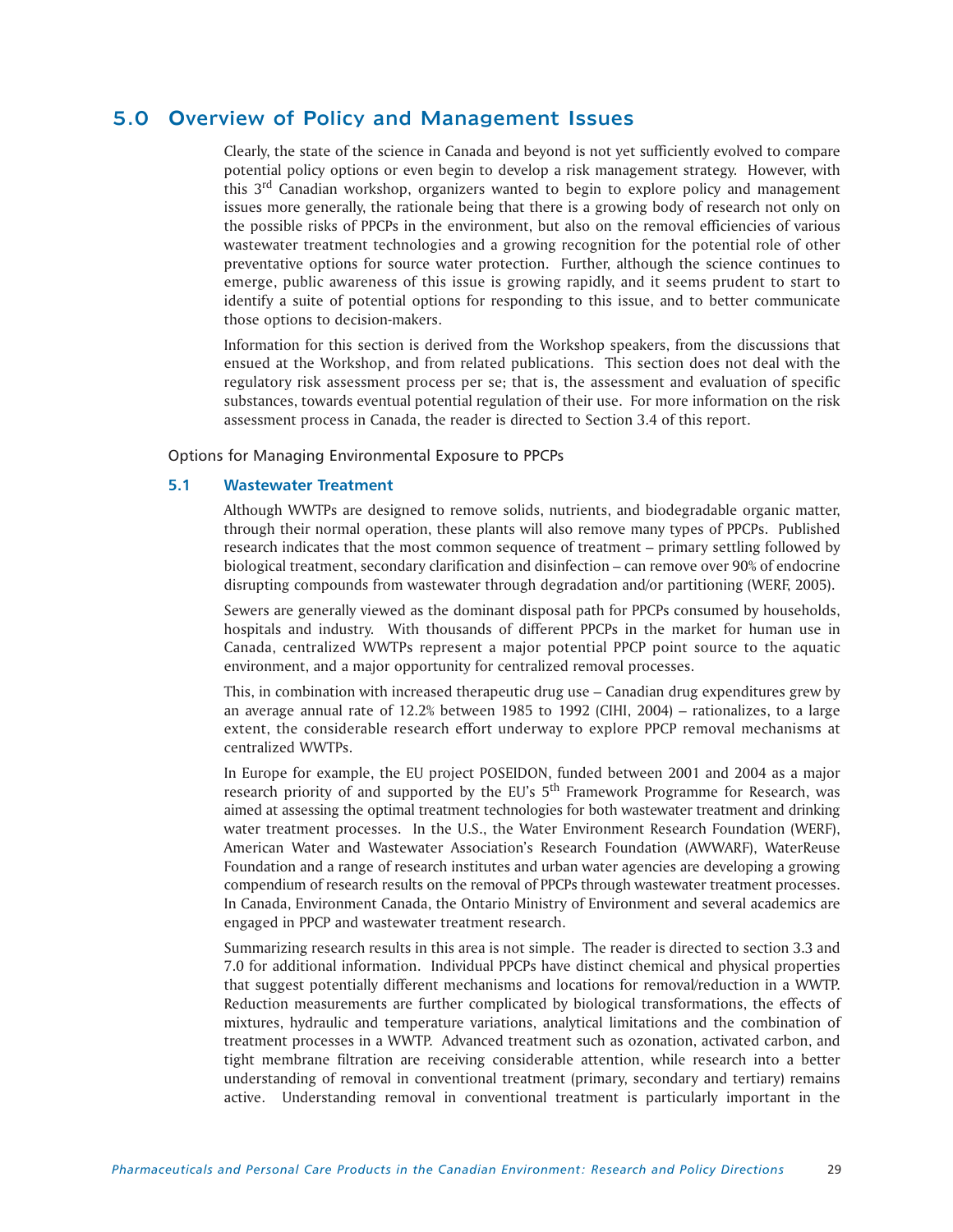# 5.0 Overview of Policy and Management Issues

Clearly, the state of the science in Canada and beyond is not yet sufficiently evolved to compare potential policy options or even begin to develop a risk management strategy. However, with this 3rd Canadian workshop, organizers wanted to begin to explore policy and management issues more generally, the rationale being that there is a growing body of research not only on the possible risks of PPCPs in the environment, but also on the removal efficiencies of various wastewater treatment technologies and a growing recognition for the potential role of other preventative options for source water protection. Further, although the science continues to emerge, public awareness of this issue is growing rapidly, and it seems prudent to start to identify a suite of potential options for responding to this issue, and to better communicate those options to decision-makers.

Information for this section is derived from the Workshop speakers, from the discussions that ensued at the Workshop, and from related publications. This section does not deal with the regulatory risk assessment process per se; that is, the assessment and evaluation of specific substances, towards eventual potential regulation of their use. For more information on the risk assessment process in Canada, the reader is directed to Section 3.4 of this report.

Options for Managing Environmental Exposure to PPCPs

# **5.1 Wastewater Treatment**

Although WWTPs are designed to remove solids, nutrients, and biodegradable organic matter, through their normal operation, these plants will also remove many types of PPCPs. Published research indicates that the most common sequence of treatment – primary settling followed by biological treatment, secondary clarification and disinfection – can remove over 90% of endocrine disrupting compounds from wastewater through degradation and/or partitioning (WERF, 2005).

Sewers are generally viewed as the dominant disposal path for PPCPs consumed by households, hospitals and industry. With thousands of different PPCPs in the market for human use in Canada, centralized WWTPs represent a major potential PPCP point source to the aquatic environment, and a major opportunity for centralized removal processes.

This, in combination with increased therapeutic drug use – Canadian drug expenditures grew by an average annual rate of 12.2% between 1985 to 1992 (CIHI, 2004) – rationalizes, to a large extent, the considerable research effort underway to explore PPCP removal mechanisms at centralized WWTPs.

In Europe for example, the EU project POSEIDON, funded between 2001 and 2004 as a major research priority of and supported by the EU's 5<sup>th</sup> Framework Programme for Research, was aimed at assessing the optimal treatment technologies for both wastewater treatment and drinking water treatment processes. In the U.S., the Water Environment Research Foundation (WERF), American Water and Wastewater Association's Research Foundation (AWWARF), WaterReuse Foundation and a range of research institutes and urban water agencies are developing a growing compendium of research results on the removal of PPCPs through wastewater treatment processes. In Canada, Environment Canada, the Ontario Ministry of Environment and several academics are engaged in PPCP and wastewater treatment research.

Summarizing research results in this area is not simple. The reader is directed to section 3.3 and 7.0 for additional information. Individual PPCPs have distinct chemical and physical properties that suggest potentially different mechanisms and locations for removal/reduction in a WWTP. Reduction measurements are further complicated by biological transformations, the effects of mixtures, hydraulic and temperature variations, analytical limitations and the combination of treatment processes in a WWTP. Advanced treatment such as ozonation, activated carbon, and tight membrane filtration are receiving considerable attention, while research into a better understanding of removal in conventional treatment (primary, secondary and tertiary) remains active. Understanding removal in conventional treatment is particularly important in the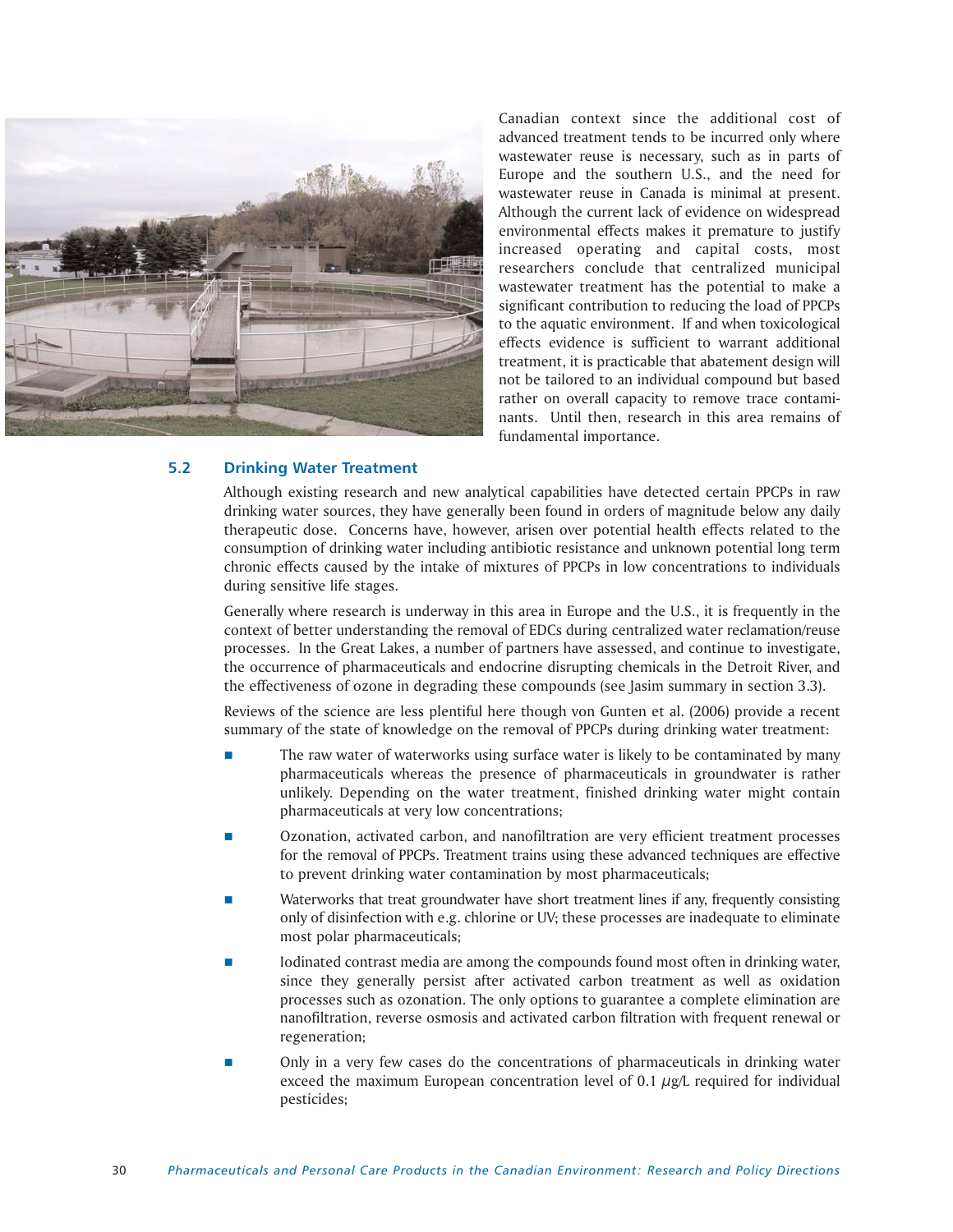

Canadian context since the additional cost of advanced treatment tends to be incurred only where wastewater reuse is necessary, such as in parts of Europe and the southern U.S., and the need for wastewater reuse in Canada is minimal at present. Although the current lack of evidence on widespread environmental effects makes it premature to justify increased operating and capital costs, most researchers conclude that centralized municipal wastewater treatment has the potential to make a significant contribution to reducing the load of PPCPs to the aquatic environment. If and when toxicological effects evidence is sufficient to warrant additional treatment, it is practicable that abatement design will not be tailored to an individual compound but based rather on overall capacity to remove trace contaminants. Until then, research in this area remains of fundamental importance.

# **5.2 Drinking Water Treatment**

Although existing research and new analytical capabilities have detected certain PPCPs in raw drinking water sources, they have generally been found in orders of magnitude below any daily therapeutic dose. Concerns have, however, arisen over potential health effects related to the consumption of drinking water including antibiotic resistance and unknown potential long term chronic effects caused by the intake of mixtures of PPCPs in low concentrations to individuals during sensitive life stages.

Generally where research is underway in this area in Europe and the U.S., it is frequently in the context of better understanding the removal of EDCs during centralized water reclamation/reuse processes. In the Great Lakes, a number of partners have assessed, and continue to investigate, the occurrence of pharmaceuticals and endocrine disrupting chemicals in the Detroit River, and the effectiveness of ozone in degrading these compounds (see Jasim summary in section 3.3).

Reviews of the science are less plentiful here though von Gunten et al. (2006) provide a recent summary of the state of knowledge on the removal of PPCPs during drinking water treatment:

- The raw water of waterworks using surface water is likely to be contaminated by many pharmaceuticals whereas the presence of pharmaceuticals in groundwater is rather unlikely. Depending on the water treatment, finished drinking water might contain pharmaceuticals at very low concentrations;
- Ozonation, activated carbon, and nanofiltration are very efficient treatment processes for the removal of PPCPs. Treatment trains using these advanced techniques are effective to prevent drinking water contamination by most pharmaceuticals;
- Waterworks that treat groundwater have short treatment lines if any, frequently consisting only of disinfection with e.g. chlorine or UV; these processes are inadequate to eliminate most polar pharmaceuticals;
- Iodinated contrast media are among the compounds found most often in drinking water, since they generally persist after activated carbon treatment as well as oxidation processes such as ozonation. The only options to guarantee a complete elimination are nanofiltration, reverse osmosis and activated carbon filtration with frequent renewal or regeneration;
- Only in a very few cases do the concentrations of pharmaceuticals in drinking water exceed the maximum European concentration level of 0.1  $\mu$ g/L required for individual pesticides;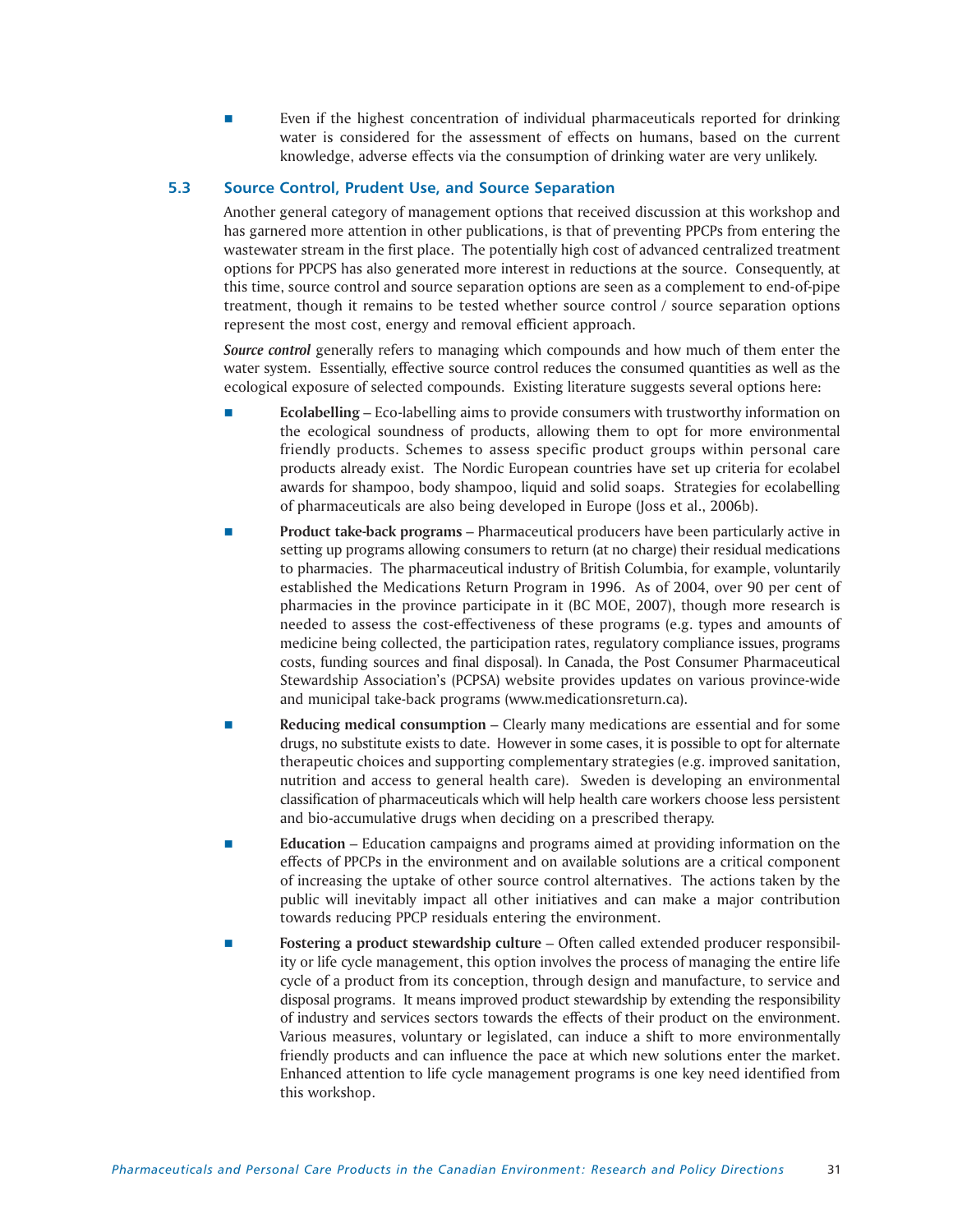**EVEN 1** Even if the highest concentration of individual pharmaceuticals reported for drinking water is considered for the assessment of effects on humans, based on the current knowledge, adverse effects via the consumption of drinking water are very unlikely.

# **5.3 Source Control, Prudent Use, and Source Separation**

Another general category of management options that received discussion at this workshop and has garnered more attention in other publications, is that of preventing PPCPs from entering the wastewater stream in the first place. The potentially high cost of advanced centralized treatment options for PPCPS has also generated more interest in reductions at the source. Consequently, at this time, source control and source separation options are seen as a complement to end-of-pipe treatment, though it remains to be tested whether source control / source separation options represent the most cost, energy and removal efficient approach.

*Source control* generally refers to managing which compounds and how much of them enter the water system. Essentially, effective source control reduces the consumed quantities as well as the ecological exposure of selected compounds. Existing literature suggests several options here:

- **Ecolabelling** Eco-labelling aims to provide consumers with trustworthy information on the ecological soundness of products, allowing them to opt for more environmental friendly products. Schemes to assess specific product groups within personal care products already exist. The Nordic European countries have set up criteria for ecolabel awards for shampoo, body shampoo, liquid and solid soaps. Strategies for ecolabelling of pharmaceuticals are also being developed in Europe (Joss et al., 2006b).
- **Product take-back programs** Pharmaceutical producers have been particularly active in setting up programs allowing consumers to return (at no charge) their residual medications to pharmacies. The pharmaceutical industry of British Columbia, for example, voluntarily established the Medications Return Program in 1996. As of 2004, over 90 per cent of pharmacies in the province participate in it (BC MOE, 2007), though more research is needed to assess the cost-effectiveness of these programs (e.g. types and amounts of medicine being collected, the participation rates, regulatory compliance issues, programs costs, funding sources and final disposal). In Canada, the Post Consumer Pharmaceutical Stewardship Association's (PCPSA) website provides updates on various province-wide and municipal take-back programs (www.medicationsreturn.ca).
- **Reducing medical consumption** Clearly many medications are essential and for some drugs, no substitute exists to date. However in some cases, it is possible to opt for alternate therapeutic choices and supporting complementary strategies (e.g. improved sanitation, nutrition and access to general health care). Sweden is developing an environmental classification of pharmaceuticals which will help health care workers choose less persistent and bio-accumulative drugs when deciding on a prescribed therapy.
- **Education** Education campaigns and programs aimed at providing information on the effects of PPCPs in the environment and on available solutions are a critical component of increasing the uptake of other source control alternatives. The actions taken by the public will inevitably impact all other initiatives and can make a major contribution towards reducing PPCP residuals entering the environment.
- **Fostering a product stewardship culture** Often called extended producer responsibility or life cycle management, this option involves the process of managing the entire life cycle of a product from its conception, through design and manufacture, to service and disposal programs. It means improved product stewardship by extending the responsibility of industry and services sectors towards the effects of their product on the environment. Various measures, voluntary or legislated, can induce a shift to more environmentally friendly products and can influence the pace at which new solutions enter the market. Enhanced attention to life cycle management programs is one key need identified from this workshop.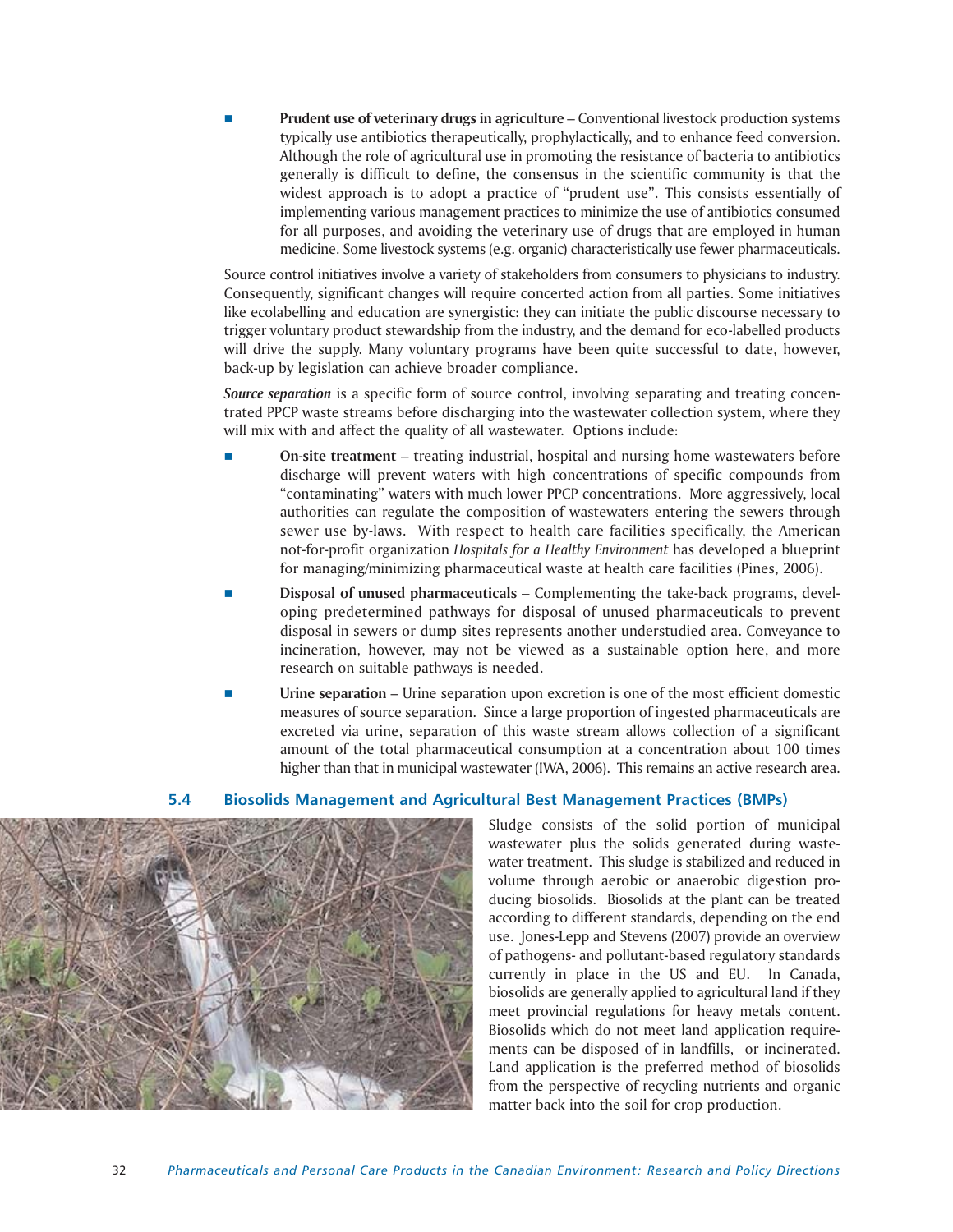**Prudent use of veterinary drugs in agriculture** – Conventional livestock production systems typically use antibiotics therapeutically, prophylactically, and to enhance feed conversion. Although the role of agricultural use in promoting the resistance of bacteria to antibiotics generally is difficult to define, the consensus in the scientific community is that the widest approach is to adopt a practice of "prudent use". This consists essentially of implementing various management practices to minimize the use of antibiotics consumed for all purposes, and avoiding the veterinary use of drugs that are employed in human medicine. Some livestock systems (e.g. organic) characteristically use fewer pharmaceuticals.

Source control initiatives involve a variety of stakeholders from consumers to physicians to industry. Consequently, significant changes will require concerted action from all parties. Some initiatives like ecolabelling and education are synergistic: they can initiate the public discourse necessary to trigger voluntary product stewardship from the industry, and the demand for eco-labelled products will drive the supply. Many voluntary programs have been quite successful to date, however, back-up by legislation can achieve broader compliance.

*Source separation* is a specific form of source control, involving separating and treating concentrated PPCP waste streams before discharging into the wastewater collection system, where they will mix with and affect the quality of all wastewater. Options include:

- **On-site treatment** treating industrial, hospital and nursing home wastewaters before discharge will prevent waters with high concentrations of specific compounds from "contaminating" waters with much lower PPCP concentrations. More aggressively, local authorities can regulate the composition of wastewaters entering the sewers through sewer use by-laws. With respect to health care facilities specifically, the American not-for-profit organization *Hospitals for a Healthy Environment* has developed a blueprint for managing/minimizing pharmaceutical waste at health care facilities (Pines, 2006).
- **Disposal of unused pharmaceuticals** Complementing the take-back programs, developing predetermined pathways for disposal of unused pharmaceuticals to prevent disposal in sewers or dump sites represents another understudied area. Conveyance to incineration, however, may not be viewed as a sustainable option here, and more research on suitable pathways is needed.
- **Urine separation** Urine separation upon excretion is one of the most efficient domestic measures of source separation. Since a large proportion of ingested pharmaceuticals are excreted via urine, separation of this waste stream allows collection of a significant amount of the total pharmaceutical consumption at a concentration about 100 times higher than that in municipal wastewater (IWA, 2006). This remains an active research area.

# **5.4 Biosolids Management and Agricultural Best Management Practices (BMPs)**



Sludge consists of the solid portion of municipal wastewater plus the solids generated during wastewater treatment. This sludge is stabilized and reduced in volume through aerobic or anaerobic digestion producing biosolids. Biosolids at the plant can be treated according to different standards, depending on the end use. Jones-Lepp and Stevens (2007) provide an overview of pathogens- and pollutant-based regulatory standards currently in place in the US and EU. In Canada, biosolids are generally applied to agricultural land if they meet provincial regulations for heavy metals content. Biosolids which do not meet land application requirements can be disposed of in landfills, or incinerated. Land application is the preferred method of biosolids from the perspective of recycling nutrients and organic matter back into the soil for crop production.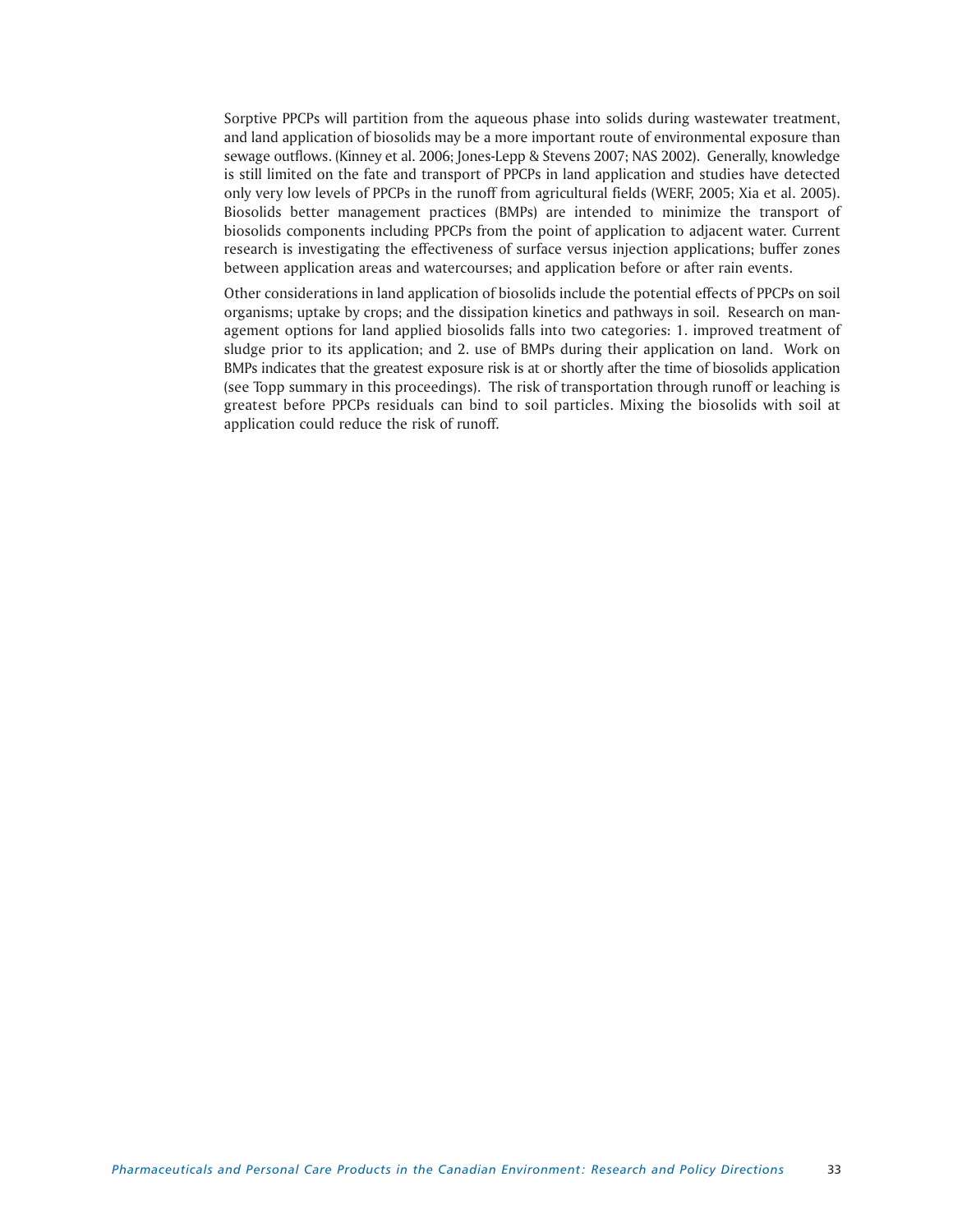Sorptive PPCPs will partition from the aqueous phase into solids during wastewater treatment, and land application of biosolids may be a more important route of environmental exposure than sewage outflows. (Kinney et al. 2006; Jones-Lepp & Stevens 2007; NAS 2002). Generally, knowledge is still limited on the fate and transport of PPCPs in land application and studies have detected only very low levels of PPCPs in the runoff from agricultural fields (WERF, 2005; Xia et al. 2005). Biosolids better management practices (BMPs) are intended to minimize the transport of biosolids components including PPCPs from the point of application to adjacent water. Current research is investigating the effectiveness of surface versus injection applications; buffer zones between application areas and watercourses; and application before or after rain events.

Other considerations in land application of biosolids include the potential effects of PPCPs on soil organisms; uptake by crops; and the dissipation kinetics and pathways in soil. Research on management options for land applied biosolids falls into two categories: 1. improved treatment of sludge prior to its application; and 2. use of BMPs during their application on land. Work on BMPs indicates that the greatest exposure risk is at or shortly after the time of biosolids application (see Topp summary in this proceedings). The risk of transportation through runoff or leaching is greatest before PPCPs residuals can bind to soil particles. Mixing the biosolids with soil at application could reduce the risk of runoff.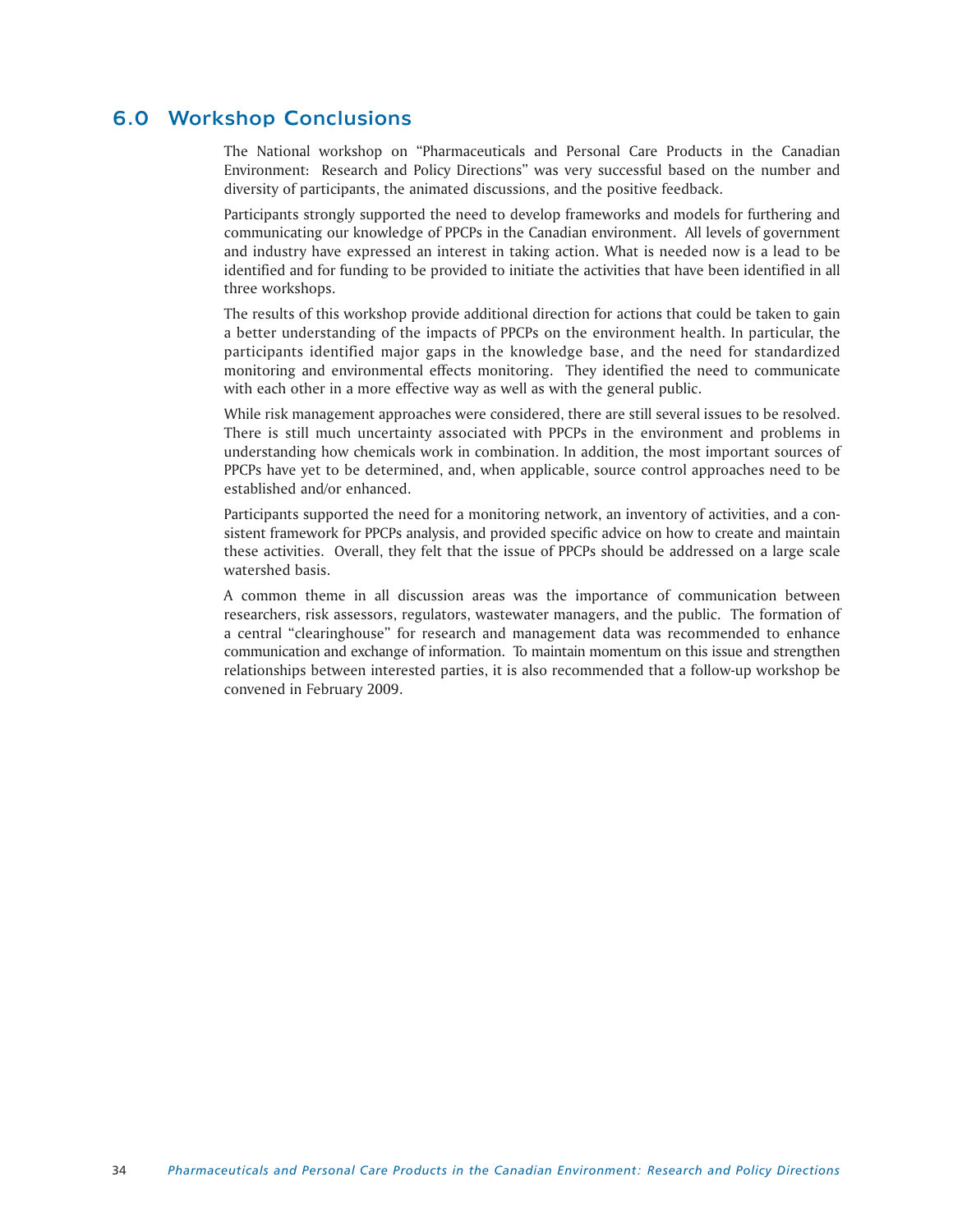# 6.0 Workshop Conclusions

The National workshop on "Pharmaceuticals and Personal Care Products in the Canadian Environment: Research and Policy Directions" was very successful based on the number and diversity of participants, the animated discussions, and the positive feedback.

Participants strongly supported the need to develop frameworks and models for furthering and communicating our knowledge of PPCPs in the Canadian environment. All levels of government and industry have expressed an interest in taking action. What is needed now is a lead to be identified and for funding to be provided to initiate the activities that have been identified in all three workshops.

The results of this workshop provide additional direction for actions that could be taken to gain a better understanding of the impacts of PPCPs on the environment health. In particular, the participants identified major gaps in the knowledge base, and the need for standardized monitoring and environmental effects monitoring. They identified the need to communicate with each other in a more effective way as well as with the general public.

While risk management approaches were considered, there are still several issues to be resolved. There is still much uncertainty associated with PPCPs in the environment and problems in understanding how chemicals work in combination. In addition, the most important sources of PPCPs have yet to be determined, and, when applicable, source control approaches need to be established and/or enhanced.

Participants supported the need for a monitoring network, an inventory of activities, and a consistent framework for PPCPs analysis, and provided specific advice on how to create and maintain these activities. Overall, they felt that the issue of PPCPs should be addressed on a large scale watershed basis.

A common theme in all discussion areas was the importance of communication between researchers, risk assessors, regulators, wastewater managers, and the public. The formation of a central "clearinghouse" for research and management data was recommended to enhance communication and exchange of information. To maintain momentum on this issue and strengthen relationships between interested parties, it is also recommended that a follow-up workshop be convened in February 2009.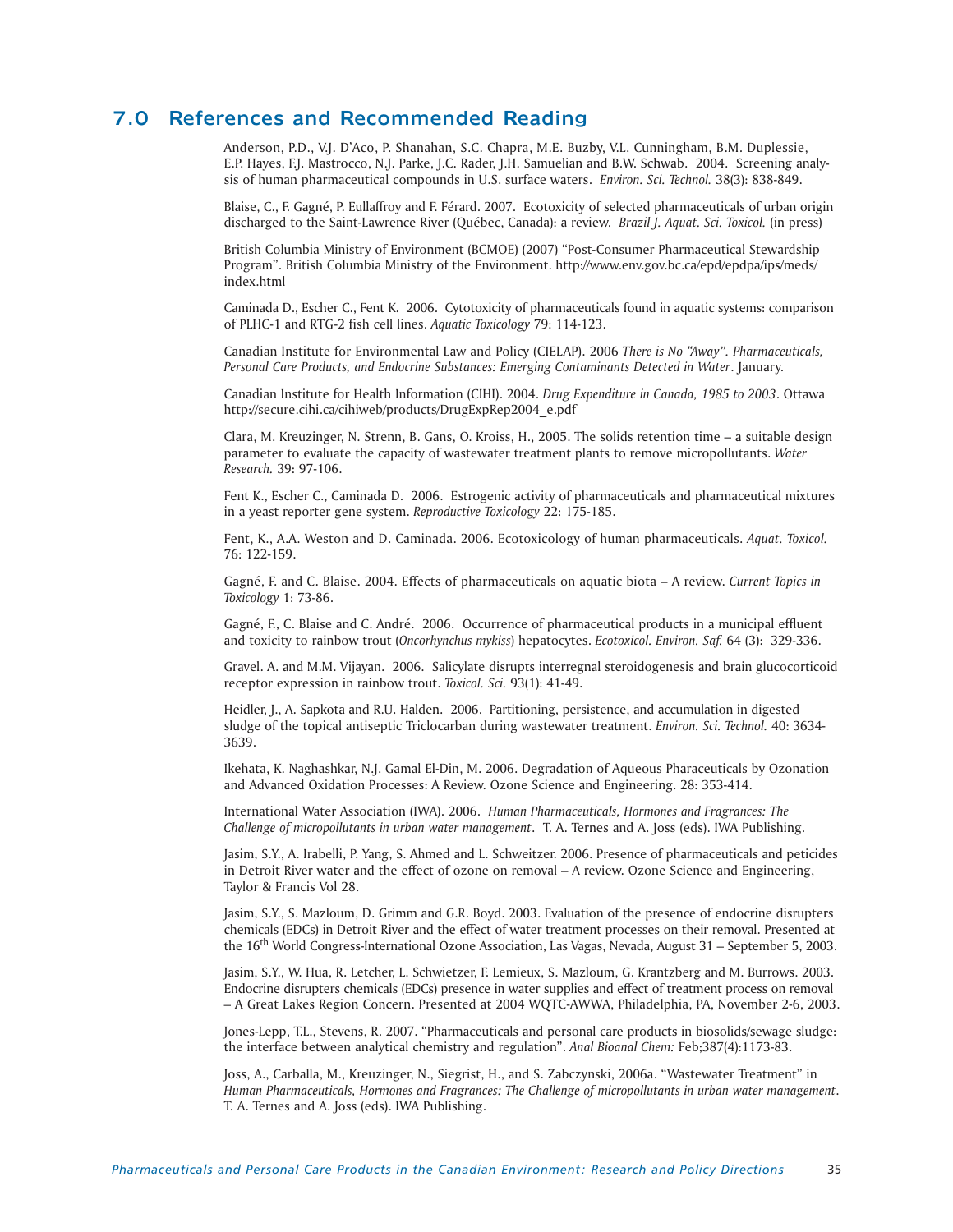# 7.0 References and Recommended Reading

Anderson, P.D., V.J. D'Aco, P. Shanahan, S.C. Chapra, M.E. Buzby, V.L. Cunningham, B.M. Duplessie, E.P. Hayes, F.J. Mastrocco, N.J. Parke, J.C. Rader, J.H. Samuelian and B.W. Schwab. 2004. Screening analysis of human pharmaceutical compounds in U.S. surface waters. *Environ. Sci. Technol.* 38(3): 838-849.

Blaise, C., F. Gagné, P. Eullaffroy and F. Férard. 2007. Ecotoxicity of selected pharmaceuticals of urban origin discharged to the Saint-Lawrence River (Québec, Canada): a review. *Brazil J. Aquat. Sci. Toxicol.* (in press)

British Columbia Ministry of Environment (BCMOE) (2007) "Post-Consumer Pharmaceutical Stewardship Program". British Columbia Ministry of the Environment. http://www.env.gov.bc.ca/epd/epdpa/ips/meds/ index.html

Caminada D., Escher C., Fent K. 2006. Cytotoxicity of pharmaceuticals found in aquatic systems: comparison of PLHC-1 and RTG-2 fish cell lines. *Aquatic Toxicology* 79: 114-123.

Canadian Institute for Environmental Law and Policy (CIELAP). 2006 *There is No "Away". Pharmaceuticals, Personal Care Products, and Endocrine Substances: Emerging Contaminants Detected in Water*. January.

Canadian Institute for Health Information (CIHI). 2004. *Drug Expenditure in Canada, 1985 to 2003*. Ottawa http://secure.cihi.ca/cihiweb/products/DrugExpRep2004\_e.pdf

Clara, M. Kreuzinger, N. Strenn, B. Gans, O. Kroiss, H., 2005. The solids retention time – a suitable design parameter to evaluate the capacity of wastewater treatment plants to remove micropollutants. *Water Research.* 39: 97-106.

Fent K., Escher C., Caminada D. 2006. Estrogenic activity of pharmaceuticals and pharmaceutical mixtures in a yeast reporter gene system. *Reproductive Toxicology* 22: 175-185.

Fent, K., A.A. Weston and D. Caminada. 2006. Ecotoxicology of human pharmaceuticals. *Aquat. Toxicol.* 76: 122-159.

Gagné, F. and C. Blaise. 2004. Effects of pharmaceuticals on aquatic biota – A review. *Current Topics in Toxicology* 1: 73-86.

Gagné, F., C. Blaise and C. André. 2006. Occurrence of pharmaceutical products in a municipal effluent and toxicity to rainbow trout (*Oncorhynchus mykiss*) hepatocytes. *Ecotoxicol. Environ. Saf.* 64 (3): 329-336.

Gravel. A. and M.M. Vijayan. 2006. Salicylate disrupts interregnal steroidogenesis and brain glucocorticoid receptor expression in rainbow trout. *Toxicol. Sci.* 93(1): 41-49.

Heidler, J., A. Sapkota and R.U. Halden. 2006. Partitioning, persistence, and accumulation in digested sludge of the topical antiseptic Triclocarban during wastewater treatment. *Environ. Sci. Technol.* 40: 3634- 3639.

Ikehata, K. Naghashkar, N.J. Gamal El-Din, M. 2006. Degradation of Aqueous Pharaceuticals by Ozonation and Advanced Oxidation Processes: A Review. Ozone Science and Engineering. 28: 353-414.

International Water Association (IWA). 2006. *Human Pharmaceuticals, Hormones and Fragrances: The Challenge of micropollutants in urban water management*. T. A. Ternes and A. Joss (eds). IWA Publishing.

Jasim, S.Y., A. Irabelli, P. Yang, S. Ahmed and L. Schweitzer. 2006. Presence of pharmaceuticals and peticides in Detroit River water and the effect of ozone on removal – A review. Ozone Science and Engineering, Taylor & Francis Vol 28.

Jasim, S.Y., S. Mazloum, D. Grimm and G.R. Boyd. 2003. Evaluation of the presence of endocrine disrupters chemicals (EDCs) in Detroit River and the effect of water treatment processes on their removal. Presented at the 16th World Congress-International Ozone Association, Las Vagas, Nevada, August 31 – September 5, 2003.

Jasim, S.Y., W. Hua, R. Letcher, L. Schwietzer, F. Lemieux, S. Mazloum, G. Krantzberg and M. Burrows. 2003. Endocrine disrupters chemicals (EDCs) presence in water supplies and effect of treatment process on removal – A Great Lakes Region Concern. Presented at 2004 WQTC-AWWA, Philadelphia, PA, November 2-6, 2003.

Jones-Lepp, T.L., Stevens, R. 2007. "Pharmaceuticals and personal care products in biosolids/sewage sludge: the interface between analytical chemistry and regulation". *Anal Bioanal Chem:* Feb;387(4):1173-83.

Joss, A., Carballa, M., Kreuzinger, N., Siegrist, H., and S. Zabczynski, 2006a. "Wastewater Treatment" in *Human Pharmaceuticals, Hormones and Fragrances: The Challenge of micropollutants in urban water management*. T. A. Ternes and A. Joss (eds). IWA Publishing.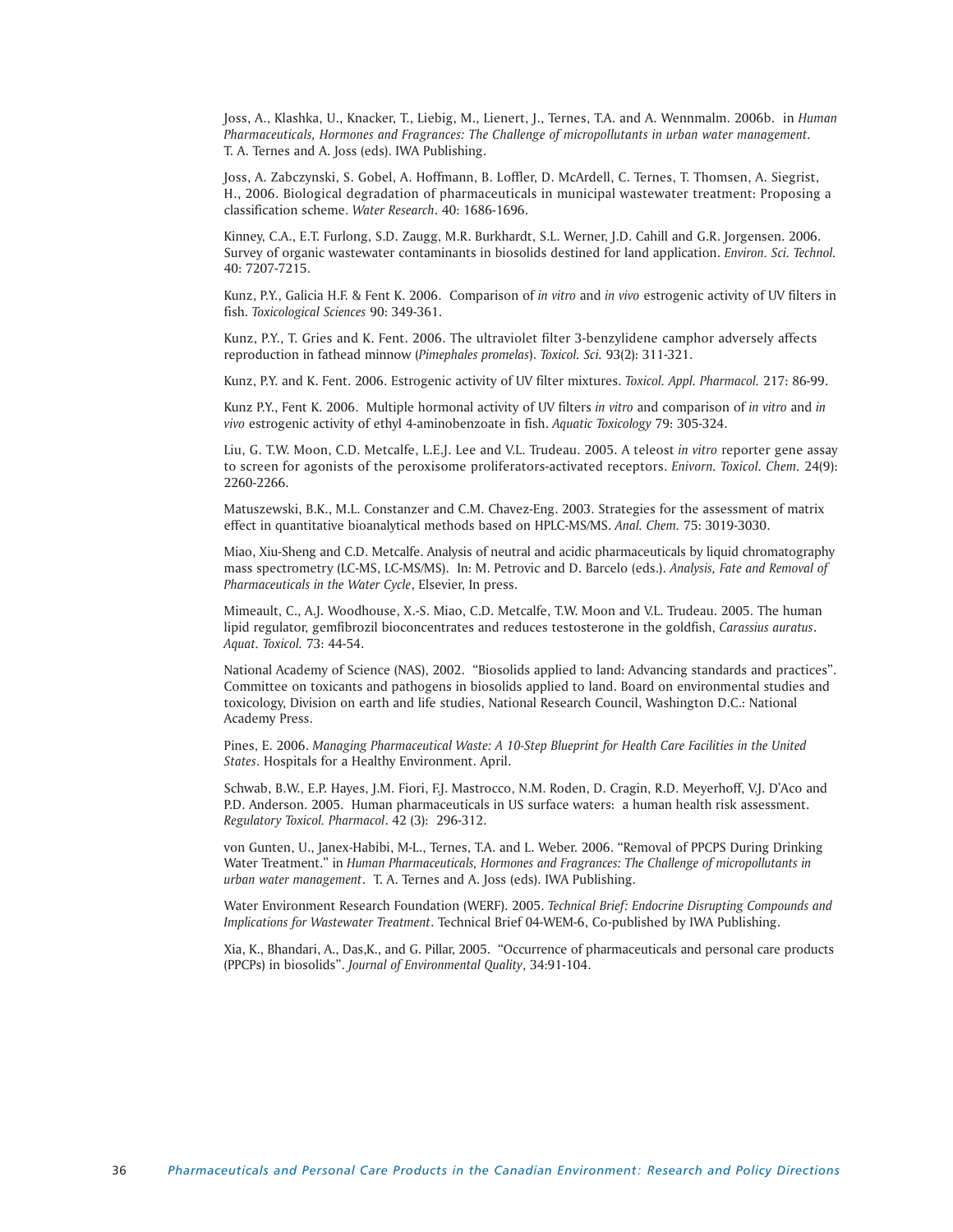Joss, A., Klashka, U., Knacker, T., Liebig, M., Lienert, J., Ternes, T.A. and A. Wennmalm. 2006b. in *Human Pharmaceuticals, Hormones and Fragrances: The Challenge of micropollutants in urban water management.* T. A. Ternes and A. Joss (eds). IWA Publishing.

Joss, A. Zabczynski, S. Gobel, A. Hoffmann, B. Loffler, D. McArdell, C. Ternes, T. Thomsen, A. Siegrist, H., 2006. Biological degradation of pharmaceuticals in municipal wastewater treatment: Proposing a classification scheme. *Water Research*. 40: 1686-1696.

Kinney, C.A., E.T. Furlong, S.D. Zaugg, M.R. Burkhardt, S.L. Werner, J.D. Cahill and G.R. Jorgensen. 2006. Survey of organic wastewater contaminants in biosolids destined for land application. *Environ. Sci. Technol.* 40: 7207-7215.

Kunz, P.Y., Galicia H.F. & Fent K. 2006. Comparison of *in vitro* and *in vivo* estrogenic activity of UV filters in fish. *Toxicological Sciences* 90: 349-361.

Kunz, P.Y., T. Gries and K. Fent. 2006. The ultraviolet filter 3-benzylidene camphor adversely affects reproduction in fathead minnow (*Pimephales promelas*). *Toxicol. Sci.* 93(2): 311-321.

Kunz, P.Y. and K. Fent. 2006. Estrogenic activity of UV filter mixtures. *Toxicol. Appl. Pharmacol.* 217: 86-99.

Kunz P.Y., Fent K. 2006. Multiple hormonal activity of UV filters *in vitro* and comparison of *in vitro* and *in vivo* estrogenic activity of ethyl 4-aminobenzoate in fish. *Aquatic Toxicology* 79: 305-324.

Liu, G. T.W. Moon, C.D. Metcalfe, L.E.J. Lee and V.L. Trudeau. 2005. A teleost *in vitro* reporter gene assay to screen for agonists of the peroxisome proliferators-activated receptors. *Enivorn. Toxicol. Chem.* 24(9): 2260-2266.

Matuszewski, B.K., M.L. Constanzer and C.M. Chavez-Eng. 2003. Strategies for the assessment of matrix effect in quantitative bioanalytical methods based on HPLC-MS/MS. *Anal. Chem.* 75: 3019-3030.

Miao, Xiu-Sheng and C.D. Metcalfe. Analysis of neutral and acidic pharmaceuticals by liquid chromatography mass spectrometry (LC-MS, LC-MS/MS). In: M. Petrovic and D. Barcelo (eds.). *Analysis, Fate and Removal of Pharmaceuticals in the Water Cycle*, Elsevier, In press.

Mimeault, C., A.J. Woodhouse, X.-S. Miao, C.D. Metcalfe, T.W. Moon and V.L. Trudeau. 2005. The human lipid regulator, gemfibrozil bioconcentrates and reduces testosterone in the goldfish, *Carassius auratus*. *Aquat. Toxicol.* 73: 44-54.

National Academy of Science (NAS), 2002. "Biosolids applied to land: Advancing standards and practices". Committee on toxicants and pathogens in biosolids applied to land. Board on environmental studies and toxicology, Division on earth and life studies, National Research Council, Washington D.C.: National Academy Press.

Pines, E. 2006. *Managing Pharmaceutical Waste: A 10-Step Blueprint for Health Care Facilities in the United States*. Hospitals for a Healthy Environment. April.

Schwab, B.W., E.P. Hayes, J.M. Fiori, F.J. Mastrocco, N.M. Roden, D. Cragin, R.D. Meyerhoff, V.J. D'Aco and P.D. Anderson. 2005. Human pharmaceuticals in US surface waters: a human health risk assessment. *Regulatory Toxicol. Pharmacol*. 42 (3): 296-312.

von Gunten, U., Janex-Habibi, M-L., Ternes, T.A. and L. Weber. 2006. "Removal of PPCPS During Drinking Water Treatment." in *Human Pharmaceuticals, Hormones and Fragrances: The Challenge of micropollutants in urban water management*. T. A. Ternes and A. Joss (eds). IWA Publishing.

Water Environment Research Foundation (WERF). 2005. *Technical Brief: Endocrine Disrupting Compounds and Implications for Wastewater Treatment*. Technical Brief 04-WEM-6, Co-published by IWA Publishing.

Xia, K., Bhandari, A., Das,K., and G. Pillar, 2005. "Occurrence of pharmaceuticals and personal care products (PPCPs) in biosolids". *Journal of Environmental Quality*, 34:91-104.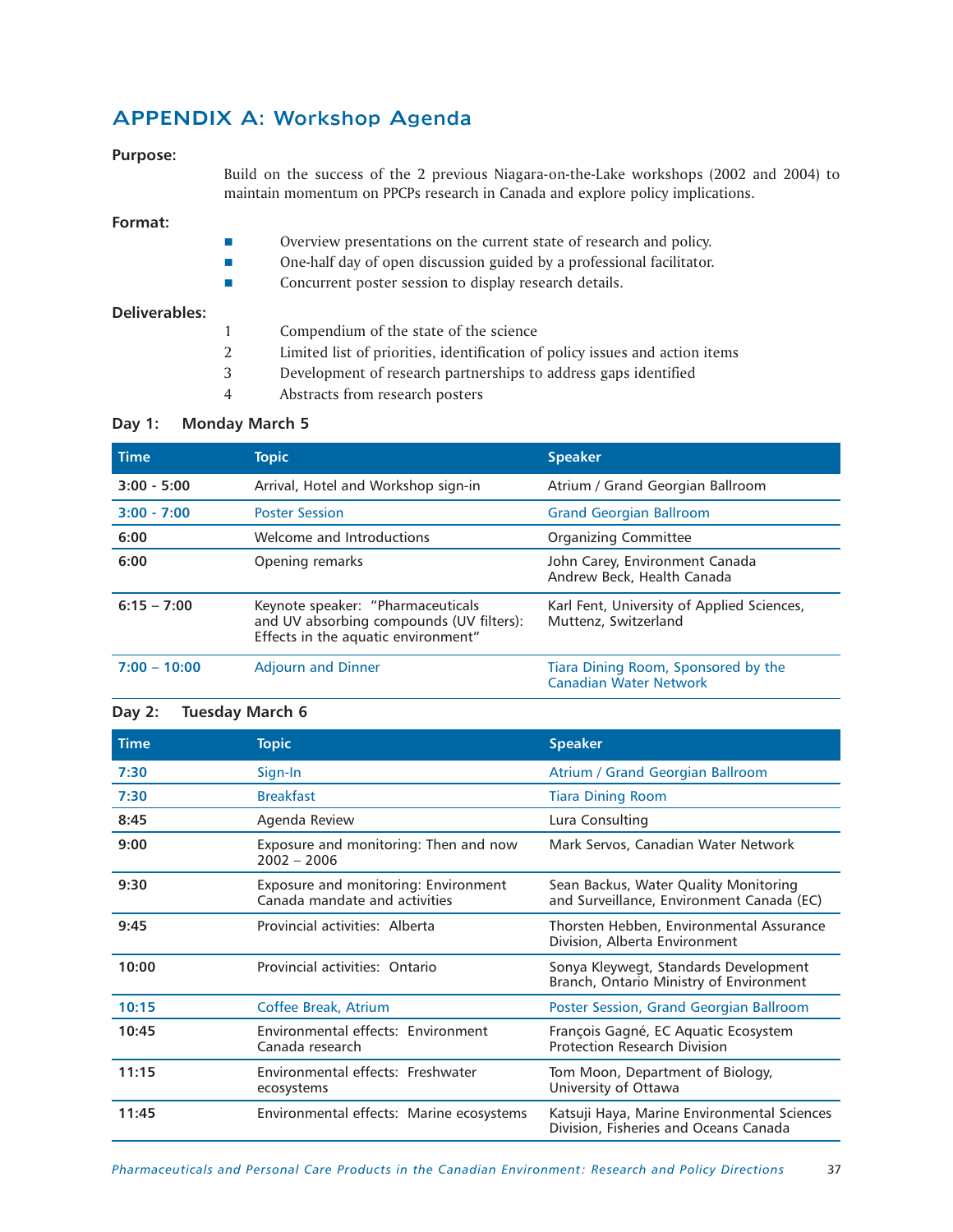# APPENDIX A: Workshop Agenda

# **Purpose:**

Build on the success of the 2 previous Niagara-on-the-Lake workshops (2002 and 2004) to maintain momentum on PPCPs research in Canada and explore policy implications.

# **Format:**

- **Departs 2** Overview presentations on the current state of research and policy.
- One-half day of open discussion guided by a professional facilitator.
- **Example 3** Concurrent poster session to display research details.

# **Deliverables:**

- 1 Compendium of the state of the science
- 2 Limited list of priorities, identification of policy issues and action items
- 3 Development of research partnerships to address gaps identified
- 4 Abstracts from research posters

# **Day 1: Monday March 5**

| <b>Time</b>    | <b>Topic</b>                                                                                                         | <b>Speaker</b>                                                       |
|----------------|----------------------------------------------------------------------------------------------------------------------|----------------------------------------------------------------------|
| $3:00 - 5:00$  | Arrival, Hotel and Workshop sign-in                                                                                  | Atrium / Grand Georgian Ballroom                                     |
| $3:00 - 7:00$  | <b>Poster Session</b>                                                                                                | <b>Grand Georgian Ballroom</b>                                       |
| 6:00           | Welcome and Introductions                                                                                            | Organizing Committee                                                 |
| 6:00           | Opening remarks                                                                                                      | John Carey, Environment Canada<br>Andrew Beck, Health Canada         |
| $6:15 - 7:00$  | Keynote speaker: "Pharmaceuticals<br>and UV absorbing compounds (UV filters):<br>Effects in the aquatic environment" | Karl Fent, University of Applied Sciences,<br>Muttenz, Switzerland   |
| $7:00 - 10:00$ | <b>Adjourn and Dinner</b>                                                                                            | Tiara Dining Room, Sponsored by the<br><b>Canadian Water Network</b> |

# **Day 2: Tuesday March 6**

| <b>Time</b> | <b>Topic</b>                                                          | <b>Speaker</b>                                                                       |
|-------------|-----------------------------------------------------------------------|--------------------------------------------------------------------------------------|
| 7:30        | Sign-In                                                               | Atrium / Grand Georgian Ballroom                                                     |
| 7:30        | <b>Breakfast</b>                                                      | <b>Tiara Dining Room</b>                                                             |
| 8:45        | Agenda Review                                                         | Lura Consulting                                                                      |
| 9:00        | Exposure and monitoring: Then and now<br>$2002 - 2006$                | Mark Servos, Canadian Water Network                                                  |
| 9:30        | Exposure and monitoring: Environment<br>Canada mandate and activities | Sean Backus, Water Quality Monitoring<br>and Surveillance, Environment Canada (EC)   |
| 9:45        | Provincial activities: Alberta                                        | Thorsten Hebben, Environmental Assurance<br>Division, Alberta Environment            |
| 10:00       | Provincial activities: Ontario                                        | Sonya Kleywegt, Standards Development<br>Branch, Ontario Ministry of Environment     |
| 10:15       | <b>Coffee Break, Atrium</b>                                           | Poster Session, Grand Georgian Ballroom                                              |
| 10:45       | Environmental effects: Environment<br>Canada research                 | François Gagné, EC Aquatic Ecosystem<br><b>Protection Research Division</b>          |
| 11:15       | Environmental effects: Freshwater<br>ecosystems                       | Tom Moon, Department of Biology,<br>University of Ottawa                             |
| 11:45       | Environmental effects: Marine ecosystems                              | Katsuji Haya, Marine Environmental Sciences<br>Division, Fisheries and Oceans Canada |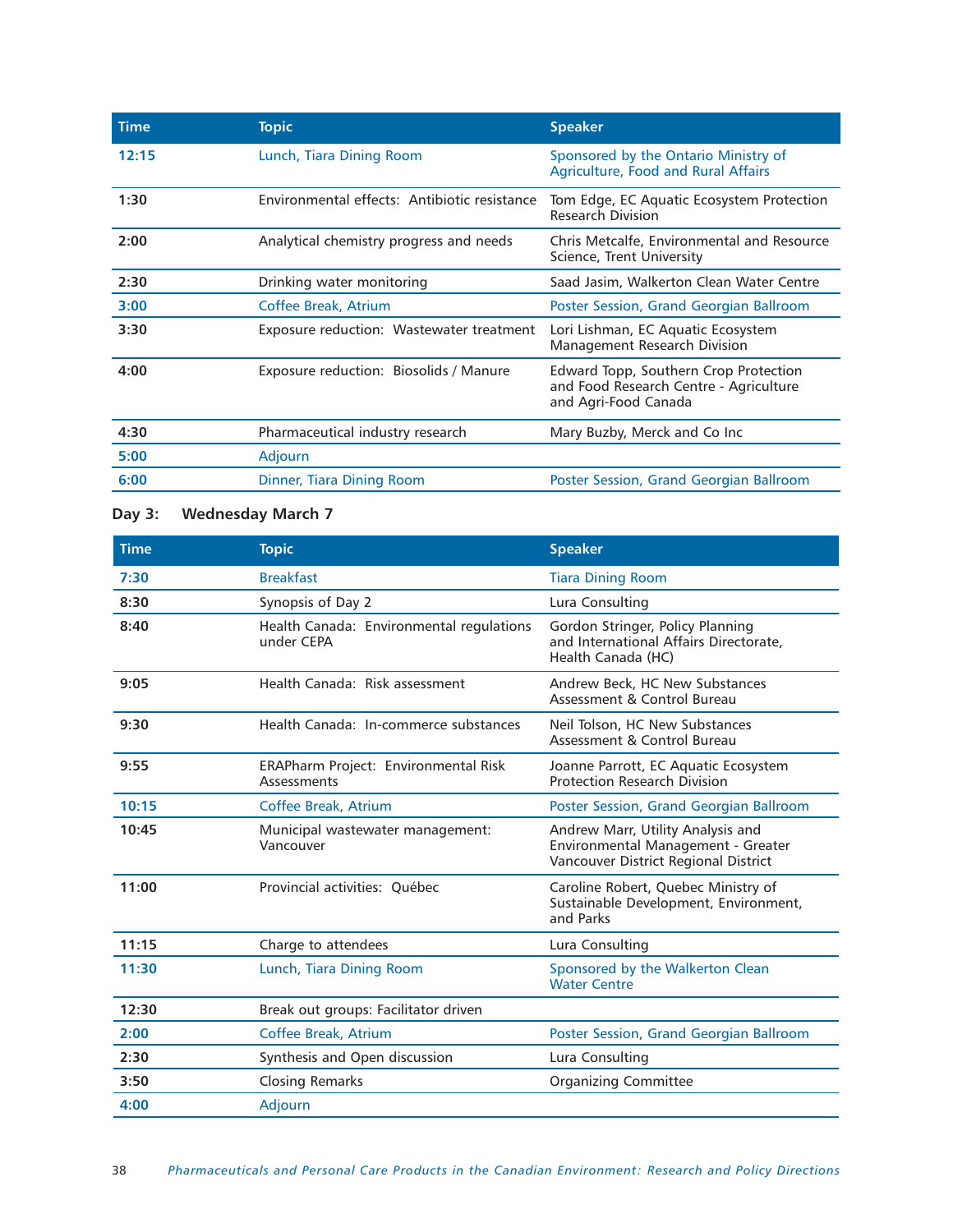| <b>Topic</b>                                 | <b>Speaker</b>                                                                                          |
|----------------------------------------------|---------------------------------------------------------------------------------------------------------|
| Lunch, Tiara Dining Room                     | Sponsored by the Ontario Ministry of<br><b>Agriculture, Food and Rural Affairs</b>                      |
| Environmental effects: Antibiotic resistance | Tom Edge, EC Aquatic Ecosystem Protection<br><b>Research Division</b>                                   |
| Analytical chemistry progress and needs      | Chris Metcalfe, Environmental and Resource<br>Science, Trent University                                 |
| Drinking water monitoring                    | Saad Jasim, Walkerton Clean Water Centre                                                                |
| Coffee Break, Atrium                         | Poster Session, Grand Georgian Ballroom                                                                 |
| Exposure reduction: Wastewater treatment     | Lori Lishman, EC Aquatic Ecosystem<br>Management Research Division                                      |
| Exposure reduction: Biosolids / Manure       | Edward Topp, Southern Crop Protection<br>and Food Research Centre - Agriculture<br>and Agri-Food Canada |
| Pharmaceutical industry research             | Mary Buzby, Merck and Co Inc                                                                            |
| Adjourn                                      |                                                                                                         |
| Dinner, Tiara Dining Room                    | Poster Session, Grand Georgian Ballroom                                                                 |
|                                              |                                                                                                         |

# **Day 3: Wednesday March 7**

| <b>Time</b> | <b>Topic</b>                                               | <b>Speaker</b>                                                                                                  |
|-------------|------------------------------------------------------------|-----------------------------------------------------------------------------------------------------------------|
| 7:30        | <b>Breakfast</b>                                           | <b>Tiara Dining Room</b>                                                                                        |
| 8:30        | Synopsis of Day 2                                          | Lura Consulting                                                                                                 |
| 8:40        | Health Canada: Environmental regulations<br>under CEPA     | Gordon Stringer, Policy Planning<br>and International Affairs Directorate,<br>Health Canada (HC)                |
| 9:05        | Health Canada: Risk assessment                             | Andrew Beck, HC New Substances<br>Assessment & Control Bureau                                                   |
| 9:30        | Health Canada: In-commerce substances                      | Neil Tolson, HC New Substances<br>Assessment & Control Bureau                                                   |
| 9:55        | <b>ERAPharm Project: Environmental Risk</b><br>Assessments | Joanne Parrott, EC Aquatic Ecosystem<br><b>Protection Research Division</b>                                     |
| 10:15       | Coffee Break, Atrium                                       | Poster Session, Grand Georgian Ballroom                                                                         |
| 10:45       | Municipal wastewater management:<br>Vancouver              | Andrew Marr, Utility Analysis and<br>Environmental Management - Greater<br>Vancouver District Regional District |
| 11:00       | Provincial activities: Ouébec                              | Caroline Robert, Quebec Ministry of<br>Sustainable Development, Environment,<br>and Parks                       |
| 11:15       | Charge to attendees                                        | Lura Consulting                                                                                                 |
| 11:30       | Lunch, Tiara Dining Room                                   | Sponsored by the Walkerton Clean<br><b>Water Centre</b>                                                         |
| 12:30       | Break out groups: Facilitator driven                       |                                                                                                                 |
| 2:00        | Coffee Break, Atrium                                       | Poster Session, Grand Georgian Ballroom                                                                         |
| 2:30        | Synthesis and Open discussion                              | Lura Consulting                                                                                                 |
| 3:50        | <b>Closing Remarks</b>                                     | <b>Organizing Committee</b>                                                                                     |
| 4:00        | Adjourn                                                    |                                                                                                                 |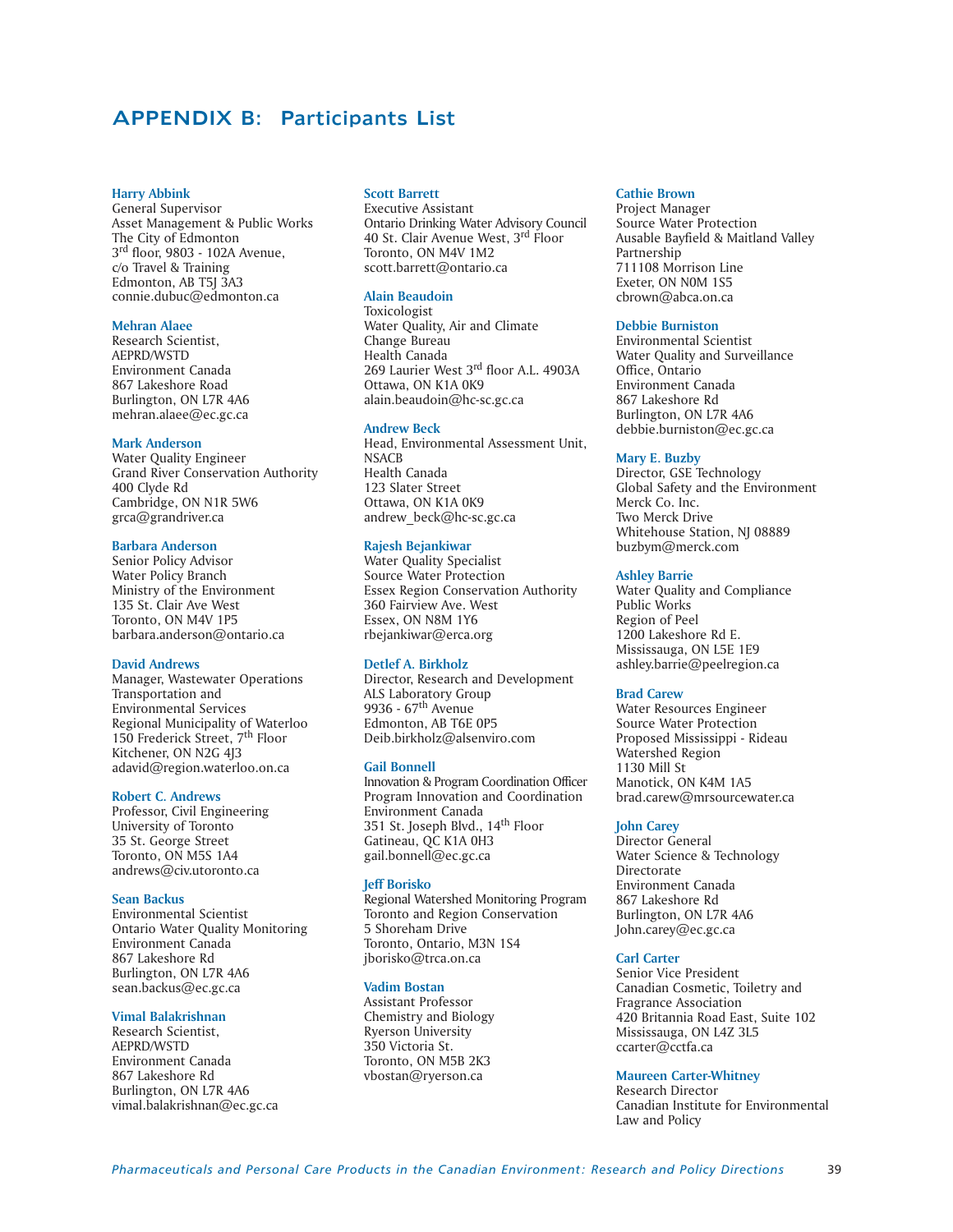# APPENDIX B: Participants List

### **Harry Abbink**

General Supervisor Asset Management & Public Works The City of Edmonton 3rd floor, 9803 - 102A Avenue, c/o Travel & Training Edmonton, AB T5J 3A3 connie.dubuc@edmonton.ca

# **Mehran Alaee**

Research Scientist, AEPRD/WSTD Environment Canada 867 Lakeshore Road Burlington, ON L7R 4A6 mehran.alaee@ec.gc.ca

# **Mark Anderson**

Water Quality Engineer Grand River Conservation Authority 400 Clyde Rd Cambridge, ON N1R 5W6 grca@grandriver.ca

# **Barbara Anderson**

Senior Policy Advisor Water Policy Branch Ministry of the Environment 135 St. Clair Ave West Toronto, ON M4V 1P5 barbara.anderson@ontario.ca

# **David Andrews**

Manager, Wastewater Operations Transportation and Environmental Services Regional Municipality of Waterloo 150 Frederick Street, 7th Floor Kitchener, ON N2G 4J3 adavid@region.waterloo.on.ca

# **Robert C. Andrews**

Professor, Civil Engineering University of Toronto 35 St. George Street Toronto, ON M5S 1A4 andrews@civ.utoronto.ca

# **Sean Backus**

Environmental Scientist Ontario Water Quality Monitoring Environment Canada 867 Lakeshore Rd Burlington, ON L7R 4A6 sean.backus@ec.gc.ca

# **Vimal Balakrishnan**

Research Scientist, AEPRD/WSTD Environment Canada 867 Lakeshore Rd Burlington, ON L7R 4A6 vimal.balakrishnan@ec.gc.ca

#### **Scott Barrett**

Executive Assistant Ontario Drinking Water Advisory Council 40 St. Clair Avenue West, 3<sup>rd</sup> Floor Toronto, ON M4V 1M2 scott.barrett@ontario.ca

# **Alain Beaudoin**

Toxicologist Water Quality, Air and Climate Change Bureau Health Canada 269 Laurier West 3rd floor A.L. 4903A Ottawa, ON K1A 0K9 alain.beaudoin@hc-sc.gc.ca

# **Andrew Beck**

Head, Environmental Assessment Unit, **NSACB** Health Canada 123 Slater Street Ottawa, ON K1A 0K9 andrew\_beck@hc-sc.gc.ca

# **Rajesh Bejankiwar**

Water Quality Specialist Source Water Protection Essex Region Conservation Authority 360 Fairview Ave. West Essex, ON N8M 1Y6 rbejankiwar@erca.org

# **Detlef A. Birkholz**

Director, Research and Development ALS Laboratory Group 9936 - 67th Avenue Edmonton, AB T6E 0P5 Deib.birkholz@alsenviro.com

# **Gail Bonnell**

Innovation & Program Coordination Officer Program Innovation and Coordination Environment Canada 351 St. Joseph Blvd., 14th Floor Gatineau, QC K1A 0H3 gail.bonnell@ec.gc.ca

# **Jeff Borisko**

Regional Watershed Monitoring Program Toronto and Region Conservation 5 Shoreham Drive Toronto, Ontario, M3N 1S4 jborisko@trca.on.ca

#### **Vadim Bostan**

Assistant Professor Chemistry and Biology Ryerson University 350 Victoria St. Toronto, ON M5B 2K3 vbostan@ryerson.ca

## **Cathie Brown**

Project Manager Source Water Protection Ausable Bayfield & Maitland Valley **Partnership** 711108 Morrison Line Exeter, ON N0M 1S5 cbrown@abca.on.ca

# **Debbie Burniston**

Environmental Scientist Water Quality and Surveillance Office, Ontario Environment Canada 867 Lakeshore Rd Burlington, ON L7R 4A6 debbie.burniston@ec.gc.ca

#### **Mary E. Buzby**

Director, GSE Technology Global Safety and the Environment Merck Co. Inc. Two Merck Drive Whitehouse Station, NJ 08889 buzbym@merck.com

# **Ashley Barrie**

Water Quality and Compliance Public Works Region of Peel 1200 Lakeshore Rd E. Mississauga, ON L5E 1E9 ashley.barrie@peelregion.ca

# **Brad Carew**

Water Resources Engineer Source Water Protection Proposed Mississippi - Rideau Watershed Region 1130 Mill St Manotick, ON K4M 1A5 brad.carew@mrsourcewater.ca

#### **John Carey**

Director General Water Science & Technology Directorate Environment Canada 867 Lakeshore Rd Burlington, ON L7R 4A6 John.carey@ec.gc.ca

# **Carl Carter**

Senior Vice President Canadian Cosmetic, Toiletry and Fragrance Association 420 Britannia Road East, Suite 102 Mississauga, ON L4Z 3L5 ccarter@cctfa.ca

# **Maureen Carter-Whitney**

Research Director Canadian Institute for Environmental Law and Policy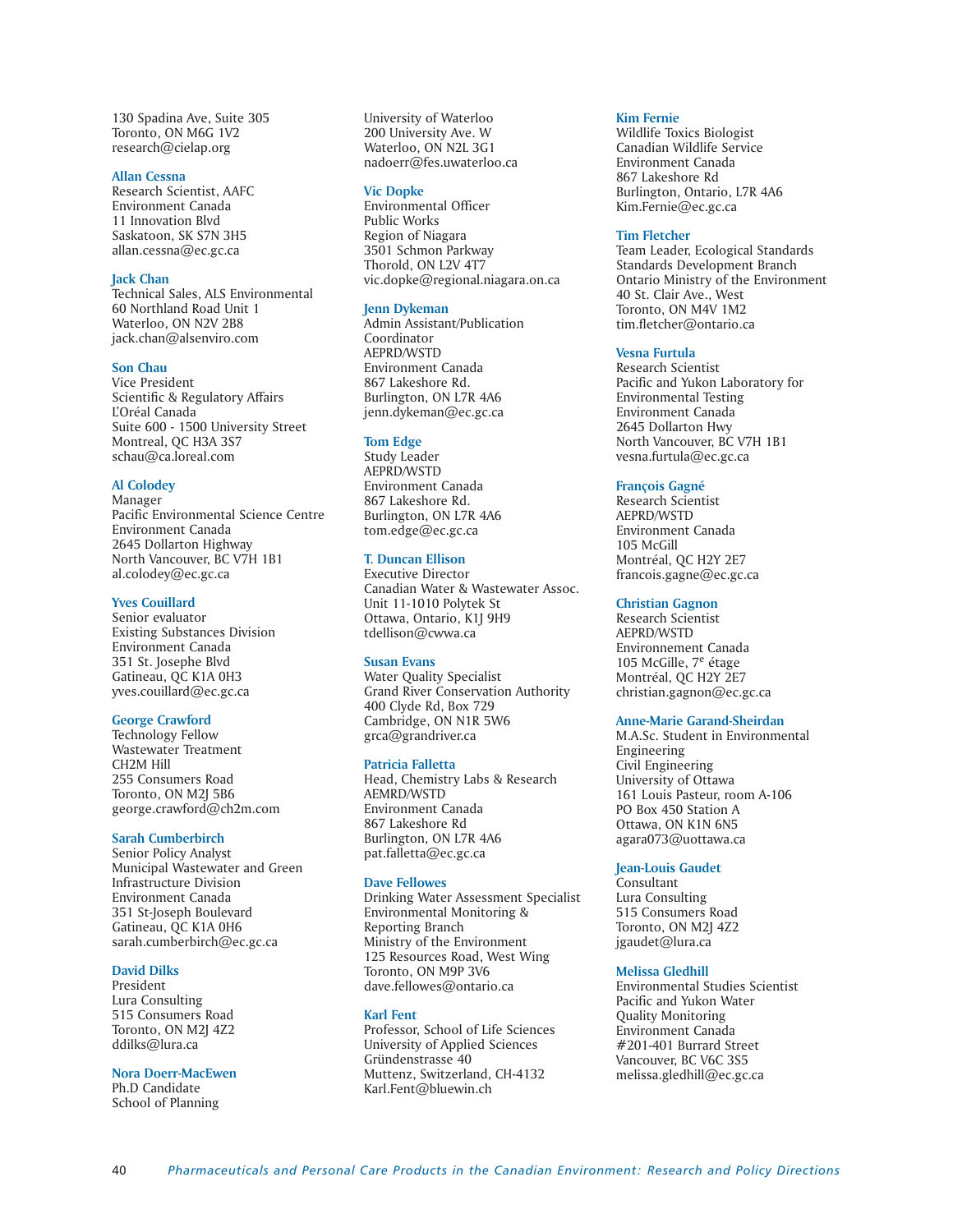130 Spadina Ave, Suite 305 Toronto, ON M6G 1V2 research@cielap.org

#### **Allan Cessna**

Research Scientist, AAFC Environment Canada 11 Innovation Blvd Saskatoon, SK S7N 3H5 allan.cessna@ec.gc.ca

# **Jack Chan**

Technical Sales, ALS Environmental 60 Northland Road Unit 1 Waterloo, ON N2V 2B8 jack.chan@alsenviro.com

# **Son Chau**

Vice President Scientific & Regulatory Affairs L'Oréal Canada Suite 600 - 1500 University Street Montreal, QC H3A 3S7 schau@ca.loreal.com

# **Al Colodey**

Manager Pacific Environmental Science Centre Environment Canada 2645 Dollarton Highway North Vancouver, BC V7H 1B1 al.colodey@ec.gc.ca

### **Yves Couillard**

Senior evaluator Existing Substances Division Environment Canada 351 St. Josephe Blvd Gatineau, QC K1A 0H3 yves.couillard@ec.gc.ca

# **George Crawford**

Technology Fellow Wastewater Treatment CH2M Hill 255 Consumers Road Toronto, ON M2J 5B6 george.crawford@ch2m.com

### **Sarah Cumberbirch**

Senior Policy Analyst Municipal Wastewater and Green Infrastructure Division Environment Canada 351 St-Joseph Boulevard Gatineau, QC K1A 0H6 sarah.cumberbirch@ec.gc.ca

# **David Dilks**

President Lura Consulting 515 Consumers Road Toronto, ON M2J 4Z2 ddilks@lura.ca

#### **Nora Doerr-MacEwen**

Ph.D Candidate School of Planning

University of Waterloo 200 University Ave. W Waterloo, ON N2L 3G1 nadoerr@fes.uwaterloo.ca

#### **Vic Dopke**

Environmental Officer Public Works Region of Niagara 3501 Schmon Parkway Thorold, ON L2V 4T7 vic.dopke@regional.niagara.on.ca

### **Jenn Dykeman**

Admin Assistant/Publication Coordinator AEPRD/WSTD Environment Canada 867 Lakeshore Rd. Burlington, ON L7R 4A6 jenn.dykeman@ec.gc.ca

#### **Tom Edge**

Study Leader AEPRD/WSTD Environment Canada 867 Lakeshore Rd. Burlington, ON L7R 4A6 tom.edge@ec.gc.ca

# **T. Duncan Ellison**

Executive Director Canadian Water & Wastewater Assoc. Unit 11-1010 Polytek St Ottawa, Ontario, K1J 9H9 tdellison@cwwa.ca

#### **Susan Evans**

Water Quality Specialist Grand River Conservation Authority 400 Clyde Rd, Box 729 Cambridge, ON N1R 5W6 grca@grandriver.ca

#### **Patricia Falletta**

Head, Chemistry Labs & Research AEMRD/WSTD Environment Canada 867 Lakeshore Rd Burlington, ON L7R 4A6 pat.falletta@ec.gc.ca

#### **Dave Fellowes**

Drinking Water Assessment Specialist Environmental Monitoring & Reporting Branch Ministry of the Environment 125 Resources Road, West Wing Toronto, ON M9P 3V6 dave.fellowes@ontario.ca

#### **Karl Fent**

Professor, School of Life Sciences University of Applied Sciences Gründenstrasse 40 Muttenz, Switzerland, CH-4132 Karl.Fent@bluewin.ch

#### **Kim Fernie**

Wildlife Toxics Biologist Canadian Wildlife Service Environment Canada 867 Lakeshore Rd Burlington, Ontario, L7R 4A6 Kim.Fernie@ec.gc.ca

#### **Tim Fletcher**

Team Leader, Ecological Standards Standards Development Branch Ontario Ministry of the Environment 40 St. Clair Ave., West Toronto, ON M4V 1M2 tim.fletcher@ontario.ca

### **Vesna Furtula**

Research Scientist Pacific and Yukon Laboratory for Environmental Testing Environment Canada 2645 Dollarton Hwy North Vancouver, BC V7H 1B1 vesna.furtula@ec.gc.ca

# **François Gagné**

Research Scientist AEPRD/WSTD Environment Canada 105 McGill Montréal, QC H2Y 2E7 francois.gagne@ec.gc.ca

# **Christian Gagnon**

Research Scientist AEPRD/WSTD Environnement Canada 105 McGille, 7<sup>e</sup> étage Montréal, QC H2Y 2E7 christian.gagnon@ec.gc.ca

#### **Anne-Marie Garand-Sheirdan**

M.A.Sc. Student in Environmental Engineering Civil Engineering University of Ottawa 161 Louis Pasteur, room A-106 PO Box 450 Station A Ottawa, ON K1N 6N5 agara073@uottawa.ca

# **Jean-Louis Gaudet**

Consultant Lura Consulting 515 Consumers Road Toronto, ON M2J 4Z2 jgaudet@lura.ca

#### **Melissa Gledhill**

Environmental Studies Scientist Pacific and Yukon Water Quality Monitoring Environment Canada #201-401 Burrard Street Vancouver, BC V6C 3S5 melissa.gledhill@ec.gc.ca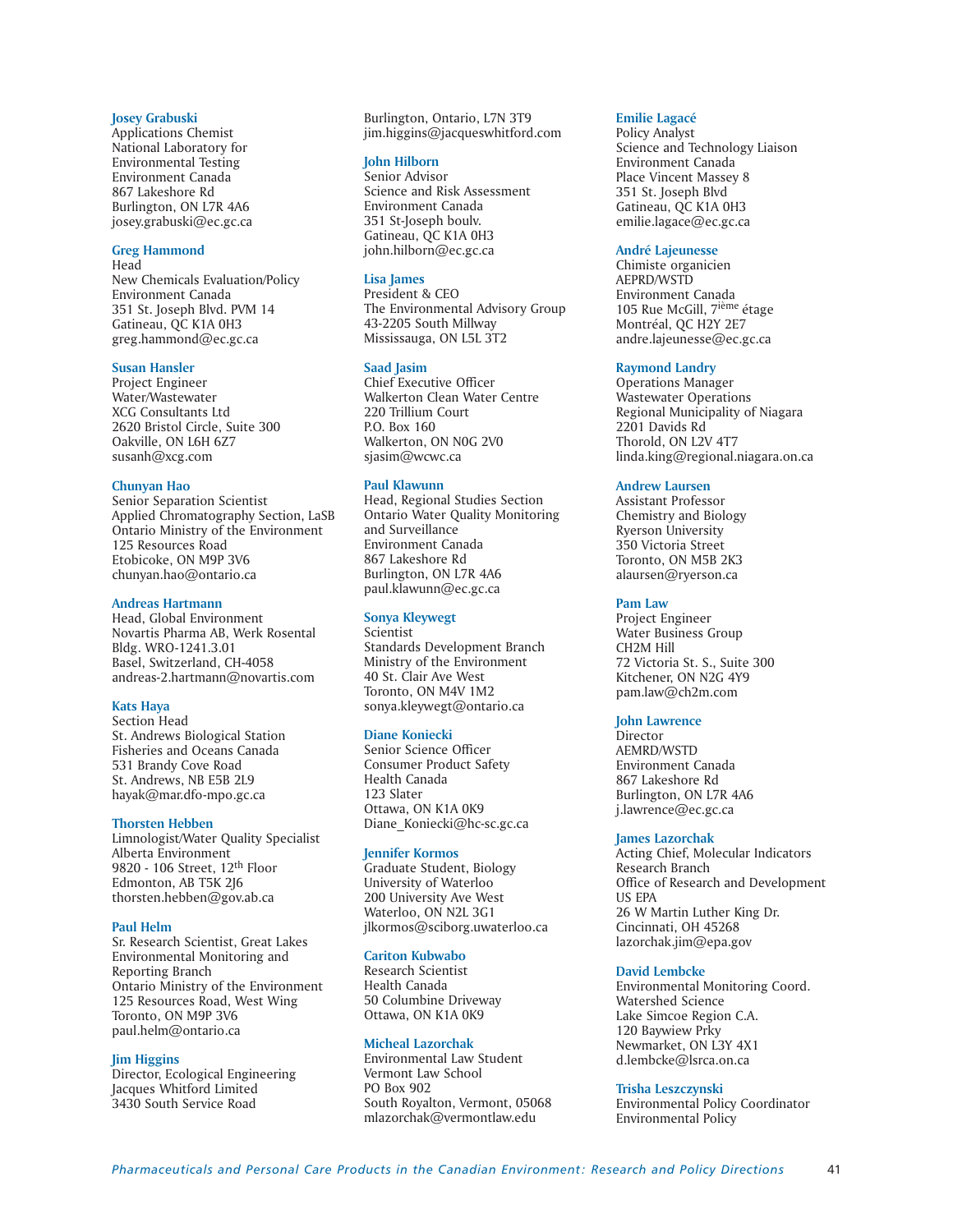# **Josey Grabuski**

Applications Chemist National Laboratory for Environmental Testing Environment Canada 867 Lakeshore Rd Burlington, ON L7R 4A6 josey.grabuski@ec.gc.ca

# **Greg Hammond**

Head New Chemicals Evaluation/Policy Environment Canada 351 St. Joseph Blvd. PVM 14 Gatineau, QC K1A 0H3 greg.hammond@ec.gc.ca

# **Susan Hansler**

Project Engineer Water/Wastewater XCG Consultants Ltd 2620 Bristol Circle, Suite 300 Oakville, ON L6H 6Z7 susanh@xcg.com

# **Chunyan Hao**

Senior Separation Scientist Applied Chromatography Section, LaSB Ontario Ministry of the Environment 125 Resources Road Etobicoke, ON M9P 3V6 chunyan.hao@ontario.ca

# **Andreas Hartmann**

Head, Global Environment Novartis Pharma AB, Werk Rosental Bldg. WRO-1241.3.01 Basel, Switzerland, CH-4058 andreas-2.hartmann@novartis.com

# **Kats Haya**

Section Head St. Andrews Biological Station Fisheries and Oceans Canada 531 Brandy Cove Road St. Andrews, NB E5B 2L9 hayak@mar.dfo-mpo.gc.ca

#### **Thorsten Hebben**

Limnologist/Water Quality Specialist Alberta Environment 9820 - 106 Street, 12th Floor Edmonton, AB T5K 2J6 thorsten.hebben@gov.ab.ca

#### **Paul Helm**

Sr. Research Scientist, Great Lakes Environmental Monitoring and Reporting Branch Ontario Ministry of the Environment 125 Resources Road, West Wing Toronto, ON M9P 3V6 paul.helm@ontario.ca

# **Jim Higgins**

Director, Ecological Engineering Jacques Whitford Limited 3430 South Service Road

Burlington, Ontario, L7N 3T9 jim.higgins@jacqueswhitford.com

# **John Hilborn**

Senior Advisor Science and Risk Assessment Environment Canada 351 St-Joseph boulv. Gatineau, QC K1A 0H3 john.hilborn@ec.gc.ca

# **Lisa James**

President & CEO The Environmental Advisory Group 43-2205 South Millway Mississauga, ON L5L 3T2

# **Saad Jasim**

Chief Executive Officer Walkerton Clean Water Centre 220 Trillium Court P.O. Box 160 Walkerton, ON N0G 2V0 sjasim@wcwc.ca

# **Paul Klawunn**

Head, Regional Studies Section Ontario Water Quality Monitoring and Surveillance Environment Canada 867 Lakeshore Rd Burlington, ON L7R 4A6 paul.klawunn@ec.gc.ca

# **Sonya Kleywegt**

Scientist Standards Development Branch Ministry of the Environment 40 St. Clair Ave West Toronto, ON M4V 1M2 sonya.kleywegt@ontario.ca

### **Diane Koniecki**

Senior Science Officer Consumer Product Safety Health Canada 123 Slater Ottawa, ON K1A 0K9 Diane\_Koniecki@hc-sc.gc.ca

### **Jennifer Kormos**

Graduate Student, Biology University of Waterloo 200 University Ave West Waterloo, ON N2L 3G1 jlkormos@sciborg.uwaterloo.ca

#### **Cariton Kubwabo**

Research Scientist Health Canada 50 Columbine Driveway Ottawa, ON K1A 0K9

#### **Micheal Lazorchak**

Environmental Law Student Vermont Law School PO Box 902 South Royalton, Vermont, 05068 mlazorchak@vermontlaw.edu

#### **Emilie Lagacé**

Policy Analyst Science and Technology Liaison Environment Canada Place Vincent Massey 8 351 St. Joseph Blvd Gatineau, QC K1A 0H3 emilie.lagace@ec.gc.ca

# **André Lajeunesse**

Chimiste organicien AEPRD/WSTD Environment Canada 105 Rue McGill, 7ième étage Montréal, QC H2Y 2E7 andre.lajeunesse@ec.gc.ca

# **Raymond Landry**

Operations Manager Wastewater Operations Regional Municipality of Niagara 2201 Davids Rd Thorold, ON L2V 4T7 linda.king@regional.niagara.on.ca

# **Andrew Laursen**

Assistant Professor Chemistry and Biology Ryerson University 350 Victoria Street Toronto, ON M5B 2K3 alaursen@ryerson.ca

# **Pam Law**

Project Engineer Water Business Group CH2M Hill 72 Victoria St. S., Suite 300 Kitchener, ON N2G 4Y9 pam.law@ch2m.com

# **John Lawrence**

**Director** AEMRD/WSTD Environment Canada 867 Lakeshore Rd Burlington, ON L7R 4A6 j.lawrence@ec.gc.ca

#### **James Lazorchak**

Acting Chief, Molecular Indicators Research Branch Office of Research and Development US EPA 26 W Martin Luther King Dr. Cincinnati, OH 45268 lazorchak.jim@epa.gov

### **David Lembcke**

Environmental Monitoring Coord. Watershed Science Lake Simcoe Region C.A. 120 Baywiew Prky Newmarket, ON L3Y 4X1 d.lembcke@lsrca.on.ca

# **Trisha Leszczynski**

Environmental Policy Coordinator Environmental Policy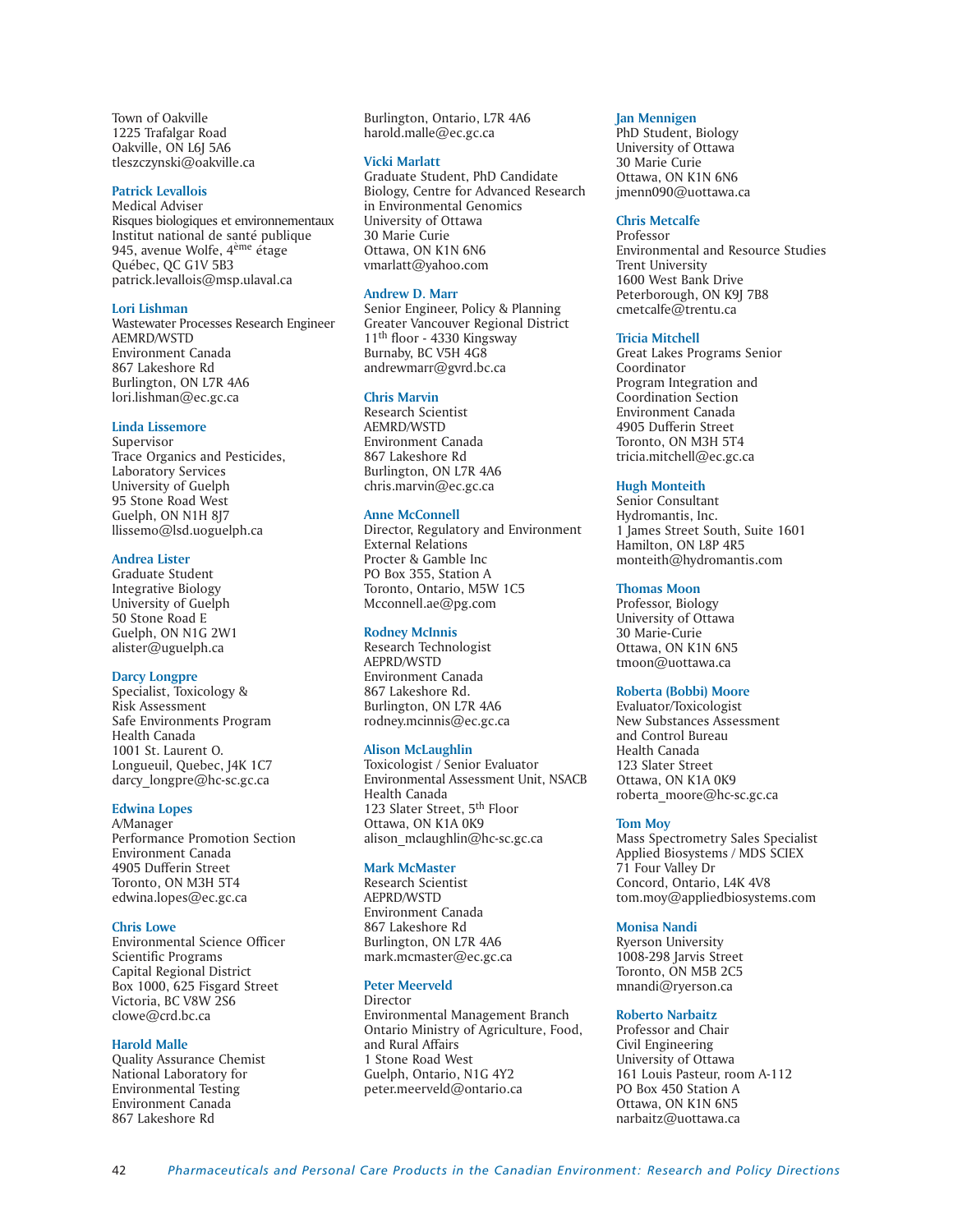Town of Oakville 1225 Trafalgar Road Oakville, ON L6J 5A6 tleszczynski@oakville.ca

#### **Patrick Levallois**

Medical Adviser Risques biologiques et environnementaux Institut national de santé publique 945, avenue Wolfe, 4ème étage Québec, QC G1V 5B3 patrick.levallois@msp.ulaval.ca

#### **Lori Lishman**

Wastewater Processes Research Engineer AEMRD/WSTD Environment Canada 867 Lakeshore Rd Burlington, ON L7R 4A6 lori.lishman@ec.gc.ca

#### **Linda Lissemore**

Supervisor Trace Organics and Pesticides, Laboratory Services University of Guelph 95 Stone Road West Guelph, ON N1H 8J7 llissemo@lsd.uoguelph.ca

#### **Andrea Lister**

Graduate Student Integrative Biology University of Guelph 50 Stone Road E Guelph, ON N1G 2W1 alister@uguelph.ca

### **Darcy Longpre**

Specialist, Toxicology & Risk Assessment Safe Environments Program Health Canada 1001 St. Laurent O. Longueuil, Quebec, J4K 1C7 darcy\_longpre@hc-sc.gc.ca

# **Edwina Lopes**

A/Manager Performance Promotion Section Environment Canada 4905 Dufferin Street Toronto, ON M3H 5T4 edwina.lopes@ec.gc.ca

#### **Chris Lowe**

Environmental Science Officer Scientific Programs Capital Regional District Box 1000, 625 Fisgard Street Victoria, BC V8W 2S6 clowe@crd.bc.ca

#### **Harold Malle**

Quality Assurance Chemist National Laboratory for Environmental Testing Environment Canada 867 Lakeshore Rd

Burlington, Ontario, L7R 4A6 harold.malle@ec.gc.ca

#### **Vicki Marlatt**

Graduate Student, PhD Candidate Biology, Centre for Advanced Research in Environmental Genomics University of Ottawa 30 Marie Curie Ottawa, ON K1N 6N6 vmarlatt@yahoo.com

#### **Andrew D. Marr**

Senior Engineer, Policy & Planning Greater Vancouver Regional District 11th floor - 4330 Kingsway Burnaby, BC V5H 4G8 andrewmarr@gvrd.bc.ca

#### **Chris Marvin**

Research Scientist AEMRD/WSTD Environment Canada 867 Lakeshore Rd Burlington, ON L7R 4A6 chris.marvin@ec.gc.ca

#### **Anne McConnell**

Director, Regulatory and Environment External Relations Procter & Gamble Inc PO Box 355, Station A Toronto, Ontario, M5W 1C5 Mcconnell.ae@pg.com

#### **Rodney McInnis**

Research Technologist AEPRD/WSTD Environment Canada 867 Lakeshore Rd. Burlington, ON L7R 4A6 rodney.mcinnis@ec.gc.ca

#### **Alison McLaughlin**

Toxicologist / Senior Evaluator Environmental Assessment Unit, NSACB Health Canada 123 Slater Street, 5<sup>th</sup> Floor Ottawa, ON K1A 0K9 alison\_mclaughlin@hc-sc.gc.ca

#### **Mark McMaster**

Research Scientist AEPRD/WSTD Environment Canada 867 Lakeshore Rd Burlington, ON L7R 4A6 mark.mcmaster@ec.gc.ca

#### **Peter Meerveld**

**Director** Environmental Management Branch Ontario Ministry of Agriculture, Food, and Rural Affairs 1 Stone Road West Guelph, Ontario, N1G 4Y2 peter.meerveld@ontario.ca

#### **Jan Mennigen**

PhD Student, Biology University of Ottawa 30 Marie Curie Ottawa, ON K1N 6N6 jmenn090@uottawa.ca

#### **Chris Metcalfe**

Professor Environmental and Resource Studies Trent University 1600 West Bank Drive Peterborough, ON K9J 7B8 cmetcalfe@trentu.ca

#### **Tricia Mitchell**

Great Lakes Programs Senior Coordinator Program Integration and Coordination Section Environment Canada 4905 Dufferin Street Toronto, ON M3H 5T4 tricia.mitchell@ec.gc.ca

# **Hugh Monteith**

Senior Consultant Hydromantis, Inc. 1 James Street South, Suite 1601 Hamilton, ON L8P 4R5 monteith@hydromantis.com

#### **Thomas Moon**

Professor, Biology University of Ottawa 30 Marie-Curie Ottawa, ON K1N 6N5 tmoon@uottawa.ca

# **Roberta (Bobbi) Moore**

Evaluator/Toxicologist New Substances Assessment and Control Bureau Health Canada 123 Slater Street Ottawa, ON K1A 0K9 roberta\_moore@hc-sc.gc.ca

#### **Tom Moy**

Mass Spectrometry Sales Specialist Applied Biosystems / MDS SCIEX 71 Four Valley Dr Concord, Ontario, L4K 4V8 tom.moy@appliedbiosystems.com

### **Monisa Nandi**

Ryerson University 1008-298 Jarvis Street Toronto, ON M5B 2C5 mnandi@ryerson.ca

#### **Roberto Narbaitz**

Professor and Chair Civil Engineering University of Ottawa 161 Louis Pasteur, room A-112 PO Box 450 Station A Ottawa, ON K1N 6N5 narbaitz@uottawa.ca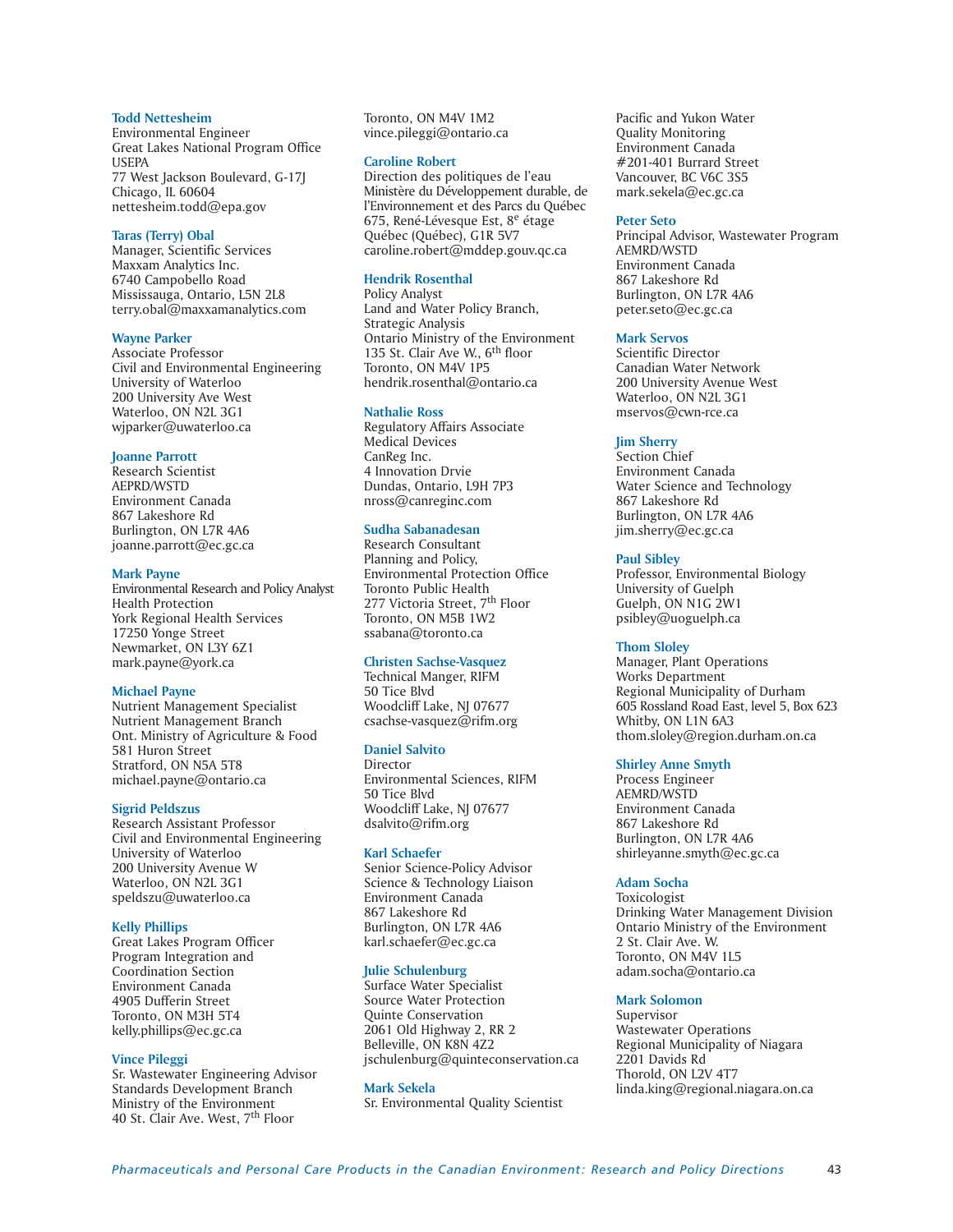### **Todd Nettesheim**

Environmental Engineer Great Lakes National Program Office **USEPA** 77 West Jackson Boulevard, G-17J Chicago, IL 60604 nettesheim.todd@epa.gov

#### **Taras (Terry) Obal**

Manager, Scientific Services Maxxam Analytics Inc. 6740 Campobello Road Mississauga, Ontario, L5N 2L8 terry.obal@maxxamanalytics.com

#### **Wayne Parker**

Associate Professor Civil and Environmental Engineering University of Waterloo 200 University Ave West Waterloo, ON N2L 3G1 wjparker@uwaterloo.ca

### **Joanne Parrott**

Research Scientist AEPRD/WSTD Environment Canada 867 Lakeshore Rd Burlington, ON L7R 4A6 joanne.parrott@ec.gc.ca

# **Mark Payne**

Environmental Research and Policy Analyst Health Protection York Regional Health Services 17250 Yonge Street Newmarket, ON L3Y 6Z1 mark.payne@york.ca

# **Michael Payne**

Nutrient Management Specialist Nutrient Management Branch Ont. Ministry of Agriculture & Food 581 Huron Street Stratford, ON N5A 5T8 michael.payne@ontario.ca

# **Sigrid Peldszus**

Research Assistant Professor Civil and Environmental Engineering University of Waterloo 200 University Avenue W Waterloo, ON N2L 3G1 speldszu@uwaterloo.ca

#### **Kelly Phillips**

Great Lakes Program Officer Program Integration and Coordination Section Environment Canada 4905 Dufferin Street Toronto, ON M3H 5T4 kelly.phillips@ec.gc.ca

### **Vince Pileggi**

Sr. Wastewater Engineering Advisor Standards Development Branch Ministry of the Environment 40 St. Clair Ave. West, 7th Floor

Toronto, ON M4V 1M2 vince.pileggi@ontario.ca

# **Caroline Robert**

Direction des politiques de l'eau Ministère du Développement durable, de l'Environnement et des Parcs du Québec 675, René-Lévesque Est, 8e étage Québec (Québec), G1R 5V7 caroline.robert@mddep.gouv.qc.ca

#### **Hendrik Rosenthal**

Policy Analyst Land and Water Policy Branch, Strategic Analysis Ontario Ministry of the Environment 135 St. Clair Ave W., 6<sup>th</sup> floor Toronto, ON M4V 1P5 hendrik.rosenthal@ontario.ca

# **Nathalie Ross**

Regulatory Affairs Associate Medical Devices CanReg Inc. 4 Innovation Drvie Dundas, Ontario, L9H 7P3 nross@canreginc.com

# **Sudha Sabanadesan**

Research Consultant Planning and Policy, Environmental Protection Office Toronto Public Health 277 Victoria Street, 7<sup>th</sup> Floor Toronto, ON M5B 1W2 ssabana@toronto.ca

### **Christen Sachse-Vasquez**

Technical Manger, RIFM 50 Tice Blvd Woodcliff Lake, NJ 07677 csachse-vasquez@rifm.org

#### **Daniel Salvito**

Director Environmental Sciences, RIFM 50 Tice Blvd Woodcliff Lake, NJ 07677 dsalvito@rifm.org

### **Karl Schaefer**

Senior Science-Policy Advisor Science & Technology Liaison Environment Canada 867 Lakeshore Rd Burlington, ON L7R 4A6 karl.schaefer@ec.gc.ca

#### **Julie Schulenburg**

Surface Water Specialist Source Water Protection Quinte Conservation 2061 Old Highway 2, RR 2 Belleville, ON K8N 4Z2 jschulenburg@quinteconservation.ca

**Mark Sekela** Sr. Environmental Quality Scientist

Pacific and Yukon Water Quality Monitoring Environment Canada #201-401 Burrard Street Vancouver, BC V6C 3S5 mark.sekela@ec.gc.ca

#### **Peter Seto**

Principal Advisor, Wastewater Program AEMRD/WSTD Environment Canada 867 Lakeshore Rd Burlington, ON L7R 4A6 peter.seto@ec.gc.ca

#### **Mark Servos**

Scientific Director Canadian Water Network 200 University Avenue West Waterloo, ON N2L 3G1 mservos@cwn-rce.ca

# **Jim Sherry**

Section Chief Environment Canada Water Science and Technology 867 Lakeshore Rd Burlington, ON L7R 4A6 jim.sherry@ec.gc.ca

#### **Paul Sibley**

Professor, Environmental Biology University of Guelph Guelph, ON N1G 2W1 psibley@uoguelph.ca

#### **Thom Sloley**

Manager, Plant Operations Works Department Regional Municipality of Durham 605 Rossland Road East, level 5, Box 623 Whitby, ON L1N 6A3 thom.sloley@region.durham.on.ca

# **Shirley Anne Smyth**

Process Engineer AEMRD/WSTD Environment Canada 867 Lakeshore Rd Burlington, ON L7R 4A6 shirleyanne.smyth@ec.gc.ca

# **Adam Socha**

Toxicologist Drinking Water Management Division Ontario Ministry of the Environment 2 St. Clair Ave. W. Toronto, ON M4V 1L5 adam.socha@ontario.ca

# **Mark Solomon**

Supervisor Wastewater Operations Regional Municipality of Niagara 2201 Davids Rd Thorold, ON L2V 4T7 linda.king@regional.niagara.on.ca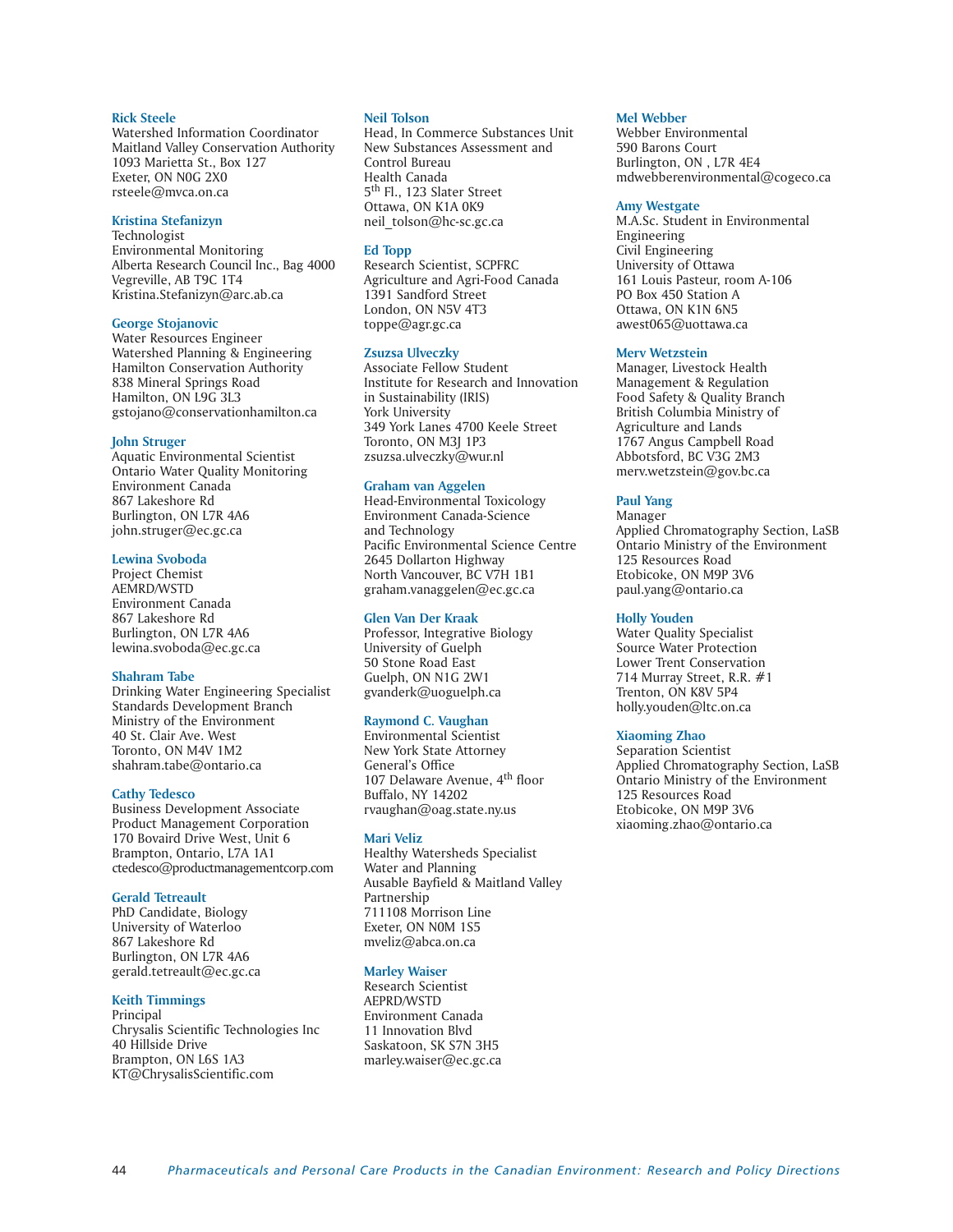#### **Rick Steele**

Watershed Information Coordinator Maitland Valley Conservation Authority 1093 Marietta St., Box 127 Exeter, ON N0G 2X0 rsteele@mvca.on.ca

#### **Kristina Stefanizyn**

Technologist Environmental Monitoring Alberta Research Council Inc., Bag 4000 Vegreville, AB T9C 1T4 Kristina.Stefanizyn@arc.ab.ca

#### **George Stojanovic**

Water Resources Engineer Watershed Planning & Engineering Hamilton Conservation Authority 838 Mineral Springs Road Hamilton, ON L9G 3L3 gstojano@conservationhamilton.ca

#### **John Struger**

Aquatic Environmental Scientist Ontario Water Quality Monitoring Environment Canada 867 Lakeshore Rd Burlington, ON L7R 4A6 john.struger@ec.gc.ca

### **Lewina Svoboda**

Project Chemist AEMRD/WSTD Environment Canada 867 Lakeshore Rd Burlington, ON L7R 4A6 lewina.svoboda@ec.gc.ca

### **Shahram Tabe**

Drinking Water Engineering Specialist Standards Development Branch Ministry of the Environment 40 St. Clair Ave. West Toronto, ON M4V 1M2 shahram.tabe@ontario.ca

### **Cathy Tedesco**

Business Development Associate Product Management Corporation 170 Bovaird Drive West, Unit 6 Brampton, Ontario, L7A 1A1 ctedesco@productmanagementcorp.com

#### **Gerald Tetreault**

PhD Candidate, Biology University of Waterloo 867 Lakeshore Rd Burlington, ON L7R 4A6 gerald.tetreault@ec.gc.ca

# **Keith Timmings**

Principal Chrysalis Scientific Technologies Inc 40 Hillside Drive Brampton, ON L6S 1A3 KT@ChrysalisScientific.com

# **Neil Tolson**

Head, In Commerce Substances Unit New Substances Assessment and Control Bureau Health Canada 5<sup>th</sup> Fl., 123 Slater Street Ottawa, ON K1A 0K9 neil\_tolson@hc-sc.gc.ca

#### **Ed Topp**

Research Scientist, SCPFRC Agriculture and Agri-Food Canada 1391 Sandford Street London, ON N5V 4T3 toppe@agr.gc.ca

#### **Zsuzsa Ulveczky**

Associate Fellow Student Institute for Research and Innovation in Sustainability (IRIS) York University 349 York Lanes 4700 Keele Street Toronto, ON M3J 1P3 zsuzsa.ulveczky@wur.nl

# **Graham van Aggelen**

Head-Environmental Toxicology Environment Canada-Science and Technology Pacific Environmental Science Centre 2645 Dollarton Highway North Vancouver, BC V7H 1B1 graham.vanaggelen@ec.gc.ca

#### **Glen Van Der Kraak**

Professor, Integrative Biology University of Guelph 50 Stone Road East Guelph, ON N1G 2W1 gvanderk@uoguelph.ca

#### **Raymond C. Vaughan**

Environmental Scientist New York State Attorney General's Office 107 Delaware Avenue, 4th floor Buffalo, NY 14202 rvaughan@oag.state.ny.us

#### **Mari Veliz**

Healthy Watersheds Specialist Water and Planning Ausable Bayfield & Maitland Valley Partnership 711108 Morrison Line Exeter, ON N0M 1S5 mveliz@abca.on.ca

# **Marley Waiser**

Research Scientist AEPRD/WSTD Environment Canada 11 Innovation Blvd Saskatoon, SK S7N 3H5 marley.waiser@ec.gc.ca

#### **Mel Webber**

Webber Environmental 590 Barons Court Burlington, ON , L7R 4E4 mdwebberenvironmental@cogeco.ca

#### **Amy Westgate**

M.A.Sc. Student in Environmental Engineering Civil Engineering University of Ottawa 161 Louis Pasteur, room A-106 PO Box 450 Station A Ottawa, ON K1N 6N5 awest065@uottawa.ca

# **Merv Wetzstein**

Manager, Livestock Health Management & Regulation Food Safety & Quality Branch British Columbia Ministry of Agriculture and Lands 1767 Angus Campbell Road Abbotsford, BC V3G 2M3 merv.wetzstein@gov.bc.ca

# **Paul Yang**

Manager Applied Chromatography Section, LaSB Ontario Ministry of the Environment 125 Resources Road Etobicoke, ON M9P 3V6 paul.yang@ontario.ca

# **Holly Youden**

Water Quality Specialist Source Water Protection Lower Trent Conservation 714 Murray Street, R.R. #1 Trenton, ON K8V 5P4 holly.youden@ltc.on.ca

# **Xiaoming Zhao**

Separation Scientist Applied Chromatography Section, LaSB Ontario Ministry of the Environment 125 Resources Road Etobicoke, ON M9P 3V6 xiaoming.zhao@ontario.ca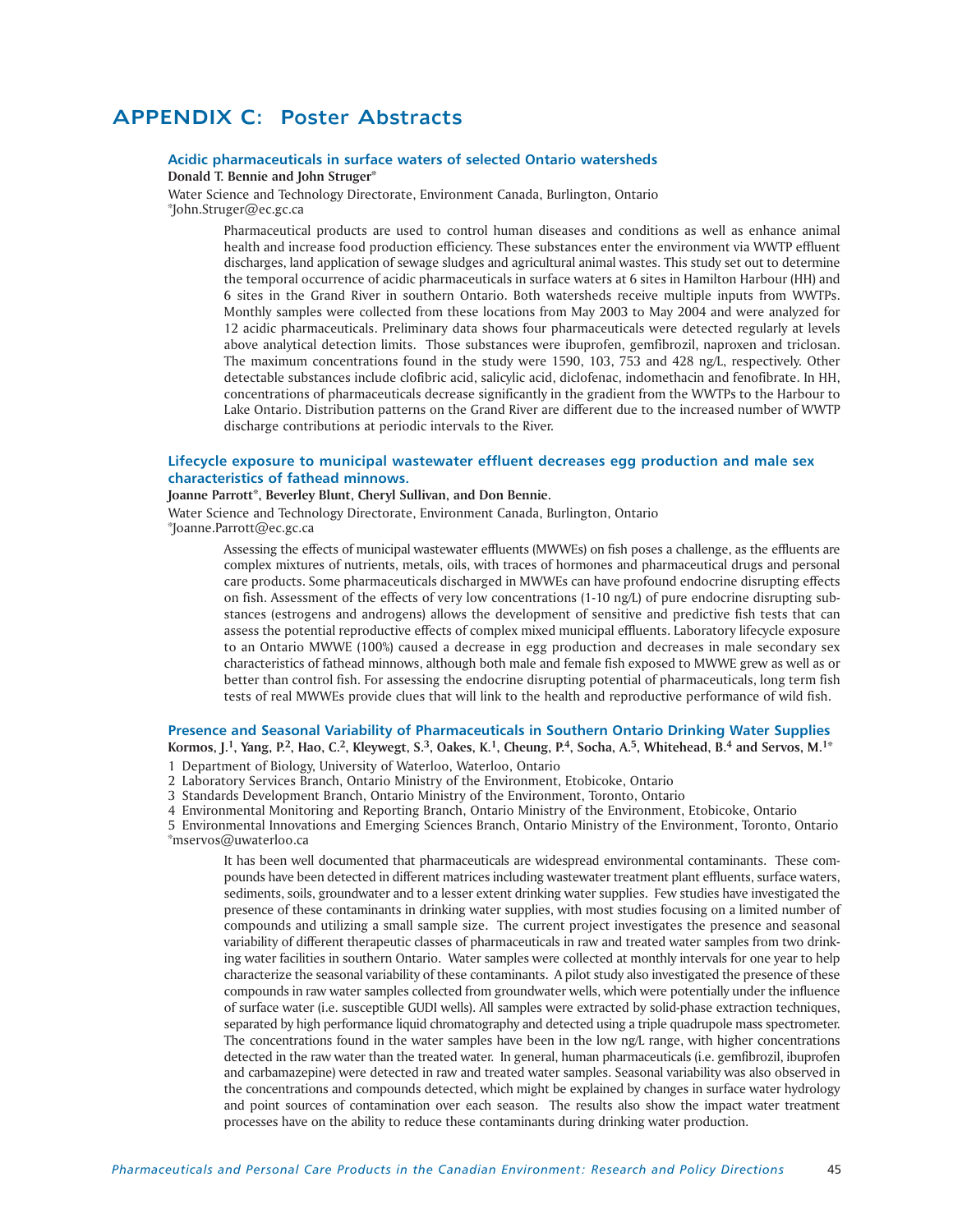# APPENDIX C: Poster Abstracts

# **Acidic pharmaceuticals in surface waters of selected Ontario watersheds Donald T. Bennie and John Struger\***

Water Science and Technology Directorate, Environment Canada, Burlington, Ontario \*John.Struger@ec.gc.ca

> Pharmaceutical products are used to control human diseases and conditions as well as enhance animal health and increase food production efficiency. These substances enter the environment via WWTP effluent discharges, land application of sewage sludges and agricultural animal wastes. This study set out to determine the temporal occurrence of acidic pharmaceuticals in surface waters at 6 sites in Hamilton Harbour (HH) and 6 sites in the Grand River in southern Ontario. Both watersheds receive multiple inputs from WWTPs. Monthly samples were collected from these locations from May 2003 to May 2004 and were analyzed for 12 acidic pharmaceuticals. Preliminary data shows four pharmaceuticals were detected regularly at levels above analytical detection limits. Those substances were ibuprofen, gemfibrozil, naproxen and triclosan. The maximum concentrations found in the study were 1590, 103, 753 and 428 ng/L, respectively. Other detectable substances include clofibric acid, salicylic acid, diclofenac, indomethacin and fenofibrate. In HH, concentrations of pharmaceuticals decrease significantly in the gradient from the WWTPs to the Harbour to Lake Ontario. Distribution patterns on the Grand River are different due to the increased number of WWTP discharge contributions at periodic intervals to the River.

# **Lifecycle exposure to municipal wastewater effluent decreases egg production and male sex characteristics of fathead minnows.**

# **Joanne Parrott\*, Beverley Blunt, Cheryl Sullivan, and Don Bennie.**

Water Science and Technology Directorate, Environment Canada, Burlington, Ontario \*Joanne.Parrott@ec.gc.ca

> Assessing the effects of municipal wastewater effluents (MWWEs) on fish poses a challenge, as the effluents are complex mixtures of nutrients, metals, oils, with traces of hormones and pharmaceutical drugs and personal care products. Some pharmaceuticals discharged in MWWEs can have profound endocrine disrupting effects on fish. Assessment of the effects of very low concentrations (1-10 ng/L) of pure endocrine disrupting substances (estrogens and androgens) allows the development of sensitive and predictive fish tests that can assess the potential reproductive effects of complex mixed municipal effluents. Laboratory lifecycle exposure to an Ontario MWWE (100%) caused a decrease in egg production and decreases in male secondary sex characteristics of fathead minnows, although both male and female fish exposed to MWWE grew as well as or better than control fish. For assessing the endocrine disrupting potential of pharmaceuticals, long term fish tests of real MWWEs provide clues that will link to the health and reproductive performance of wild fish.

# **Presence and Seasonal Variability of Pharmaceuticals in Southern Ontario Drinking Water Supplies**

**Kormos, J.1, Yang, P.2, Hao, C.2, Kleywegt, S.3, Oakes, K.1, Cheung, P.4, Socha, A.5, Whitehead, B.4 and Servos, M.1\*** 1 Department of Biology, University of Waterloo, Waterloo, Ontario

2 Laboratory Services Branch, Ontario Ministry of the Environment, Etobicoke, Ontario

3 Standards Development Branch, Ontario Ministry of the Environment, Toronto, Ontario

4 Environmental Monitoring and Reporting Branch, Ontario Ministry of the Environment, Etobicoke, Ontario

5 Environmental Innovations and Emerging Sciences Branch, Ontario Ministry of the Environment, Toronto, Ontario \*mservos@uwaterloo.ca

It has been well documented that pharmaceuticals are widespread environmental contaminants. These compounds have been detected in different matrices including wastewater treatment plant effluents, surface waters, sediments, soils, groundwater and to a lesser extent drinking water supplies. Few studies have investigated the presence of these contaminants in drinking water supplies, with most studies focusing on a limited number of compounds and utilizing a small sample size. The current project investigates the presence and seasonal variability of different therapeutic classes of pharmaceuticals in raw and treated water samples from two drinking water facilities in southern Ontario. Water samples were collected at monthly intervals for one year to help characterize the seasonal variability of these contaminants. A pilot study also investigated the presence of these compounds in raw water samples collected from groundwater wells, which were potentially under the influence of surface water (i.e. susceptible GUDI wells). All samples were extracted by solid-phase extraction techniques, separated by high performance liquid chromatography and detected using a triple quadrupole mass spectrometer. The concentrations found in the water samples have been in the low ng/L range, with higher concentrations detected in the raw water than the treated water. In general, human pharmaceuticals (i.e. gemfibrozil, ibuprofen and carbamazepine) were detected in raw and treated water samples. Seasonal variability was also observed in the concentrations and compounds detected, which might be explained by changes in surface water hydrology and point sources of contamination over each season. The results also show the impact water treatment processes have on the ability to reduce these contaminants during drinking water production.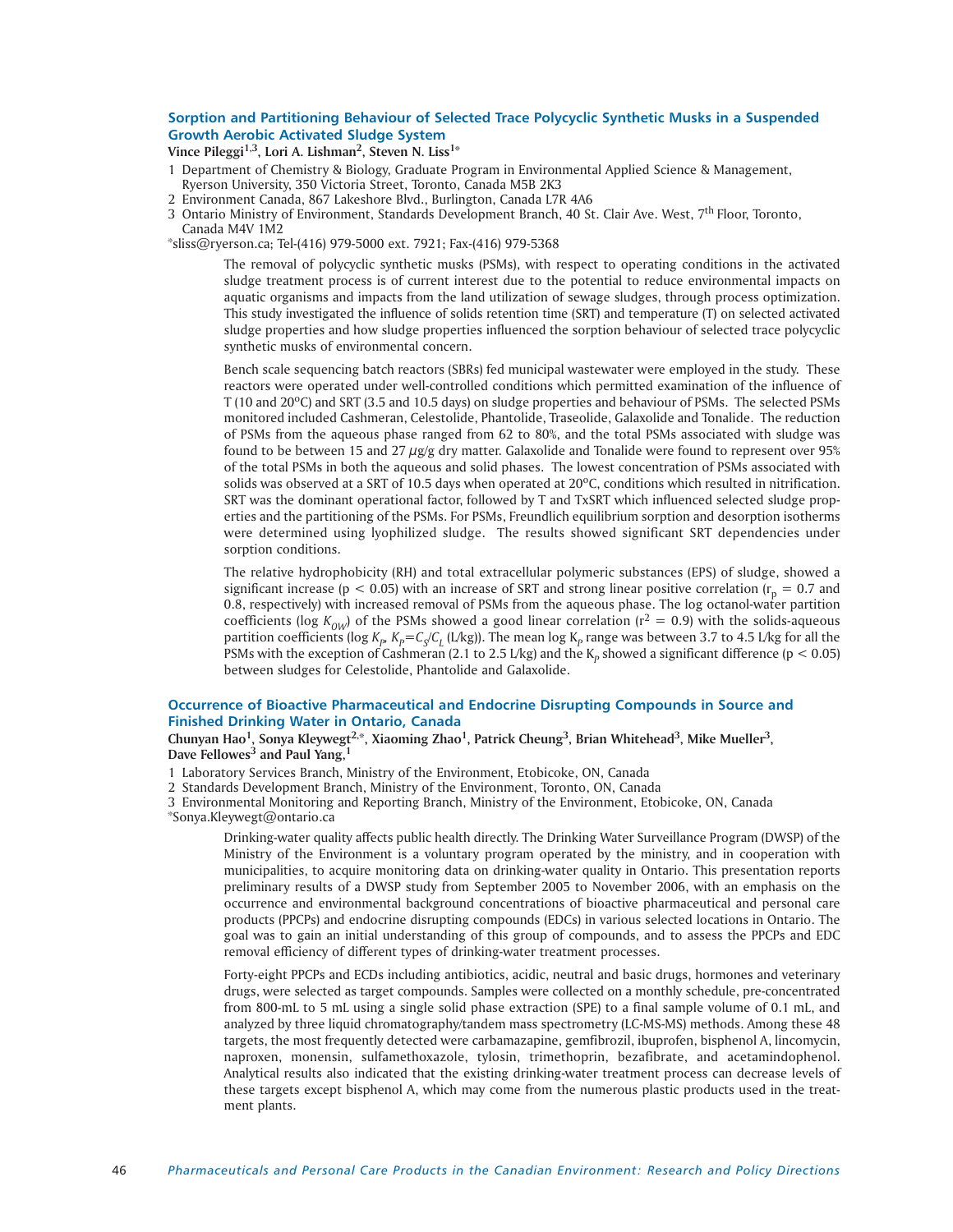# **Sorption and Partitioning Behaviour of Selected Trace Polycyclic Synthetic Musks in a Suspended Growth Aerobic Activated Sludge System**

Vince Pileggi<sup>1,3</sup>, Lori A. Lishman<sup>2</sup>, Steven N. Liss<sup>1\*</sup>

- 1 Department of Chemistry & Biology, Graduate Program in Environmental Applied Science & Management,
- Ryerson University, 350 Victoria Street, Toronto, Canada M5B 2K3
- 2 Environment Canada, 867 Lakeshore Blvd., Burlington, Canada L7R 4A6
- 3 Ontario Ministry of Environment, Standards Development Branch, 40 St. Clair Ave. West, 7th Floor, Toronto, Canada M4V 1M2

\*sliss@ryerson.ca; Tel-(416) 979-5000 ext. 7921; Fax-(416) 979-5368

The removal of polycyclic synthetic musks (PSMs), with respect to operating conditions in the activated sludge treatment process is of current interest due to the potential to reduce environmental impacts on aquatic organisms and impacts from the land utilization of sewage sludges, through process optimization. This study investigated the influence of solids retention time (SRT) and temperature (T) on selected activated sludge properties and how sludge properties influenced the sorption behaviour of selected trace polycyclic synthetic musks of environmental concern.

Bench scale sequencing batch reactors (SBRs) fed municipal wastewater were employed in the study. These reactors were operated under well-controlled conditions which permitted examination of the influence of T (10 and 20<sup>o</sup>C) and SRT (3.5 and 10.5 days) on sludge properties and behaviour of PSMs. The selected PSMs monitored included Cashmeran, Celestolide, Phantolide, Traseolide, Galaxolide and Tonalide. The reduction of PSMs from the aqueous phase ranged from 62 to 80%, and the total PSMs associated with sludge was found to be between 15 and 27  $\mu$ g/g dry matter. Galaxolide and Tonalide were found to represent over 95% of the total PSMs in both the aqueous and solid phases. The lowest concentration of PSMs associated with solids was observed at a SRT of 10.5 days when operated at  $20^{\circ}$ C, conditions which resulted in nitrification. SRT was the dominant operational factor, followed by T and TxSRT which influenced selected sludge properties and the partitioning of the PSMs. For PSMs, Freundlich equilibrium sorption and desorption isotherms were determined using lyophilized sludge. The results showed significant SRT dependencies under sorption conditions.

The relative hydrophobicity (RH) and total extracellular polymeric substances (EPS) of sludge, showed a significant increase ( $p < 0.05$ ) with an increase of SRT and strong linear positive correlation ( $r_p = 0.7$  and 0.8, respectively) with increased removal of PSMs from the aqueous phase. The log octanol-water partition coefficients (log  $K_{OW}$ ) of the PSMs showed a good linear correlation ( $r^2 = 0.9$ ) with the solids-aqueous partition coefficients (log  $K_p$ ,  $K_p=C_q/C_l$  (L/kg)). The mean log  $K_p$  range was between 3.7 to 4.5 L/kg for all the PSMs with the exception of Cashmeran (2.1 to 2.5 L/kg) and the  $K_p$  showed a significant difference ( $p < 0.05$ ) between sludges for Celestolide, Phantolide and Galaxolide.

# **Occurrence of Bioactive Pharmaceutical and Endocrine Disrupting Compounds in Source and Finished Drinking Water in Ontario, Canada**

**Chunyan Hao1, Sonya Kleywegt2,\*, Xiaoming Zhao1, Patrick Cheung3, Brian Whitehead3, Mike Mueller3, Dave Fellowes<sup>3</sup> and Paul Yang,1**

1 Laboratory Services Branch, Ministry of the Environment, Etobicoke, ON, Canada

2 Standards Development Branch, Ministry of the Environment, Toronto, ON, Canada

3 Environmental Monitoring and Reporting Branch, Ministry of the Environment, Etobicoke, ON, Canada \*Sonya.Kleywegt@ontario.ca

Drinking-water quality affects public health directly. The Drinking Water Surveillance Program (DWSP) of the Ministry of the Environment is a voluntary program operated by the ministry, and in cooperation with municipalities, to acquire monitoring data on drinking-water quality in Ontario. This presentation reports preliminary results of a DWSP study from September 2005 to November 2006, with an emphasis on the occurrence and environmental background concentrations of bioactive pharmaceutical and personal care products (PPCPs) and endocrine disrupting compounds (EDCs) in various selected locations in Ontario. The goal was to gain an initial understanding of this group of compounds, and to assess the PPCPs and EDC removal efficiency of different types of drinking-water treatment processes.

Forty-eight PPCPs and ECDs including antibiotics, acidic, neutral and basic drugs, hormones and veterinary drugs, were selected as target compounds. Samples were collected on a monthly schedule, pre-concentrated from 800-mL to 5 mL using a single solid phase extraction (SPE) to a final sample volume of 0.1 mL, and analyzed by three liquid chromatography/tandem mass spectrometry (LC-MS-MS) methods. Among these 48 targets, the most frequently detected were carbamazapine, gemfibrozil, ibuprofen, bisphenol A, lincomycin, naproxen, monensin, sulfamethoxazole, tylosin, trimethoprin, bezafibrate, and acetamindophenol. Analytical results also indicated that the existing drinking-water treatment process can decrease levels of these targets except bisphenol A, which may come from the numerous plastic products used in the treatment plants.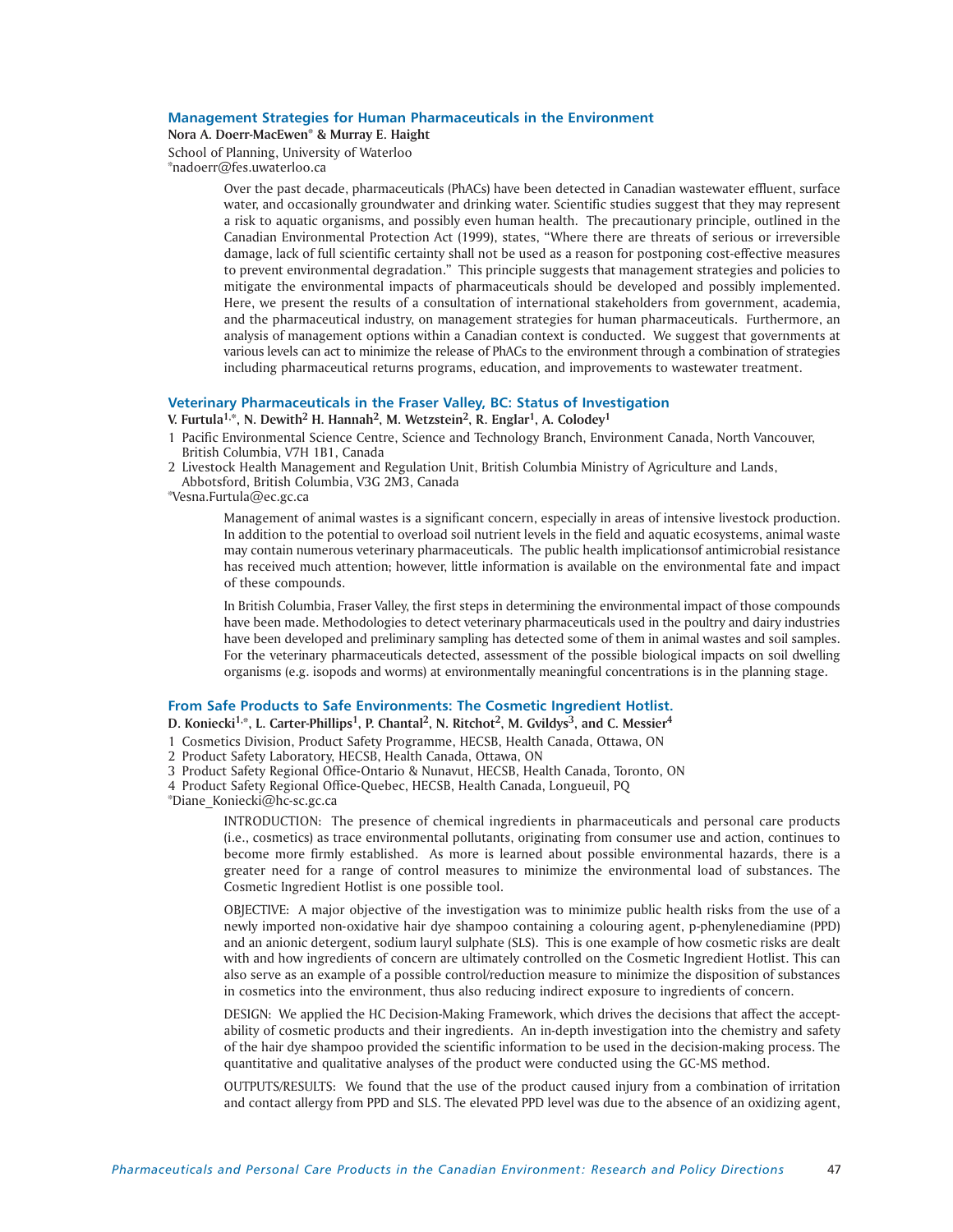# **Management Strategies for Human Pharmaceuticals in the Environment**

**Nora A. Doerr-MacEwen\* & Murray E. Haight**

School of Planning, University of Waterloo \*nadoerr@fes.uwaterloo.ca

> Over the past decade, pharmaceuticals (PhACs) have been detected in Canadian wastewater effluent, surface water, and occasionally groundwater and drinking water. Scientific studies suggest that they may represent a risk to aquatic organisms, and possibly even human health. The precautionary principle, outlined in the Canadian Environmental Protection Act (1999), states, "Where there are threats of serious or irreversible damage, lack of full scientific certainty shall not be used as a reason for postponing cost-effective measures to prevent environmental degradation." This principle suggests that management strategies and policies to mitigate the environmental impacts of pharmaceuticals should be developed and possibly implemented. Here, we present the results of a consultation of international stakeholders from government, academia, and the pharmaceutical industry, on management strategies for human pharmaceuticals. Furthermore, an analysis of management options within a Canadian context is conducted. We suggest that governments at various levels can act to minimize the release of PhACs to the environment through a combination of strategies including pharmaceutical returns programs, education, and improvements to wastewater treatment.

# **Veterinary Pharmaceuticals in the Fraser Valley, BC: Status of Investigation**

# **V. Furtula1,\*, N. Dewith2 H. Hannah2, M. Wetzstein2, R. Englar1, A. Colodey1**

- 1 Pacific Environmental Science Centre, Science and Technology Branch, Environment Canada, North Vancouver, British Columbia, V7H 1B1, Canada
- 2 Livestock Health Management and Regulation Unit, British Columbia Ministry of Agriculture and Lands,

Abbotsford, British Columbia, V3G 2M3, Canada

\*Vesna.Furtula@ec.gc.ca

Management of animal wastes is a significant concern, especially in areas of intensive livestock production. In addition to the potential to overload soil nutrient levels in the field and aquatic ecosystems, animal waste may contain numerous veterinary pharmaceuticals. The public health implicationsof antimicrobial resistance has received much attention; however, little information is available on the environmental fate and impact of these compounds.

In British Columbia, Fraser Valley, the first steps in determining the environmental impact of those compounds have been made. Methodologies to detect veterinary pharmaceuticals used in the poultry and dairy industries have been developed and preliminary sampling has detected some of them in animal wastes and soil samples. For the veterinary pharmaceuticals detected, assessment of the possible biological impacts on soil dwelling organisms (e.g. isopods and worms) at environmentally meaningful concentrations is in the planning stage.

# **From Safe Products to Safe Environments: The Cosmetic Ingredient Hotlist.**

D. Koniecki<sup>1,\*</sup>, L. Carter-Phillips<sup>1</sup>, P. Chantal<sup>2</sup>, N. Ritchot<sup>2</sup>, M. Gvildys<sup>3</sup>, and C. Messier<sup>4</sup>

1 Cosmetics Division, Product Safety Programme, HECSB, Health Canada, Ottawa, ON

2 Product Safety Laboratory, HECSB, Health Canada, Ottawa, ON

3 Product Safety Regional Office-Ontario & Nunavut, HECSB, Health Canada, Toronto, ON

4 Product Safety Regional Office-Quebec, HECSB, Health Canada, Longueuil, PQ

\*Diane\_Koniecki@hc-sc.gc.ca

INTRODUCTION: The presence of chemical ingredients in pharmaceuticals and personal care products (i.e., cosmetics) as trace environmental pollutants, originating from consumer use and action, continues to become more firmly established. As more is learned about possible environmental hazards, there is a greater need for a range of control measures to minimize the environmental load of substances. The Cosmetic Ingredient Hotlist is one possible tool.

OBJECTIVE: A major objective of the investigation was to minimize public health risks from the use of a newly imported non-oxidative hair dye shampoo containing a colouring agent, p-phenylenediamine (PPD) and an anionic detergent, sodium lauryl sulphate (SLS). This is one example of how cosmetic risks are dealt with and how ingredients of concern are ultimately controlled on the Cosmetic Ingredient Hotlist. This can also serve as an example of a possible control/reduction measure to minimize the disposition of substances in cosmetics into the environment, thus also reducing indirect exposure to ingredients of concern.

DESIGN: We applied the HC Decision-Making Framework, which drives the decisions that affect the acceptability of cosmetic products and their ingredients. An in-depth investigation into the chemistry and safety of the hair dye shampoo provided the scientific information to be used in the decision-making process. The quantitative and qualitative analyses of the product were conducted using the GC-MS method.

OUTPUTS/RESULTS: We found that the use of the product caused injury from a combination of irritation and contact allergy from PPD and SLS. The elevated PPD level was due to the absence of an oxidizing agent,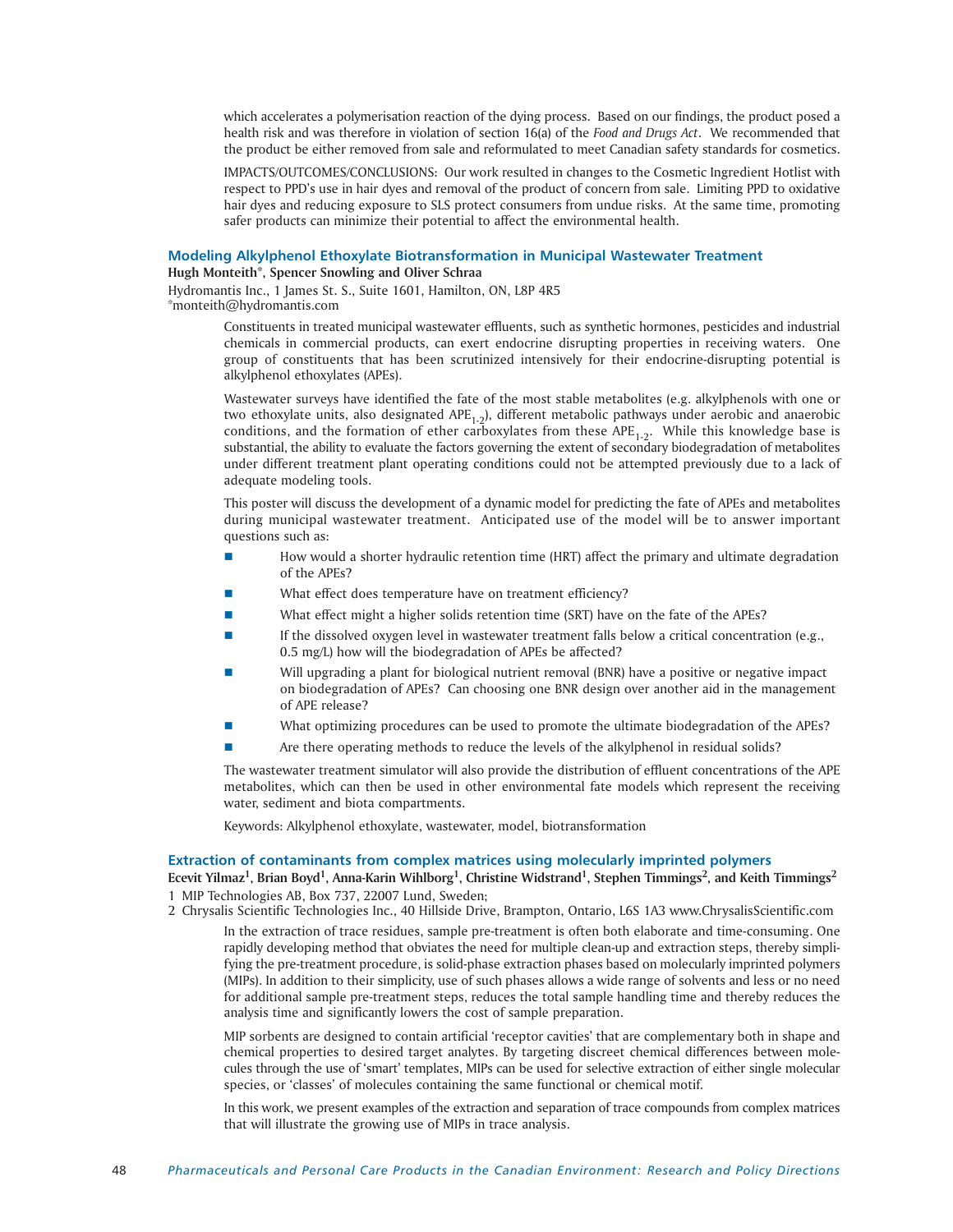which accelerates a polymerisation reaction of the dying process. Based on our findings, the product posed a health risk and was therefore in violation of section 16(a) of the *Food and Drugs Act*. We recommended that the product be either removed from sale and reformulated to meet Canadian safety standards for cosmetics.

IMPACTS/OUTCOMES/CONCLUSIONS: Our work resulted in changes to the Cosmetic Ingredient Hotlist with respect to PPD's use in hair dyes and removal of the product of concern from sale. Limiting PPD to oxidative hair dyes and reducing exposure to SLS protect consumers from undue risks. At the same time, promoting safer products can minimize their potential to affect the environmental health.

# **Modeling Alkylphenol Ethoxylate Biotransformation in Municipal Wastewater Treatment**

**Hugh Monteith\*, Spencer Snowling and Oliver Schraa**

Hydromantis Inc., 1 James St. S., Suite 1601, Hamilton, ON, L8P 4R5 \*monteith@hydromantis.com

> Constituents in treated municipal wastewater effluents, such as synthetic hormones, pesticides and industrial chemicals in commercial products, can exert endocrine disrupting properties in receiving waters. One group of constituents that has been scrutinized intensively for their endocrine-disrupting potential is alkylphenol ethoxylates (APEs).

> Wastewater surveys have identified the fate of the most stable metabolites (e.g. alkylphenols with one or two ethoxylate units, also designated APE<sub>1-2</sub>), different metabolic pathways under aerobic and anaerobic conditions, and the formation of ether carboxylates from these  $APE<sub>1-2</sub>$ . While this knowledge base is substantial, the ability to evaluate the factors governing the extent of secondary biodegradation of metabolites under different treatment plant operating conditions could not be attempted previously due to a lack of adequate modeling tools.

> This poster will discuss the development of a dynamic model for predicting the fate of APEs and metabolites during municipal wastewater treatment. Anticipated use of the model will be to answer important questions such as:

- How would a shorter hydraulic retention time (HRT) affect the primary and ultimate degradation of the APEs?
- What effect does temperature have on treatment efficiency?
- What effect might a higher solids retention time (SRT) have on the fate of the APEs?
- If the dissolved oxygen level in wastewater treatment falls below a critical concentration (e.g., 0.5 mg/L) how will the biodegradation of APEs be affected?
- Will upgrading a plant for biological nutrient removal (BNR) have a positive or negative impact on biodegradation of APEs? Can choosing one BNR design over another aid in the management of APE release?
- What optimizing procedures can be used to promote the ultimate biodegradation of the APEs?
- Are there operating methods to reduce the levels of the alkylphenol in residual solids?

The wastewater treatment simulator will also provide the distribution of effluent concentrations of the APE metabolites, which can then be used in other environmental fate models which represent the receiving water, sediment and biota compartments.

Keywords: Alkylphenol ethoxylate, wastewater, model, biotransformation

### **Extraction of contaminants from complex matrices using molecularly imprinted polymers**

Ecevit Yilmaz<sup>1</sup>, Brian Boyd<sup>1</sup>, Anna-Karin Wihlborg<sup>1</sup>, Christine Widstrand<sup>1</sup>, Stephen Timmings<sup>2</sup>, and Keith Timmings<sup>2</sup> 1 MIP Technologies AB, Box 737, 22007 Lund, Sweden;

2 Chrysalis Scientific Technologies Inc., 40 Hillside Drive, Brampton, Ontario, L6S 1A3 www.ChrysalisScientific.com

In the extraction of trace residues, sample pre-treatment is often both elaborate and time-consuming. One rapidly developing method that obviates the need for multiple clean-up and extraction steps, thereby simplifying the pre-treatment procedure, is solid-phase extraction phases based on molecularly imprinted polymers (MIPs). In addition to their simplicity, use of such phases allows a wide range of solvents and less or no need for additional sample pre-treatment steps, reduces the total sample handling time and thereby reduces the analysis time and significantly lowers the cost of sample preparation.

MIP sorbents are designed to contain artificial 'receptor cavities' that are complementary both in shape and chemical properties to desired target analytes. By targeting discreet chemical differences between molecules through the use of 'smart' templates, MIPs can be used for selective extraction of either single molecular species, or 'classes' of molecules containing the same functional or chemical motif.

In this work, we present examples of the extraction and separation of trace compounds from complex matrices that will illustrate the growing use of MIPs in trace analysis.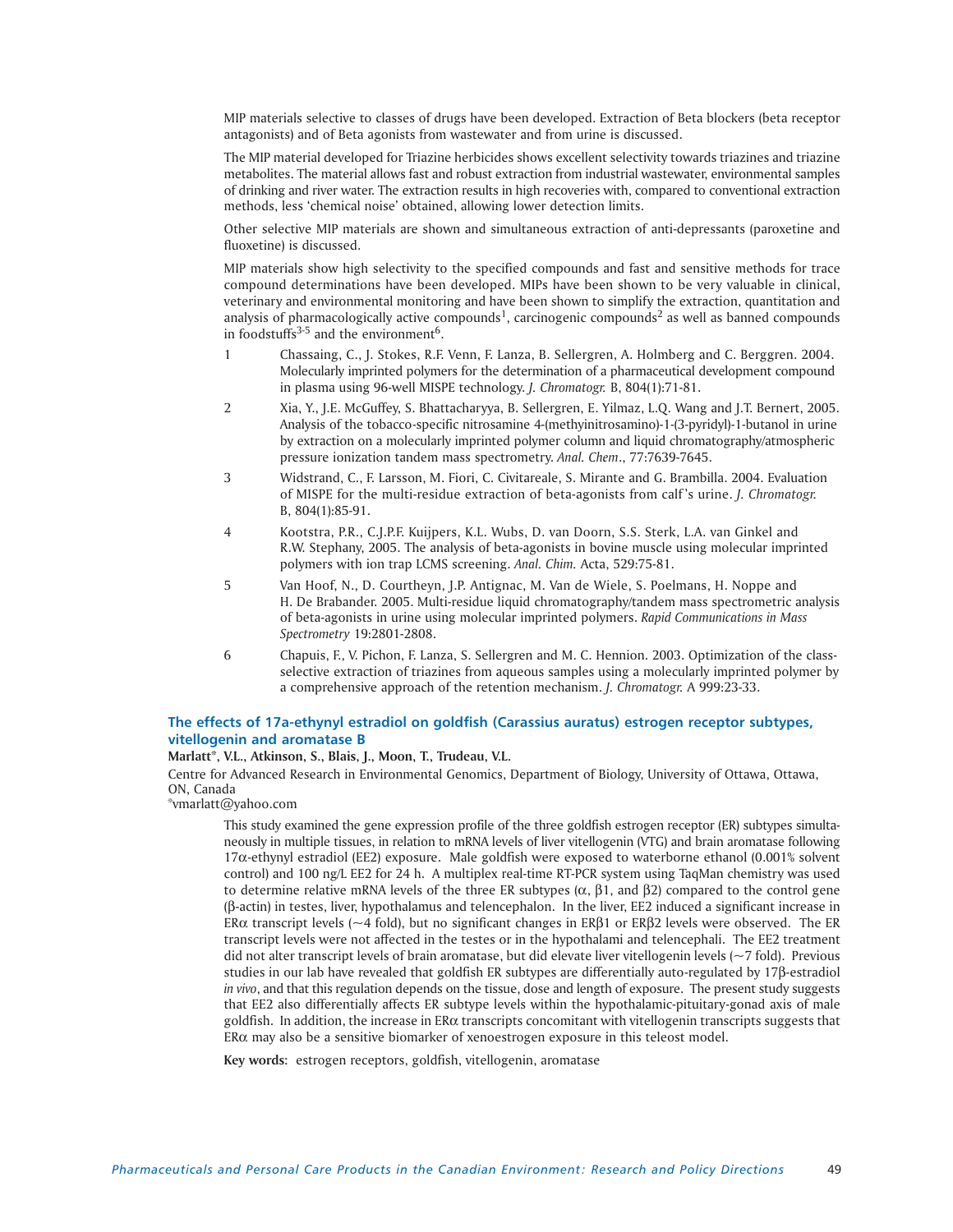MIP materials selective to classes of drugs have been developed. Extraction of Beta blockers (beta receptor antagonists) and of Beta agonists from wastewater and from urine is discussed.

The MIP material developed for Triazine herbicides shows excellent selectivity towards triazines and triazine metabolites. The material allows fast and robust extraction from industrial wastewater, environmental samples of drinking and river water. The extraction results in high recoveries with, compared to conventional extraction methods, less 'chemical noise' obtained, allowing lower detection limits.

Other selective MIP materials are shown and simultaneous extraction of anti-depressants (paroxetine and fluoxetine) is discussed.

MIP materials show high selectivity to the specified compounds and fast and sensitive methods for trace compound determinations have been developed. MIPs have been shown to be very valuable in clinical, veterinary and environmental monitoring and have been shown to simplify the extraction, quantitation and analysis of pharmacologically active compounds<sup>1</sup>, carcinogenic compounds<sup>2</sup> as well as banned compounds in foodstuffs $3-5$  and the environment<sup>6</sup>.

- 1 Chassaing, C., J. Stokes, R.F. Venn, F. Lanza, B. Sellergren, A. Holmberg and C. Berggren. 2004. Molecularly imprinted polymers for the determination of a pharmaceutical development compound in plasma using 96-well MISPE technology. *J. Chromatogr.* B, 804(1):71-81.
- 2 Xia, Y., J.E. McGuffey, S. Bhattacharyya, B. Sellergren, E. Yilmaz, L.Q. Wang and J.T. Bernert, 2005. Analysis of the tobacco-specific nitrosamine 4-(methyinitrosamino)-1-(3-pyridyl)-1-butanol in urine by extraction on a molecularly imprinted polymer column and liquid chromatography/atmospheric pressure ionization tandem mass spectrometry. *Anal. Chem*., 77:7639-7645.
- 3 Widstrand, C., F. Larsson, M. Fiori, C. Civitareale, S. Mirante and G. Brambilla. 2004. Evaluation of MISPE for the multi-residue extraction of beta-agonists from calf 's urine. *J. Chromatogr.* B, 804(1):85-91.
- 4 Kootstra, P.R., C.J.P.F. Kuijpers, K.L. Wubs, D. van Doorn, S.S. Sterk, L.A. van Ginkel and R.W. Stephany, 2005. The analysis of beta-agonists in bovine muscle using molecular imprinted polymers with ion trap LCMS screening. *Anal. Chim.* Acta, 529:75-81.
- 5 Van Hoof, N., D. Courtheyn, J.P. Antignac, M. Van de Wiele, S. Poelmans, H. Noppe and H. De Brabander. 2005. Multi-residue liquid chromatography/tandem mass spectrometric analysis of beta-agonists in urine using molecular imprinted polymers. *Rapid Communications in Mass Spectrometry* 19:2801-2808.
- 6 Chapuis, F., V. Pichon, F. Lanza, S. Sellergren and M. C. Hennion. 2003. Optimization of the classselective extraction of triazines from aqueous samples using a molecularly imprinted polymer by a comprehensive approach of the retention mechanism. *J. Chromatogr.* A 999:23-33.

# **The effects of 17a-ethynyl estradiol on goldfish (Carassius auratus) estrogen receptor subtypes, vitellogenin and aromatase B**

# **Marlatt\*, V.L., Atkinson, S., Blais, J., Moon, T., Trudeau, V.L.**

Centre for Advanced Research in Environmental Genomics, Department of Biology, University of Ottawa, Ottawa, ON, Canada

\*vmarlatt@yahoo.com

This study examined the gene expression profile of the three goldfish estrogen receptor (ER) subtypes simultaneously in multiple tissues, in relation to mRNA levels of liver vitellogenin (VTG) and brain aromatase following  $17\alpha$ -ethynyl estradiol (EE2) exposure. Male goldfish were exposed to waterborne ethanol (0.001% solvent control) and 100 ng/L EE2 for 24 h. A multiplex real-time RT-PCR system using TaqMan chemistry was used to determine relative mRNA levels of the three ER subtypes ( $\alpha$ ,  $\beta$ 1, and  $\beta$ 2) compared to the control gene (β-actin) in testes, liver, hypothalamus and telencephalon. In the liver, EE2 induced a significant increase in ER $\alpha$  transcript levels (~4 fold), but no significant changes in ER $\beta$ 1 or ER $\beta$ 2 levels were observed. The ER transcript levels were not affected in the testes or in the hypothalami and telencephali. The EE2 treatment did not alter transcript levels of brain aromatase, but did elevate liver vitellogenin levels (~7 fold). Previous studies in our lab have revealed that goldfish ER subtypes are differentially auto-regulated by 17 $\beta$ -estradiol *in vivo*, and that this regulation depends on the tissue, dose and length of exposure. The present study suggests that EE2 also differentially affects ER subtype levels within the hypothalamic-pituitary-gonad axis of male goldfish. In addition, the increase in ER $\alpha$  transcripts concomitant with vitellogenin transcripts suggests that  $ER\alpha$  may also be a sensitive biomarker of xenoestrogen exposure in this teleost model.

**Key words:** estrogen receptors, goldfish, vitellogenin, aromatase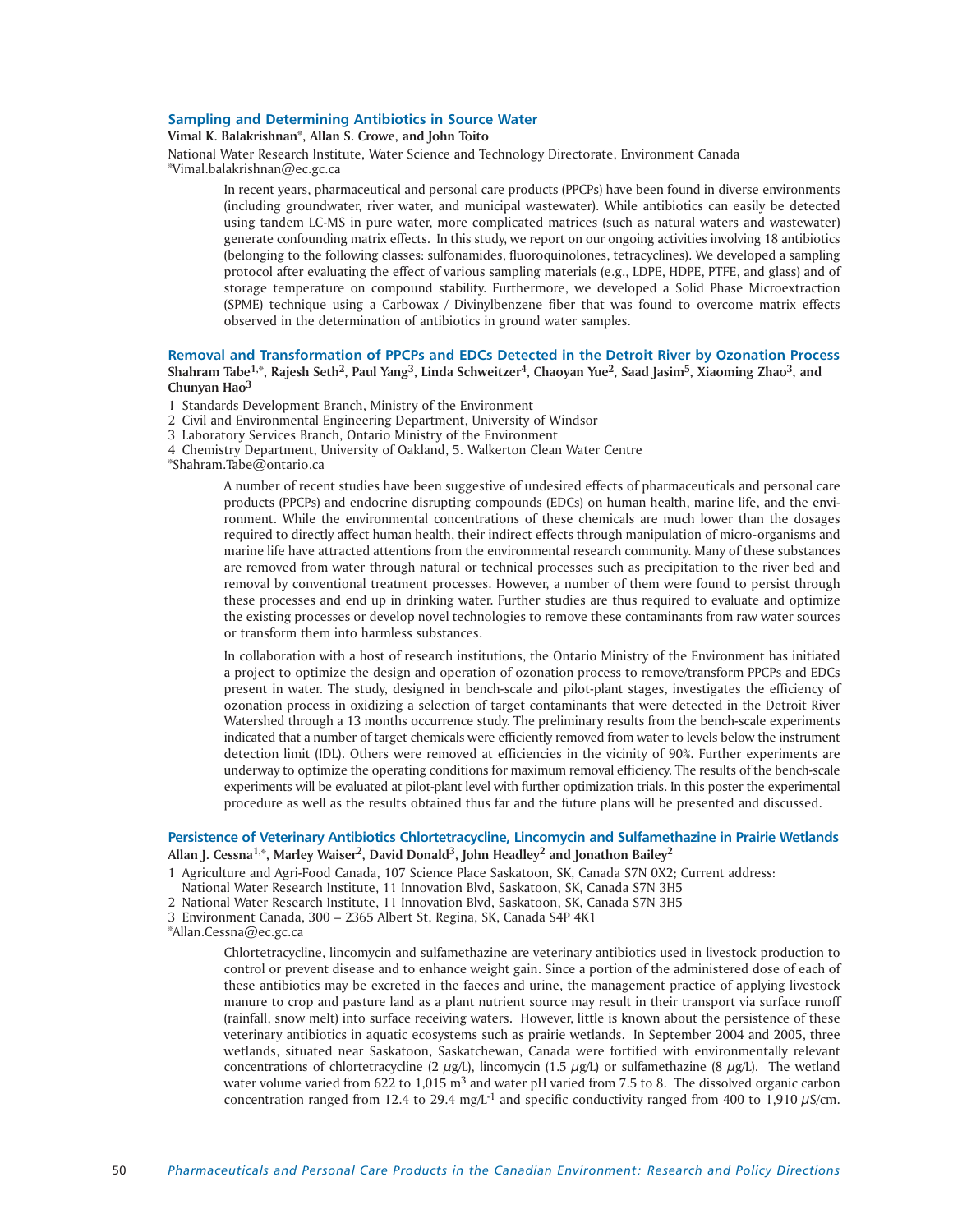# **Sampling and Determining Antibiotics in Source Water**

# **Vimal K. Balakrishnan\*, Allan S. Crowe, and John Toito**

National Water Research Institute, Water Science and Technology Directorate, Environment Canada \*Vimal.balakrishnan@ec.gc.ca

In recent years, pharmaceutical and personal care products (PPCPs) have been found in diverse environments (including groundwater, river water, and municipal wastewater). While antibiotics can easily be detected using tandem LC-MS in pure water, more complicated matrices (such as natural waters and wastewater) generate confounding matrix effects. In this study, we report on our ongoing activities involving 18 antibiotics (belonging to the following classes: sulfonamides, fluoroquinolones, tetracyclines). We developed a sampling protocol after evaluating the effect of various sampling materials (e.g., LDPE, HDPE, PTFE, and glass) and of storage temperature on compound stability. Furthermore, we developed a Solid Phase Microextraction (SPME) technique using a Carbowax / Divinylbenzene fiber that was found to overcome matrix effects observed in the determination of antibiotics in ground water samples.

# **Removal and Transformation of PPCPs and EDCs Detected in the Detroit River by Ozonation Process Shahram Tabe1,\*, Rajesh Seth2, Paul Yang3, Linda Schweitzer4, Chaoyan Yue2, Saad Jasim5, Xiaoming Zhao3, and Chunyan Hao<sup>3</sup>**

1 Standards Development Branch, Ministry of the Environment

2 Civil and Environmental Engineering Department, University of Windsor

3 Laboratory Services Branch, Ontario Ministry of the Environment

4 Chemistry Department, University of Oakland, 5. Walkerton Clean Water Centre

\*Shahram.Tabe@ontario.ca

A number of recent studies have been suggestive of undesired effects of pharmaceuticals and personal care products (PPCPs) and endocrine disrupting compounds (EDCs) on human health, marine life, and the environment. While the environmental concentrations of these chemicals are much lower than the dosages required to directly affect human health, their indirect effects through manipulation of micro-organisms and marine life have attracted attentions from the environmental research community. Many of these substances are removed from water through natural or technical processes such as precipitation to the river bed and removal by conventional treatment processes. However, a number of them were found to persist through these processes and end up in drinking water. Further studies are thus required to evaluate and optimize the existing processes or develop novel technologies to remove these contaminants from raw water sources or transform them into harmless substances.

In collaboration with a host of research institutions, the Ontario Ministry of the Environment has initiated a project to optimize the design and operation of ozonation process to remove/transform PPCPs and EDCs present in water. The study, designed in bench-scale and pilot-plant stages, investigates the efficiency of ozonation process in oxidizing a selection of target contaminants that were detected in the Detroit River Watershed through a 13 months occurrence study. The preliminary results from the bench-scale experiments indicated that a number of target chemicals were efficiently removed from water to levels below the instrument detection limit (IDL). Others were removed at efficiencies in the vicinity of 90%. Further experiments are underway to optimize the operating conditions for maximum removal efficiency. The results of the bench-scale experiments will be evaluated at pilot-plant level with further optimization trials. In this poster the experimental procedure as well as the results obtained thus far and the future plans will be presented and discussed.

# **Persistence of Veterinary Antibiotics Chlortetracycline, Lincomycin and Sulfamethazine in Prairie Wetlands Allan J. Cessna1,\*, Marley Waiser2, David Donald3, John Headley2 and Jonathon Bailey2**

1 Agriculture and Agri-Food Canada, 107 Science Place Saskatoon, SK, Canada S7N 0X2; Current address:

- National Water Research Institute, 11 Innovation Blvd, Saskatoon, SK, Canada S7N 3H5
- 2 National Water Research Institute, 11 Innovation Blvd, Saskatoon, SK, Canada S7N 3H5

3 Environment Canada, 300 – 2365 Albert St, Regina, SK, Canada S4P 4K1

\*Allan.Cessna@ec.gc.ca

Chlortetracycline, lincomycin and sulfamethazine are veterinary antibiotics used in livestock production to control or prevent disease and to enhance weight gain. Since a portion of the administered dose of each of these antibiotics may be excreted in the faeces and urine, the management practice of applying livestock manure to crop and pasture land as a plant nutrient source may result in their transport via surface runoff (rainfall, snow melt) into surface receiving waters. However, little is known about the persistence of these veterinary antibiotics in aquatic ecosystems such as prairie wetlands. In September 2004 and 2005, three wetlands, situated near Saskatoon, Saskatchewan, Canada were fortified with environmentally relevant concentrations of chlortetracycline (2  $\mu$ g/L), lincomycin (1.5  $\mu$ g/L) or sulfamethazine (8  $\mu$ g/L). The wetland water volume varied from 622 to 1,015 m<sup>3</sup> and water pH varied from 7.5 to 8. The dissolved organic carbon concentration ranged from 12.4 to 29.4 mg/L<sup>-1</sup> and specific conductivity ranged from 400 to 1,910  $\mu$ S/cm.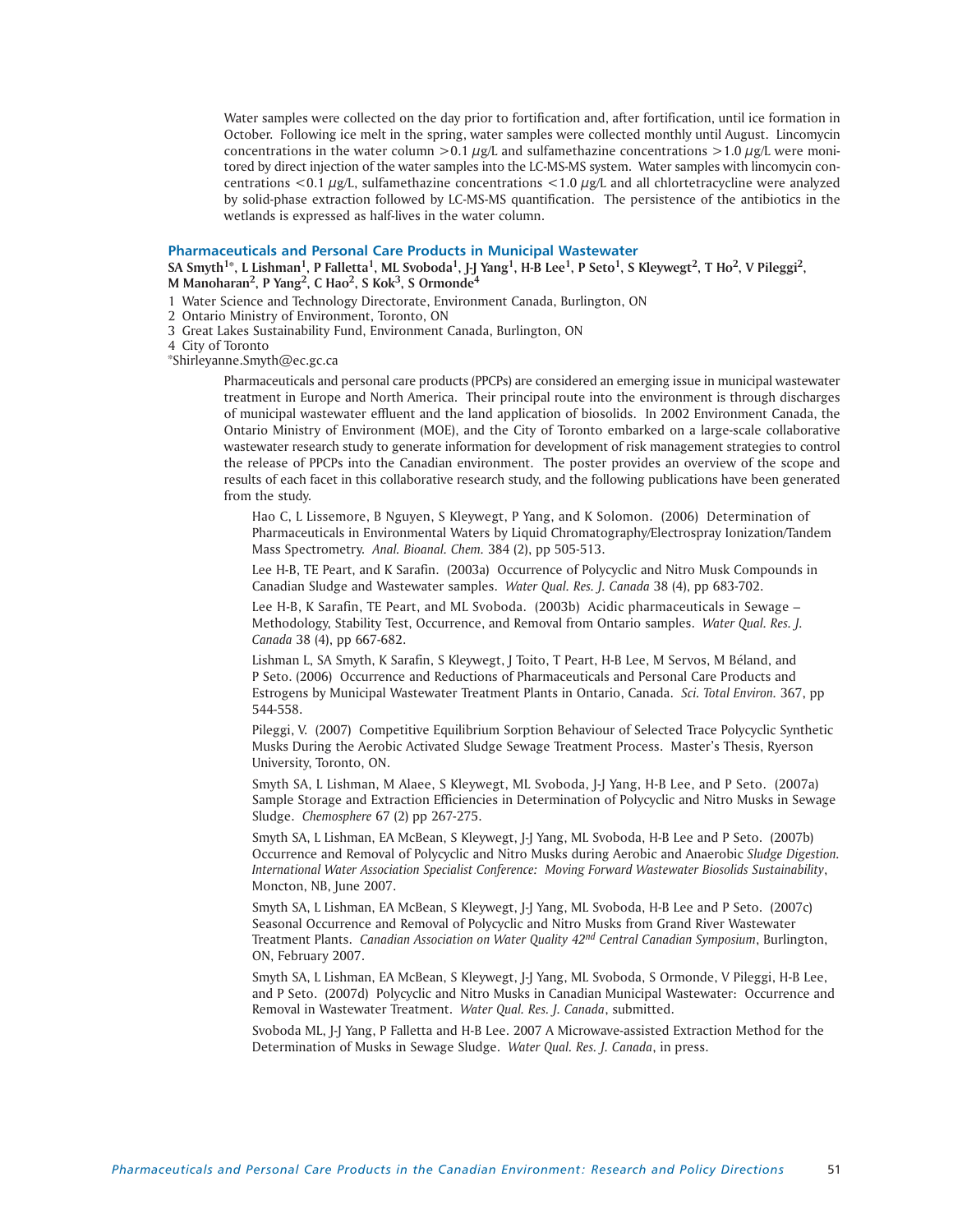Water samples were collected on the day prior to fortification and, after fortification, until ice formation in October. Following ice melt in the spring, water samples were collected monthly until August. Lincomycin concentrations in the water column  $>0.1 \mu g/L$  and sulfamethazine concentrations  $>1.0 \mu g/L$  were monitored by direct injection of the water samples into the LC-MS-MS system. Water samples with lincomycin concentrations <0.1  $\mu$ g/L, sulfamethazine concentrations <1.0  $\mu$ g/L and all chlortetracycline were analyzed by solid-phase extraction followed by LC-MS-MS quantification. The persistence of the antibiotics in the wetlands is expressed as half-lives in the water column.

#### **Pharmaceuticals and Personal Care Products in Municipal Wastewater**

**SA Smyth1\*, L Lishman1, P Falletta1, ML Svoboda1, J-J Yang1, H-B Lee1, P Seto1, S Kleywegt2, T Ho2, V Pileggi2, M Manoharan2, P Yang2, C Hao2, S Kok3, S Ormonde4**

1 Water Science and Technology Directorate, Environment Canada, Burlington, ON

- 2 Ontario Ministry of Environment, Toronto, ON
- 3 Great Lakes Sustainability Fund, Environment Canada, Burlington, ON

4 City of Toronto

\*Shirleyanne.Smyth@ec.gc.ca

Pharmaceuticals and personal care products (PPCPs) are considered an emerging issue in municipal wastewater treatment in Europe and North America. Their principal route into the environment is through discharges of municipal wastewater effluent and the land application of biosolids. In 2002 Environment Canada, the Ontario Ministry of Environment (MOE), and the City of Toronto embarked on a large-scale collaborative wastewater research study to generate information for development of risk management strategies to control the release of PPCPs into the Canadian environment. The poster provides an overview of the scope and results of each facet in this collaborative research study, and the following publications have been generated from the study.

Hao C, L Lissemore, B Nguyen, S Kleywegt, P Yang, and K Solomon. (2006) Determination of Pharmaceuticals in Environmental Waters by Liquid Chromatography/Electrospray Ionization/Tandem Mass Spectrometry. *Anal. Bioanal. Chem.* 384 (2), pp 505-513.

Lee H-B, TE Peart, and K Sarafin. (2003a) Occurrence of Polycyclic and Nitro Musk Compounds in Canadian Sludge and Wastewater samples. *Water Qual. Res. J. Canada* 38 (4), pp 683-702.

Lee H-B, K Sarafin, TE Peart, and ML Svoboda. (2003b) Acidic pharmaceuticals in Sewage – Methodology, Stability Test, Occurrence, and Removal from Ontario samples. *Water Qual. Res. J. Canada* 38 (4), pp 667-682.

Lishman L, SA Smyth, K Sarafin, S Kleywegt, J Toito, T Peart, H-B Lee, M Servos, M Béland, and P Seto. (2006) Occurrence and Reductions of Pharmaceuticals and Personal Care Products and Estrogens by Municipal Wastewater Treatment Plants in Ontario, Canada. *Sci. Total Environ.* 367, pp 544-558.

Pileggi, V. (2007) Competitive Equilibrium Sorption Behaviour of Selected Trace Polycyclic Synthetic Musks During the Aerobic Activated Sludge Sewage Treatment Process. Master's Thesis, Ryerson University, Toronto, ON.

Smyth SA, L Lishman, M Alaee, S Kleywegt, ML Svoboda, J-J Yang, H-B Lee, and P Seto. (2007a) Sample Storage and Extraction Efficiencies in Determination of Polycyclic and Nitro Musks in Sewage Sludge. *Chemosphere* 67 (2) pp 267-275.

Smyth SA, L Lishman, EA McBean, S Kleywegt, J-J Yang, ML Svoboda, H-B Lee and P Seto. (2007b) Occurrence and Removal of Polycyclic and Nitro Musks during Aerobic and Anaerobic *Sludge Digestion. International Water Association Specialist Conference: Moving Forward Wastewater Biosolids Sustainability*, Moncton, NB, June 2007.

Smyth SA, L Lishman, EA McBean, S Kleywegt, J-J Yang, ML Svoboda, H-B Lee and P Seto. (2007c) Seasonal Occurrence and Removal of Polycyclic and Nitro Musks from Grand River Wastewater Treatment Plants. *Canadian Association on Water Quality 42nd Central Canadian Symposium*, Burlington, ON, February 2007.

Smyth SA, L Lishman, EA McBean, S Kleywegt, J-J Yang, ML Svoboda, S Ormonde, V Pileggi, H-B Lee, and P Seto. (2007d) Polycyclic and Nitro Musks in Canadian Municipal Wastewater: Occurrence and Removal in Wastewater Treatment. *Water Qual. Res. J. Canada*, submitted.

Svoboda ML, J-J Yang, P Falletta and H-B Lee. 2007 A Microwave-assisted Extraction Method for the Determination of Musks in Sewage Sludge. *Water Qual. Res. J. Canada*, in press.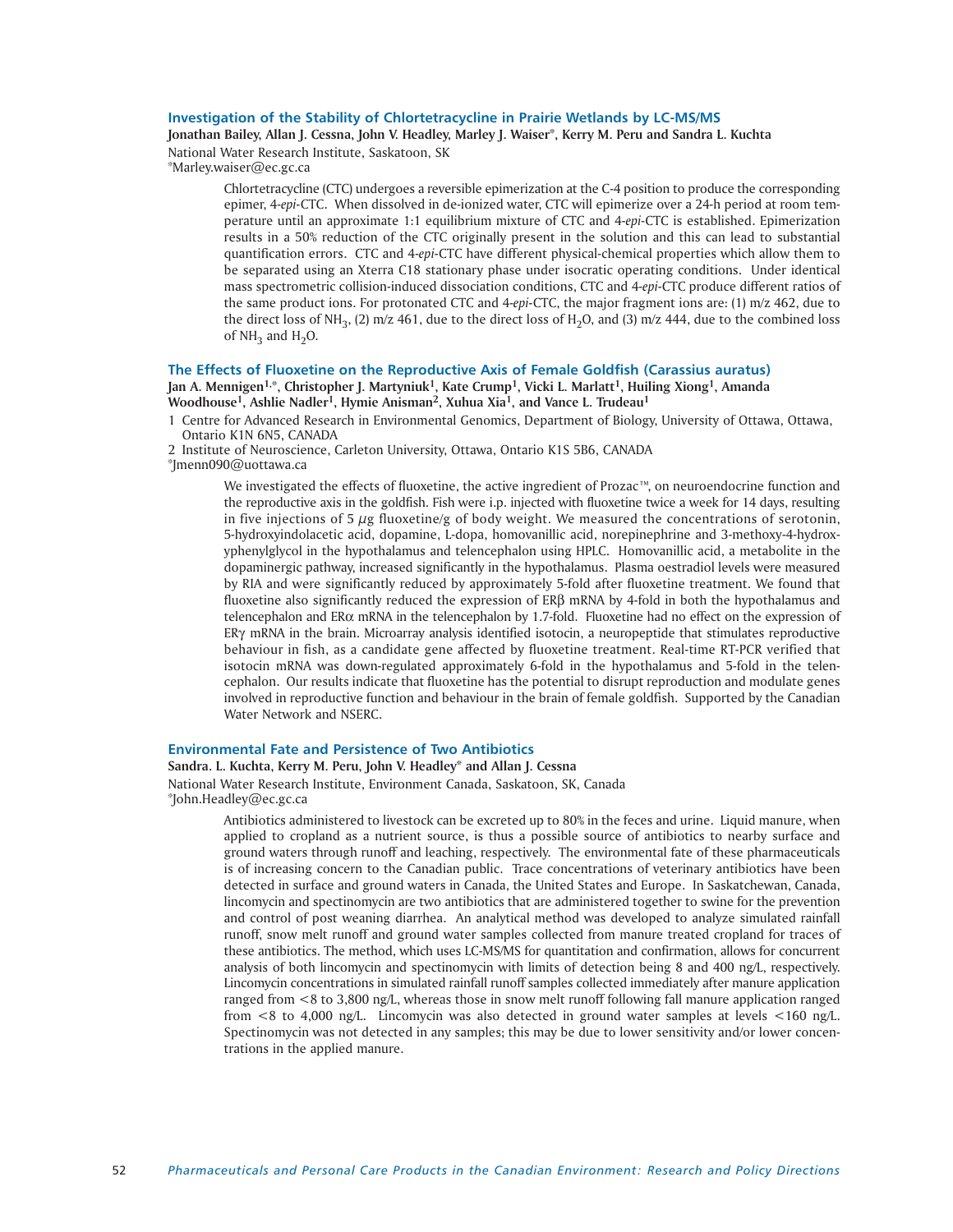# **Investigation of the Stability of Chlortetracycline in Prairie Wetlands by LC-MS/MS**

**Jonathan Bailey, Allan J. Cessna, John V. Headley, Marley J. Waiser\*, Kerry M. Peru and Sandra L. Kuchta** National Water Research Institute, Saskatoon, SK

\*Marley.waiser@ec.gc.ca

Chlortetracycline (CTC) undergoes a reversible epimerization at the C-4 position to produce the corresponding epimer, 4-*epi*-CTC. When dissolved in de-ionized water, CTC will epimerize over a 24-h period at room temperature until an approximate 1:1 equilibrium mixture of CTC and 4-*epi*-CTC is established. Epimerization results in a 50% reduction of the CTC originally present in the solution and this can lead to substantial quantification errors. CTC and 4-*epi*-CTC have different physical-chemical properties which allow them to be separated using an Xterra C18 stationary phase under isocratic operating conditions. Under identical mass spectrometric collision-induced dissociation conditions, CTC and 4-*epi*-CTC produce different ratios of the same product ions. For protonated CTC and 4-*epi*-CTC, the major fragment ions are: (1) m/z 462, due to the direct loss of NH<sub>3</sub>, (2) m/z 461, due to the direct loss of H<sub>3</sub>O, and (3) m/z 444, due to the combined loss of  $NH<sub>3</sub>$  and  $H<sub>3</sub>O$ .

# **The Effects of Fluoxetine on the Reproductive Axis of Female Goldfish (Carassius auratus)**

**Jan A. Mennigen1,\*, Christopher J. Martyniuk1, Kate Crump1, Vicki L. Marlatt1, Huiling Xiong1, Amanda Woodhouse1, Ashlie Nadler1, Hymie Anisman2, Xuhua Xia1, and Vance L. Trudeau1**

- 1 Centre for Advanced Research in Environmental Genomics, Department of Biology, University of Ottawa, Ottawa, Ontario K1N 6N5, CANADA
- 2 Institute of Neuroscience, Carleton University, Ottawa, Ontario K1S 5B6, CANADA

\*Jmenn090@uottawa.ca

We investigated the effects of fluoxetine, the active ingredient of Prozac™, on neuroendocrine function and the reproductive axis in the goldfish. Fish were i.p. injected with fluoxetine twice a week for 14 days, resulting in five injections of 5  $\mu$ g fluoxetine/g of body weight. We measured the concentrations of serotonin, 5-hydroxyindolacetic acid, dopamine, L-dopa, homovanillic acid, norepinephrine and 3-methoxy-4-hydroxyphenylglycol in the hypothalamus and telencephalon using HPLC. Homovanillic acid, a metabolite in the dopaminergic pathway, increased significantly in the hypothalamus. Plasma oestradiol levels were measured by RIA and were significantly reduced by approximately 5-fold after fluoxetine treatment. We found that fluoxetine also significantly reduced the expression of ER $\beta$  mRNA by 4-fold in both the hypothalamus and telencephalon and ER $\alpha$  mRNA in the telencephalon by 1.7-fold. Fluoxetine had no effect on the expression of  $ER\gamma$  mRNA in the brain. Microarray analysis identified isotocin, a neuropeptide that stimulates reproductive behaviour in fish, as a candidate gene affected by fluoxetine treatment. Real-time RT-PCR verified that isotocin mRNA was down-regulated approximately 6-fold in the hypothalamus and 5-fold in the telencephalon. Our results indicate that fluoxetine has the potential to disrupt reproduction and modulate genes involved in reproductive function and behaviour in the brain of female goldfish. Supported by the Canadian Water Network and NSERC.

#### **Environmental Fate and Persistence of Two Antibiotics**

**Sandra. L. Kuchta, Kerry M. Peru, John V. Headley\* and Allan J. Cessna** National Water Research Institute, Environment Canada, Saskatoon, SK, Canada \*John.Headley@ec.gc.ca

> Antibiotics administered to livestock can be excreted up to 80% in the feces and urine. Liquid manure, when applied to cropland as a nutrient source, is thus a possible source of antibiotics to nearby surface and ground waters through runoff and leaching, respectively. The environmental fate of these pharmaceuticals is of increasing concern to the Canadian public. Trace concentrations of veterinary antibiotics have been detected in surface and ground waters in Canada, the United States and Europe. In Saskatchewan, Canada, lincomycin and spectinomycin are two antibiotics that are administered together to swine for the prevention and control of post weaning diarrhea. An analytical method was developed to analyze simulated rainfall runoff, snow melt runoff and ground water samples collected from manure treated cropland for traces of these antibiotics. The method, which uses LC-MS/MS for quantitation and confirmation, allows for concurrent analysis of both lincomycin and spectinomycin with limits of detection being 8 and 400 ng/L, respectively. Lincomycin concentrations in simulated rainfall runoff samples collected immediately after manure application ranged from <8 to 3,800 ng/L, whereas those in snow melt runoff following fall manure application ranged from <8 to 4,000 ng/L. Lincomycin was also detected in ground water samples at levels <160 ng/L. Spectinomycin was not detected in any samples; this may be due to lower sensitivity and/or lower concentrations in the applied manure.